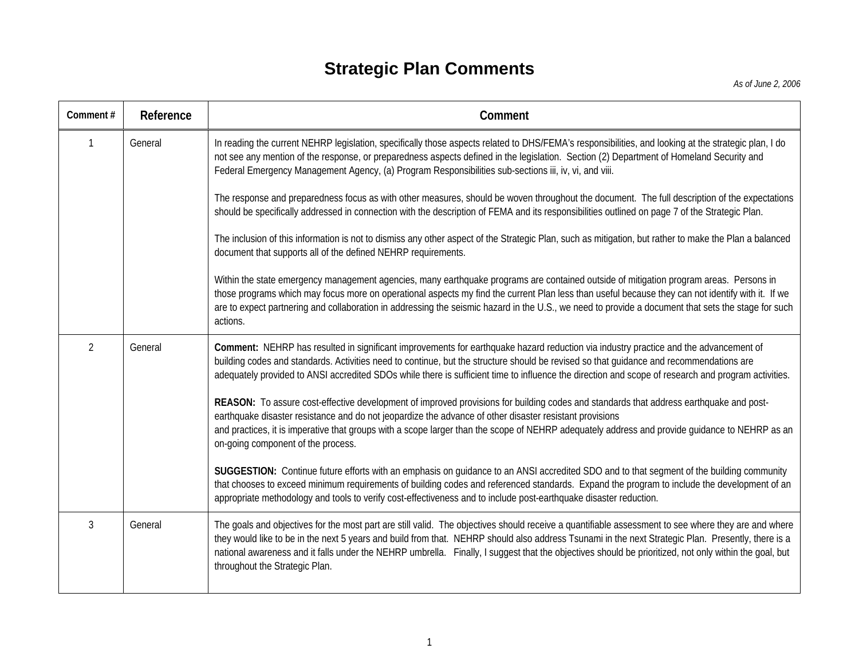## **Strategic Plan Comments**

| Comment#       | Reference | Comment                                                                                                                                                                                                                                                                                                                                                                                                                                                                                              |
|----------------|-----------|------------------------------------------------------------------------------------------------------------------------------------------------------------------------------------------------------------------------------------------------------------------------------------------------------------------------------------------------------------------------------------------------------------------------------------------------------------------------------------------------------|
| $\mathbf{1}$   | General   | In reading the current NEHRP legislation, specifically those aspects related to DHS/FEMA's responsibilities, and looking at the strategic plan, I do<br>not see any mention of the response, or preparedness aspects defined in the legislation. Section (2) Department of Homeland Security and<br>Federal Emergency Management Agency, (a) Program Responsibilities sub-sections iii, iv, vi, and viii.                                                                                            |
|                |           | The response and preparedness focus as with other measures, should be woven throughout the document. The full description of the expectations<br>should be specifically addressed in connection with the description of FEMA and its responsibilities outlined on page 7 of the Strategic Plan.                                                                                                                                                                                                      |
|                |           | The inclusion of this information is not to dismiss any other aspect of the Strategic Plan, such as mitigation, but rather to make the Plan a balanced<br>document that supports all of the defined NEHRP requirements.                                                                                                                                                                                                                                                                              |
|                |           | Within the state emergency management agencies, many earthquake programs are contained outside of mitigation program areas. Persons in<br>those programs which may focus more on operational aspects my find the current Plan less than useful because they can not identify with it. If we<br>are to expect partnering and collaboration in addressing the seismic hazard in the U.S., we need to provide a document that sets the stage for such<br>actions.                                       |
| $\overline{2}$ | General   | Comment: NEHRP has resulted in significant improvements for earthquake hazard reduction via industry practice and the advancement of<br>building codes and standards. Activities need to continue, but the structure should be revised so that guidance and recommendations are<br>adequately provided to ANSI accredited SDOs while there is sufficient time to influence the direction and scope of research and program activities.                                                               |
|                |           | REASON: To assure cost-effective development of improved provisions for building codes and standards that address earthquake and post-<br>earthquake disaster resistance and do not jeopardize the advance of other disaster resistant provisions<br>and practices, it is imperative that groups with a scope larger than the scope of NEHRP adequately address and provide guidance to NEHRP as an<br>on-going component of the process.                                                            |
|                |           | SUGGESTION: Continue future efforts with an emphasis on guidance to an ANSI accredited SDO and to that segment of the building community<br>that chooses to exceed minimum requirements of building codes and referenced standards. Expand the program to include the development of an<br>appropriate methodology and tools to verify cost-effectiveness and to include post-earthquake disaster reduction.                                                                                         |
| 3              | General   | The goals and objectives for the most part are still valid. The objectives should receive a quantifiable assessment to see where they are and where<br>they would like to be in the next 5 years and build from that. NEHRP should also address Tsunami in the next Strategic Plan. Presently, there is a<br>national awareness and it falls under the NEHRP umbrella. Finally, I suggest that the objectives should be prioritized, not only within the goal, but<br>throughout the Strategic Plan. |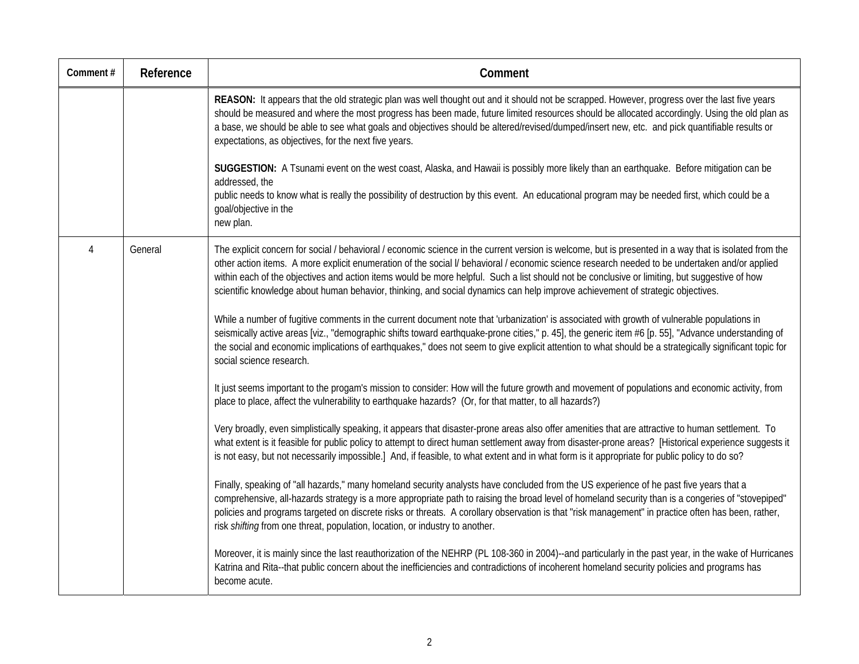| Comment# | Reference | Comment                                                                                                                                                                                                                                                                                                                                                                                                                                                                                                                                                                                     |
|----------|-----------|---------------------------------------------------------------------------------------------------------------------------------------------------------------------------------------------------------------------------------------------------------------------------------------------------------------------------------------------------------------------------------------------------------------------------------------------------------------------------------------------------------------------------------------------------------------------------------------------|
|          |           | REASON: It appears that the old strategic plan was well thought out and it should not be scrapped. However, progress over the last five years<br>should be measured and where the most progress has been made, future limited resources should be allocated accordingly. Using the old plan as<br>a base, we should be able to see what goals and objectives should be altered/revised/dumped/insert new, etc. and pick quantifiable results or<br>expectations, as objectives, for the next five years.                                                                                    |
|          |           | SUGGESTION: A Tsunami event on the west coast, Alaska, and Hawaii is possibly more likely than an earthquake. Before mitigation can be<br>addressed, the<br>public needs to know what is really the possibility of destruction by this event. An educational program may be needed first, which could be a<br>goal/objective in the<br>new plan.                                                                                                                                                                                                                                            |
| 4        | General   | The explicit concern for social / behavioral / economic science in the current version is welcome, but is presented in a way that is isolated from the<br>other action items. A more explicit enumeration of the social I/ behavioral / economic science research needed to be undertaken and/or applied<br>within each of the objectives and action items would be more helpful. Such a list should not be conclusive or limiting, but suggestive of how<br>scientific knowledge about human behavior, thinking, and social dynamics can help improve achievement of strategic objectives. |
|          |           | While a number of fugitive comments in the current document note that 'urbanization' is associated with growth of vulnerable populations in<br>seismically active areas [viz., "demographic shifts toward earthquake-prone cities," p. 45], the generic item #6 [p. 55], "Advance understanding of<br>the social and economic implications of earthquakes," does not seem to give explicit attention to what should be a strategically significant topic for<br>social science research.                                                                                                    |
|          |           | It just seems important to the progam's mission to consider: How will the future growth and movement of populations and economic activity, from<br>place to place, affect the vulnerability to earthquake hazards? (Or, for that matter, to all hazards?)                                                                                                                                                                                                                                                                                                                                   |
|          |           | Very broadly, even simplistically speaking, it appears that disaster-prone areas also offer amenities that are attractive to human settlement. To<br>what extent is it feasible for public policy to attempt to direct human settlement away from disaster-prone areas? [Historical experience suggests it<br>is not easy, but not necessarily impossible.] And, if feasible, to what extent and in what form is it appropriate for public policy to do so?                                                                                                                                 |
|          |           | Finally, speaking of "all hazards," many homeland security analysts have concluded from the US experience of he past five years that a<br>comprehensive, all-hazards strategy is a more appropriate path to raising the broad level of homeland security than is a congeries of "stovepiped"<br>policies and programs targeted on discrete risks or threats. A corollary observation is that "risk management" in practice often has been, rather,<br>risk shifting from one threat, population, location, or industry to another.                                                          |
|          |           | Moreover, it is mainly since the last reauthorization of the NEHRP (PL 108-360 in 2004)--and particularly in the past year, in the wake of Hurricanes<br>Katrina and Rita--that public concern about the inefficiencies and contradictions of incoherent homeland security policies and programs has<br>become acute.                                                                                                                                                                                                                                                                       |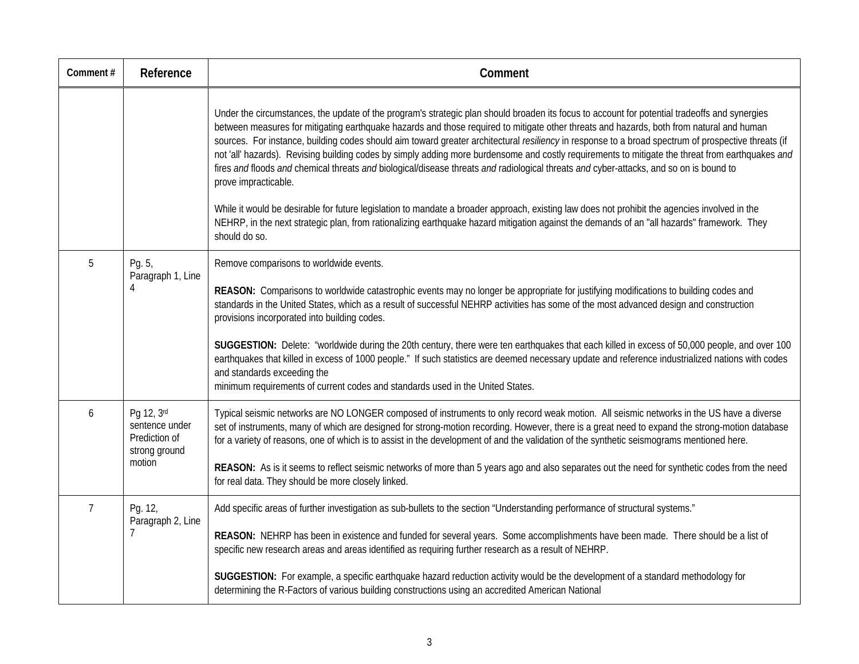| Comment#       | Reference                                                      | Comment                                                                                                                                                                                                                                                                                                                                                                                                                                                                                                                                                                                                                                                                                                                                                                                                                                                                                                                                                                                                                                                               |
|----------------|----------------------------------------------------------------|-----------------------------------------------------------------------------------------------------------------------------------------------------------------------------------------------------------------------------------------------------------------------------------------------------------------------------------------------------------------------------------------------------------------------------------------------------------------------------------------------------------------------------------------------------------------------------------------------------------------------------------------------------------------------------------------------------------------------------------------------------------------------------------------------------------------------------------------------------------------------------------------------------------------------------------------------------------------------------------------------------------------------------------------------------------------------|
|                |                                                                | Under the circumstances, the update of the program's strategic plan should broaden its focus to account for potential tradeoffs and synergies<br>between measures for mitigating earthquake hazards and those required to mitigate other threats and hazards, both from natural and human<br>sources. For instance, building codes should aim toward greater architectural resiliency in response to a broad spectrum of prospective threats (if<br>not 'all' hazards). Revising building codes by simply adding more burdensome and costly requirements to mitigate the threat from earthquakes and<br>fires and floods and chemical threats and biological/disease threats and radiological threats and cyber-attacks, and so on is bound to<br>prove impracticable.<br>While it would be desirable for future legislation to mandate a broader approach, existing law does not prohibit the agencies involved in the<br>NEHRP, in the next strategic plan, from rationalizing earthquake hazard mitigation against the demands of an "all hazards" framework. They |
|                |                                                                | should do so.                                                                                                                                                                                                                                                                                                                                                                                                                                                                                                                                                                                                                                                                                                                                                                                                                                                                                                                                                                                                                                                         |
| 5              | Pg. 5,<br>Paragraph 1, Line<br>4                               | Remove comparisons to worldwide events.<br>REASON: Comparisons to worldwide catastrophic events may no longer be appropriate for justifying modifications to building codes and<br>standards in the United States, which as a result of successful NEHRP activities has some of the most advanced design and construction<br>provisions incorporated into building codes.                                                                                                                                                                                                                                                                                                                                                                                                                                                                                                                                                                                                                                                                                             |
|                |                                                                | SUGGESTION: Delete: "worldwide during the 20th century, there were ten earthquakes that each killed in excess of 50,000 people, and over 100<br>earthquakes that killed in excess of 1000 people." If such statistics are deemed necessary update and reference industrialized nations with codes<br>and standards exceeding the<br>minimum requirements of current codes and standards used in the United States.                                                                                                                                                                                                                                                                                                                                                                                                                                                                                                                                                                                                                                                    |
| 6              | Pg 12, 3rd<br>sentence under<br>Prediction of<br>strong ground | Typical seismic networks are NO LONGER composed of instruments to only record weak motion. All seismic networks in the US have a diverse<br>set of instruments, many of which are designed for strong-motion recording. However, there is a great need to expand the strong-motion database<br>for a variety of reasons, one of which is to assist in the development of and the validation of the synthetic seismograms mentioned here.                                                                                                                                                                                                                                                                                                                                                                                                                                                                                                                                                                                                                              |
|                | motion                                                         | REASON: As is it seems to reflect seismic networks of more than 5 years ago and also separates out the need for synthetic codes from the need<br>for real data. They should be more closely linked.                                                                                                                                                                                                                                                                                                                                                                                                                                                                                                                                                                                                                                                                                                                                                                                                                                                                   |
| $\overline{7}$ | Pg. 12,<br>Paragraph 2, Line<br>$\overline{7}$                 | Add specific areas of further investigation as sub-bullets to the section "Understanding performance of structural systems."                                                                                                                                                                                                                                                                                                                                                                                                                                                                                                                                                                                                                                                                                                                                                                                                                                                                                                                                          |
|                |                                                                | REASON: NEHRP has been in existence and funded for several years. Some accomplishments have been made. There should be a list of<br>specific new research areas and areas identified as requiring further research as a result of NEHRP.                                                                                                                                                                                                                                                                                                                                                                                                                                                                                                                                                                                                                                                                                                                                                                                                                              |
|                |                                                                | SUGGESTION: For example, a specific earthquake hazard reduction activity would be the development of a standard methodology for<br>determining the R-Factors of various building constructions using an accredited American National                                                                                                                                                                                                                                                                                                                                                                                                                                                                                                                                                                                                                                                                                                                                                                                                                                  |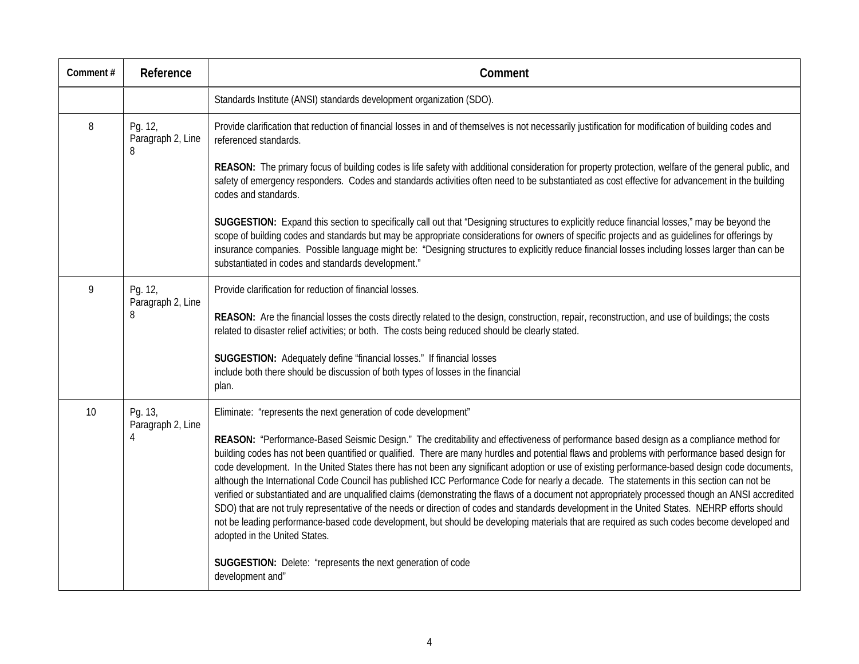| Comment# | Reference                         | Comment                                                                                                                                                                                                                                                                                                                                                                                                                                                                                                                                                                                                                                                                                                                                                                                                                                                                                                                                                                                                                                                                                                                                          |
|----------|-----------------------------------|--------------------------------------------------------------------------------------------------------------------------------------------------------------------------------------------------------------------------------------------------------------------------------------------------------------------------------------------------------------------------------------------------------------------------------------------------------------------------------------------------------------------------------------------------------------------------------------------------------------------------------------------------------------------------------------------------------------------------------------------------------------------------------------------------------------------------------------------------------------------------------------------------------------------------------------------------------------------------------------------------------------------------------------------------------------------------------------------------------------------------------------------------|
|          |                                   | Standards Institute (ANSI) standards development organization (SDO).                                                                                                                                                                                                                                                                                                                                                                                                                                                                                                                                                                                                                                                                                                                                                                                                                                                                                                                                                                                                                                                                             |
| 8        | Pg. 12,<br>Paragraph 2, Line<br>8 | Provide clarification that reduction of financial losses in and of themselves is not necessarily justification for modification of building codes and<br>referenced standards.                                                                                                                                                                                                                                                                                                                                                                                                                                                                                                                                                                                                                                                                                                                                                                                                                                                                                                                                                                   |
|          |                                   | REASON: The primary focus of building codes is life safety with additional consideration for property protection, welfare of the general public, and<br>safety of emergency responders. Codes and standards activities often need to be substantiated as cost effective for advancement in the building<br>codes and standards.                                                                                                                                                                                                                                                                                                                                                                                                                                                                                                                                                                                                                                                                                                                                                                                                                  |
|          |                                   | SUGGESTION: Expand this section to specifically call out that "Designing structures to explicitly reduce financial losses," may be beyond the<br>scope of building codes and standards but may be appropriate considerations for owners of specific projects and as guidelines for offerings by<br>insurance companies. Possible language might be: "Designing structures to explicitly reduce financial losses including losses larger than can be<br>substantiated in codes and standards development."                                                                                                                                                                                                                                                                                                                                                                                                                                                                                                                                                                                                                                        |
| 9        | Pg. 12,<br>Paragraph 2, Line<br>8 | Provide clarification for reduction of financial losses.<br>REASON: Are the financial losses the costs directly related to the design, construction, repair, reconstruction, and use of buildings; the costs<br>related to disaster relief activities; or both. The costs being reduced should be clearly stated.                                                                                                                                                                                                                                                                                                                                                                                                                                                                                                                                                                                                                                                                                                                                                                                                                                |
|          |                                   | SUGGESTION: Adequately define "financial losses." If financial losses<br>include both there should be discussion of both types of losses in the financial<br>plan.                                                                                                                                                                                                                                                                                                                                                                                                                                                                                                                                                                                                                                                                                                                                                                                                                                                                                                                                                                               |
| 10       | Pg. 13,<br>Paragraph 2, Line<br>4 | Eliminate: "represents the next generation of code development"<br>REASON: "Performance-Based Seismic Design." The creditability and effectiveness of performance based design as a compliance method for<br>building codes has not been quantified or qualified. There are many hurdles and potential flaws and problems with performance based design for<br>code development. In the United States there has not been any significant adoption or use of existing performance-based design code documents,<br>although the International Code Council has published ICC Performance Code for nearly a decade. The statements in this section can not be<br>verified or substantiated and are unqualified claims (demonstrating the flaws of a document not appropriately processed though an ANSI accredited<br>SDO) that are not truly representative of the needs or direction of codes and standards development in the United States. NEHRP efforts should<br>not be leading performance-based code development, but should be developing materials that are required as such codes become developed and<br>adopted in the United States. |
|          |                                   | SUGGESTION: Delete: "represents the next generation of code<br>development and"                                                                                                                                                                                                                                                                                                                                                                                                                                                                                                                                                                                                                                                                                                                                                                                                                                                                                                                                                                                                                                                                  |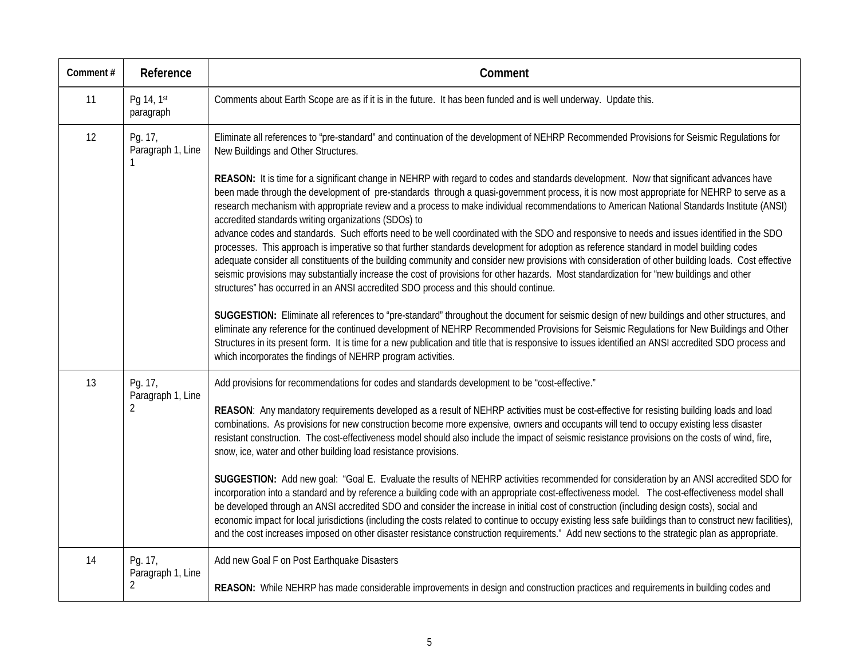| Comment# | Reference                                      | Comment                                                                                                                                                                                                                                                                                                                                                                                                                                                                                                                                                                                                                                                                                                                                                                                                                                                                                                                                                                                                                                                                                                                                                                                                                                                                                                                                                                                                                                                                                                                                                                                                                                                                                                 |
|----------|------------------------------------------------|---------------------------------------------------------------------------------------------------------------------------------------------------------------------------------------------------------------------------------------------------------------------------------------------------------------------------------------------------------------------------------------------------------------------------------------------------------------------------------------------------------------------------------------------------------------------------------------------------------------------------------------------------------------------------------------------------------------------------------------------------------------------------------------------------------------------------------------------------------------------------------------------------------------------------------------------------------------------------------------------------------------------------------------------------------------------------------------------------------------------------------------------------------------------------------------------------------------------------------------------------------------------------------------------------------------------------------------------------------------------------------------------------------------------------------------------------------------------------------------------------------------------------------------------------------------------------------------------------------------------------------------------------------------------------------------------------------|
| 11       | Pg 14, 1st<br>paragraph                        | Comments about Earth Scope are as if it is in the future. It has been funded and is well underway. Update this.                                                                                                                                                                                                                                                                                                                                                                                                                                                                                                                                                                                                                                                                                                                                                                                                                                                                                                                                                                                                                                                                                                                                                                                                                                                                                                                                                                                                                                                                                                                                                                                         |
| 12       | Pg. 17,<br>Paragraph 1, Line                   | Eliminate all references to "pre-standard" and continuation of the development of NEHRP Recommended Provisions for Seismic Regulations for<br>New Buildings and Other Structures.                                                                                                                                                                                                                                                                                                                                                                                                                                                                                                                                                                                                                                                                                                                                                                                                                                                                                                                                                                                                                                                                                                                                                                                                                                                                                                                                                                                                                                                                                                                       |
|          |                                                | REASON: It is time for a significant change in NEHRP with regard to codes and standards development. Now that significant advances have<br>been made through the development of pre-standards through a quasi-government process, it is now most appropriate for NEHRP to serve as a<br>research mechanism with appropriate review and a process to make individual recommendations to American National Standards Institute (ANSI)<br>accredited standards writing organizations (SDOs) to<br>advance codes and standards. Such efforts need to be well coordinated with the SDO and responsive to needs and issues identified in the SDO<br>processes. This approach is imperative so that further standards development for adoption as reference standard in model building codes<br>adequate consider all constituents of the building community and consider new provisions with consideration of other building loads. Cost effective<br>seismic provisions may substantially increase the cost of provisions for other hazards. Most standardization for "new buildings and other<br>structures" has occurred in an ANSI accredited SDO process and this should continue.<br>SUGGESTION: Eliminate all references to "pre-standard" throughout the document for seismic design of new buildings and other structures, and<br>eliminate any reference for the continued development of NEHRP Recommended Provisions for Seismic Regulations for New Buildings and Other<br>Structures in its present form. It is time for a new publication and title that is responsive to issues identified an ANSI accredited SDO process and<br>which incorporates the findings of NEHRP program activities. |
| 13       | Pg. 17,<br>Paragraph 1, Line<br>$\overline{2}$ | Add provisions for recommendations for codes and standards development to be "cost-effective."<br>REASON: Any mandatory requirements developed as a result of NEHRP activities must be cost-effective for resisting building loads and load<br>combinations. As provisions for new construction become more expensive, owners and occupants will tend to occupy existing less disaster<br>resistant construction. The cost-effectiveness model should also include the impact of seismic resistance provisions on the costs of wind, fire,<br>snow, ice, water and other building load resistance provisions.<br>SUGGESTION: Add new goal: "Goal E. Evaluate the results of NEHRP activities recommended for consideration by an ANSI accredited SDO for<br>incorporation into a standard and by reference a building code with an appropriate cost-effectiveness model. The cost-effectiveness model shall<br>be developed through an ANSI accredited SDO and consider the increase in initial cost of construction (including design costs), social and<br>economic impact for local jurisdictions (including the costs related to continue to occupy existing less safe buildings than to construct new facilities),<br>and the cost increases imposed on other disaster resistance construction requirements." Add new sections to the strategic plan as appropriate.                                                                                                                                                                                                                                                                                                                               |
| 14       | Pg. 17,<br>Paragraph 1, Line<br>2              | Add new Goal F on Post Earthquake Disasters<br>REASON: While NEHRP has made considerable improvements in design and construction practices and requirements in building codes and                                                                                                                                                                                                                                                                                                                                                                                                                                                                                                                                                                                                                                                                                                                                                                                                                                                                                                                                                                                                                                                                                                                                                                                                                                                                                                                                                                                                                                                                                                                       |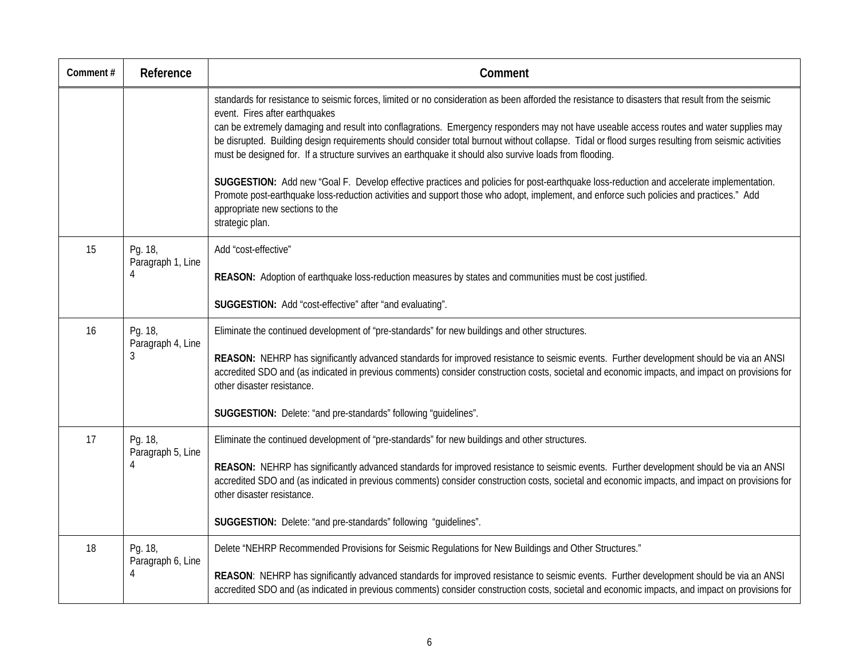| Comment# | Reference                         | Comment                                                                                                                                                                                                                                                                                                                                                                                                                                                                                                                                                                                                                                                                                                                                                                                                                                                                                                                                      |
|----------|-----------------------------------|----------------------------------------------------------------------------------------------------------------------------------------------------------------------------------------------------------------------------------------------------------------------------------------------------------------------------------------------------------------------------------------------------------------------------------------------------------------------------------------------------------------------------------------------------------------------------------------------------------------------------------------------------------------------------------------------------------------------------------------------------------------------------------------------------------------------------------------------------------------------------------------------------------------------------------------------|
|          |                                   | standards for resistance to seismic forces, limited or no consideration as been afforded the resistance to disasters that result from the seismic<br>event. Fires after earthquakes<br>can be extremely damaging and result into conflagrations. Emergency responders may not have useable access routes and water supplies may<br>be disrupted. Building design requirements should consider total burnout without collapse. Tidal or flood surges resulting from seismic activities<br>must be designed for. If a structure survives an earthquake it should also survive loads from flooding.<br>SUGGESTION: Add new "Goal F. Develop effective practices and policies for post-earthquake loss-reduction and accelerate implementation.<br>Promote post-earthquake loss-reduction activities and support those who adopt, implement, and enforce such policies and practices." Add<br>appropriate new sections to the<br>strategic plan. |
| 15       | Pg. 18,<br>Paragraph 1, Line<br>4 | Add "cost-effective"<br>REASON: Adoption of earthquake loss-reduction measures by states and communities must be cost justified.<br>SUGGESTION: Add "cost-effective" after "and evaluating".                                                                                                                                                                                                                                                                                                                                                                                                                                                                                                                                                                                                                                                                                                                                                 |
| 16       | Pg. 18,<br>Paragraph 4, Line<br>3 | Eliminate the continued development of "pre-standards" for new buildings and other structures.<br>REASON: NEHRP has significantly advanced standards for improved resistance to seismic events. Further development should be via an ANSI<br>accredited SDO and (as indicated in previous comments) consider construction costs, societal and economic impacts, and impact on provisions for<br>other disaster resistance.<br>SUGGESTION: Delete: "and pre-standards" following "guidelines".                                                                                                                                                                                                                                                                                                                                                                                                                                                |
| 17       | Pg. 18,<br>Paragraph 5, Line<br>4 | Eliminate the continued development of "pre-standards" for new buildings and other structures.<br>REASON: NEHRP has significantly advanced standards for improved resistance to seismic events. Further development should be via an ANSI<br>accredited SDO and (as indicated in previous comments) consider construction costs, societal and economic impacts, and impact on provisions for<br>other disaster resistance.<br>SUGGESTION: Delete: "and pre-standards" following "guidelines".                                                                                                                                                                                                                                                                                                                                                                                                                                                |
| 18       | Pg. 18,<br>Paragraph 6, Line<br>4 | Delete "NEHRP Recommended Provisions for Seismic Regulations for New Buildings and Other Structures."<br>REASON: NEHRP has significantly advanced standards for improved resistance to seismic events. Further development should be via an ANSI<br>accredited SDO and (as indicated in previous comments) consider construction costs, societal and economic impacts, and impact on provisions for                                                                                                                                                                                                                                                                                                                                                                                                                                                                                                                                          |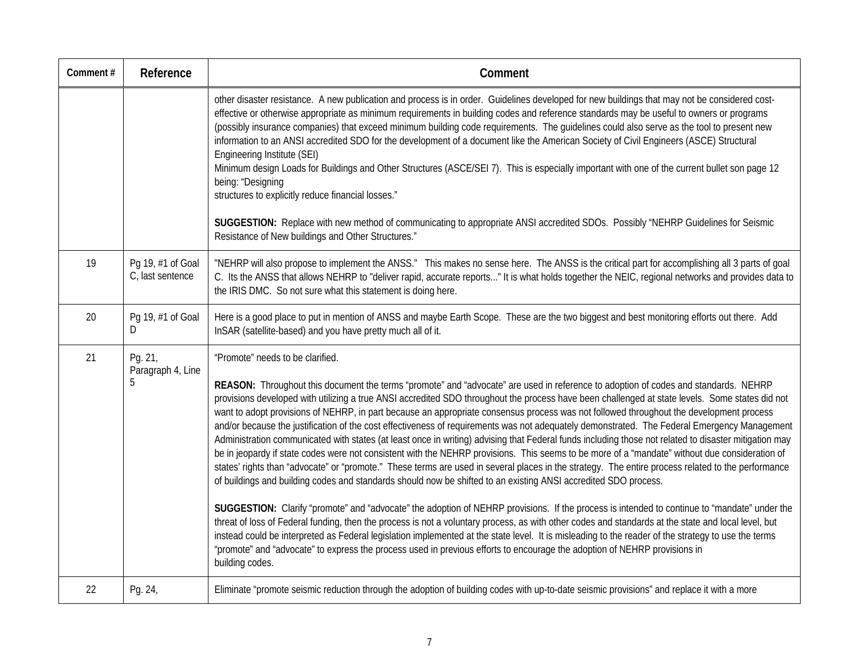| Comment# | Reference                             | Comment                                                                                                                                                                                                                                                                                                                                                                                                                                                                                                                                                                                                                                                                                                                                                                                                                                                                                                                                                                                                                                                                                                                                                                                                                                                                                                                                                                                                                                                                                                                                                                                                                                                                                                                                                                                                                 |
|----------|---------------------------------------|-------------------------------------------------------------------------------------------------------------------------------------------------------------------------------------------------------------------------------------------------------------------------------------------------------------------------------------------------------------------------------------------------------------------------------------------------------------------------------------------------------------------------------------------------------------------------------------------------------------------------------------------------------------------------------------------------------------------------------------------------------------------------------------------------------------------------------------------------------------------------------------------------------------------------------------------------------------------------------------------------------------------------------------------------------------------------------------------------------------------------------------------------------------------------------------------------------------------------------------------------------------------------------------------------------------------------------------------------------------------------------------------------------------------------------------------------------------------------------------------------------------------------------------------------------------------------------------------------------------------------------------------------------------------------------------------------------------------------------------------------------------------------------------------------------------------------|
|          |                                       | other disaster resistance. A new publication and process is in order. Guidelines developed for new buildings that may not be considered cost-<br>effective or otherwise appropriate as minimum requirements in building codes and reference standards may be useful to owners or programs<br>(possibly insurance companies) that exceed minimum building code requirements. The quidelines could also serve as the tool to present new<br>information to an ANSI accredited SDO for the development of a document like the American Society of Civil Engineers (ASCE) Structural<br>Engineering Institute (SEI)<br>Minimum design Loads for Buildings and Other Structures (ASCE/SEI 7). This is especially important with one of the current bullet son page 12<br>being: "Designing<br>structures to explicitly reduce financial losses."<br>SUGGESTION: Replace with new method of communicating to appropriate ANSI accredited SDOs. Possibly "NEHRP Guidelines for Seismic<br>Resistance of New buildings and Other Structures."                                                                                                                                                                                                                                                                                                                                                                                                                                                                                                                                                                                                                                                                                                                                                                                   |
| 19       | Pg 19, #1 of Goal<br>C, last sentence | "NEHRP will also propose to implement the ANSS." This makes no sense here. The ANSS is the critical part for accomplishing all 3 parts of goal<br>C. Its the ANSS that allows NEHRP to "deliver rapid, accurate reports" It is what holds together the NEIC, regional networks and provides data to<br>the IRIS DMC. So not sure what this statement is doing here.                                                                                                                                                                                                                                                                                                                                                                                                                                                                                                                                                                                                                                                                                                                                                                                                                                                                                                                                                                                                                                                                                                                                                                                                                                                                                                                                                                                                                                                     |
| 20       | Pg 19, #1 of Goal<br>D                | Here is a good place to put in mention of ANSS and maybe Earth Scope. These are the two biggest and best monitoring efforts out there. Add<br>InSAR (satellite-based) and you have pretty much all of it.                                                                                                                                                                                                                                                                                                                                                                                                                                                                                                                                                                                                                                                                                                                                                                                                                                                                                                                                                                                                                                                                                                                                                                                                                                                                                                                                                                                                                                                                                                                                                                                                               |
| 21       | Pg. 21,<br>Paragraph 4, Line<br>5     | "Promote" needs to be clarified.<br>REASON: Throughout this document the terms "promote" and "advocate" are used in reference to adoption of codes and standards. NEHRP<br>provisions developed with utilizing a true ANSI accredited SDO throughout the process have been challenged at state levels. Some states did not<br>want to adopt provisions of NEHRP, in part because an appropriate consensus process was not followed throughout the development process<br>and/or because the justification of the cost effectiveness of requirements was not adequately demonstrated. The Federal Emergency Management<br>Administration communicated with states (at least once in writing) advising that Federal funds including those not related to disaster mitigation may<br>be in jeopardy if state codes were not consistent with the NEHRP provisions. This seems to be more of a "mandate" without due consideration of<br>states' rights than "advocate" or "promote." These terms are used in several places in the strategy. The entire process related to the performance<br>of buildings and building codes and standards should now be shifted to an existing ANSI accredited SDO process.<br>SUGGESTION: Clarify "promote" and "advocate" the adoption of NEHRP provisions. If the process is intended to continue to "mandate" under the<br>threat of loss of Federal funding, then the process is not a voluntary process, as with other codes and standards at the state and local level, but<br>instead could be interpreted as Federal legislation implemented at the state level. It is misleading to the reader of the strategy to use the terms<br>"promote" and "advocate" to express the process used in previous efforts to encourage the adoption of NEHRP provisions in<br>building codes. |
| 22       | Pg. 24,                               | Eliminate "promote seismic reduction through the adoption of building codes with up-to-date seismic provisions" and replace it with a more                                                                                                                                                                                                                                                                                                                                                                                                                                                                                                                                                                                                                                                                                                                                                                                                                                                                                                                                                                                                                                                                                                                                                                                                                                                                                                                                                                                                                                                                                                                                                                                                                                                                              |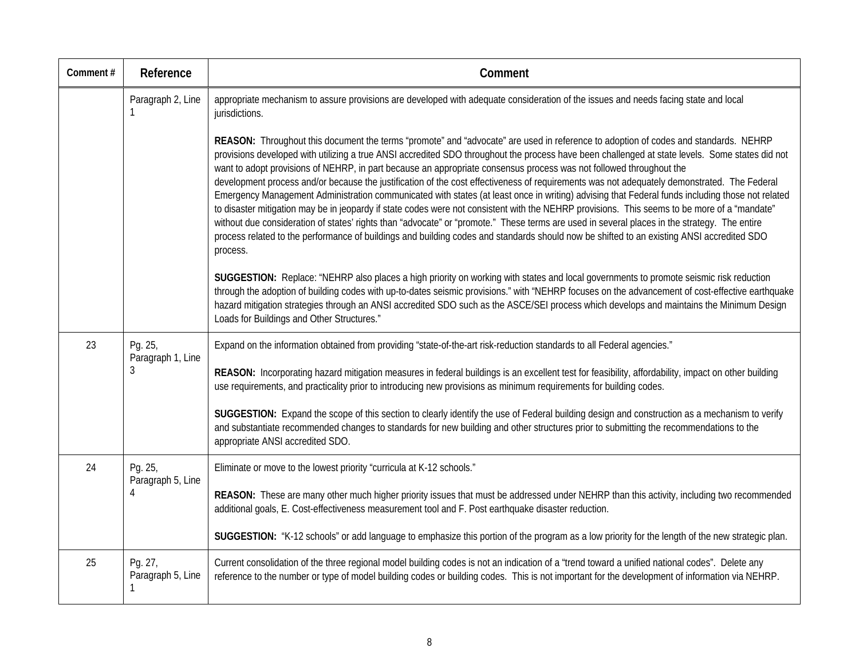| Comment# | Reference                         | Comment                                                                                                                                                                                                                                                                                                                                                                                                                                                                                                                                                                                                                                                                                                                                                                                                                                                                                                                                                                                                                                                                                                                                                                  |
|----------|-----------------------------------|--------------------------------------------------------------------------------------------------------------------------------------------------------------------------------------------------------------------------------------------------------------------------------------------------------------------------------------------------------------------------------------------------------------------------------------------------------------------------------------------------------------------------------------------------------------------------------------------------------------------------------------------------------------------------------------------------------------------------------------------------------------------------------------------------------------------------------------------------------------------------------------------------------------------------------------------------------------------------------------------------------------------------------------------------------------------------------------------------------------------------------------------------------------------------|
|          | Paragraph 2, Line                 | appropriate mechanism to assure provisions are developed with adequate consideration of the issues and needs facing state and local<br>jurisdictions.                                                                                                                                                                                                                                                                                                                                                                                                                                                                                                                                                                                                                                                                                                                                                                                                                                                                                                                                                                                                                    |
|          |                                   | REASON: Throughout this document the terms "promote" and "advocate" are used in reference to adoption of codes and standards. NEHRP<br>provisions developed with utilizing a true ANSI accredited SDO throughout the process have been challenged at state levels. Some states did not<br>want to adopt provisions of NEHRP, in part because an appropriate consensus process was not followed throughout the<br>development process and/or because the justification of the cost effectiveness of requirements was not adequately demonstrated. The Federal<br>Emergency Management Administration communicated with states (at least once in writing) advising that Federal funds including those not related<br>to disaster mitigation may be in jeopardy if state codes were not consistent with the NEHRP provisions. This seems to be more of a "mandate"<br>without due consideration of states' rights than "advocate" or "promote." These terms are used in several places in the strategy. The entire<br>process related to the performance of buildings and building codes and standards should now be shifted to an existing ANSI accredited SDO<br>process. |
|          |                                   | SUGGESTION: Replace: "NEHRP also places a high priority on working with states and local governments to promote seismic risk reduction<br>through the adoption of building codes with up-to-dates seismic provisions." with "NEHRP focuses on the advancement of cost-effective earthquake<br>hazard mitigation strategies through an ANSI accredited SDO such as the ASCE/SEI process which develops and maintains the Minimum Design<br>Loads for Buildings and Other Structures."                                                                                                                                                                                                                                                                                                                                                                                                                                                                                                                                                                                                                                                                                     |
| 23       | Pg. 25,<br>Paragraph 1, Line<br>3 | Expand on the information obtained from providing "state-of-the-art risk-reduction standards to all Federal agencies."                                                                                                                                                                                                                                                                                                                                                                                                                                                                                                                                                                                                                                                                                                                                                                                                                                                                                                                                                                                                                                                   |
|          |                                   | REASON: Incorporating hazard mitigation measures in federal buildings is an excellent test for feasibility, affordability, impact on other building<br>use requirements, and practicality prior to introducing new provisions as minimum requirements for building codes.                                                                                                                                                                                                                                                                                                                                                                                                                                                                                                                                                                                                                                                                                                                                                                                                                                                                                                |
|          |                                   | SUGGESTION: Expand the scope of this section to clearly identify the use of Federal building design and construction as a mechanism to verify<br>and substantiate recommended changes to standards for new building and other structures prior to submitting the recommendations to the<br>appropriate ANSI accredited SDO.                                                                                                                                                                                                                                                                                                                                                                                                                                                                                                                                                                                                                                                                                                                                                                                                                                              |
| 24       | Pg. 25,<br>Paragraph 5, Line      | Eliminate or move to the lowest priority "curricula at K-12 schools."                                                                                                                                                                                                                                                                                                                                                                                                                                                                                                                                                                                                                                                                                                                                                                                                                                                                                                                                                                                                                                                                                                    |
|          | 4                                 | REASON: These are many other much higher priority issues that must be addressed under NEHRP than this activity, including two recommended<br>additional goals, E. Cost-effectiveness measurement tool and F. Post earthquake disaster reduction.                                                                                                                                                                                                                                                                                                                                                                                                                                                                                                                                                                                                                                                                                                                                                                                                                                                                                                                         |
|          |                                   | SUGGESTION: "K-12 schools" or add language to emphasize this portion of the program as a low priority for the length of the new strategic plan.                                                                                                                                                                                                                                                                                                                                                                                                                                                                                                                                                                                                                                                                                                                                                                                                                                                                                                                                                                                                                          |
| 25       | Pg. 27,<br>Paragraph 5, Line      | Current consolidation of the three regional model building codes is not an indication of a "trend toward a unified national codes". Delete any<br>reference to the number or type of model building codes or building codes. This is not important for the development of information via NEHRP.                                                                                                                                                                                                                                                                                                                                                                                                                                                                                                                                                                                                                                                                                                                                                                                                                                                                         |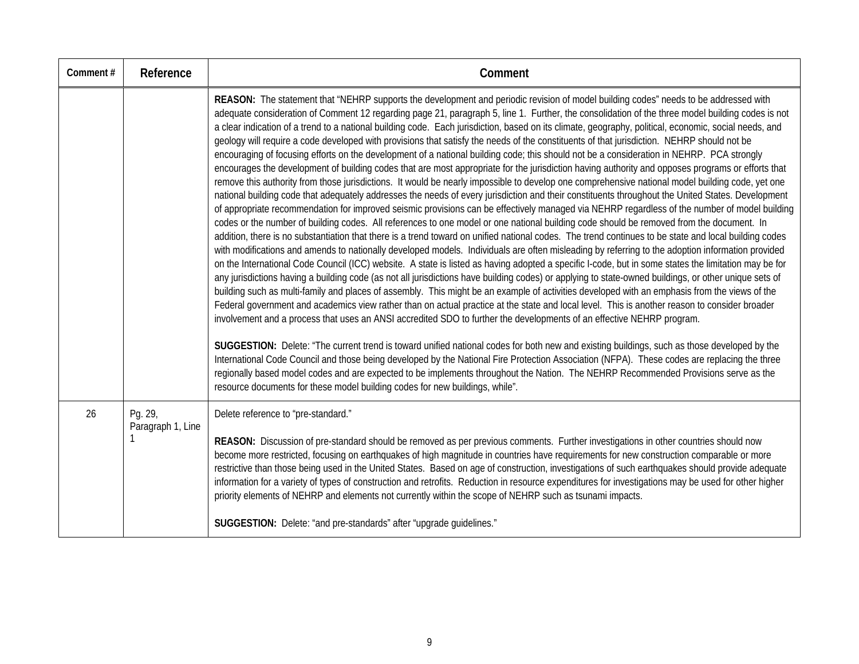| Comment# | Reference                    | Comment                                                                                                                                                                                                                                                                                                                                                                                                                                                                                                                                                                                                                                                                                                                                                                                                                                                                                                                                                                                                                                                                                                                                                                                                                                                                                                                                                                                                                                                                                                                                                                                                                                                                                                                                                                                                                                                                                                                                                                                                                                                                                                                                                                                                                                                                                                                                                                                                                                                                                                                                                                                                                                                                                                                                                                                                                                                                                                                                                                                                |
|----------|------------------------------|--------------------------------------------------------------------------------------------------------------------------------------------------------------------------------------------------------------------------------------------------------------------------------------------------------------------------------------------------------------------------------------------------------------------------------------------------------------------------------------------------------------------------------------------------------------------------------------------------------------------------------------------------------------------------------------------------------------------------------------------------------------------------------------------------------------------------------------------------------------------------------------------------------------------------------------------------------------------------------------------------------------------------------------------------------------------------------------------------------------------------------------------------------------------------------------------------------------------------------------------------------------------------------------------------------------------------------------------------------------------------------------------------------------------------------------------------------------------------------------------------------------------------------------------------------------------------------------------------------------------------------------------------------------------------------------------------------------------------------------------------------------------------------------------------------------------------------------------------------------------------------------------------------------------------------------------------------------------------------------------------------------------------------------------------------------------------------------------------------------------------------------------------------------------------------------------------------------------------------------------------------------------------------------------------------------------------------------------------------------------------------------------------------------------------------------------------------------------------------------------------------------------------------------------------------------------------------------------------------------------------------------------------------------------------------------------------------------------------------------------------------------------------------------------------------------------------------------------------------------------------------------------------------------------------------------------------------------------------------------------------------|
|          |                              | REASON: The statement that "NEHRP supports the development and periodic revision of model building codes" needs to be addressed with<br>adequate consideration of Comment 12 regarding page 21, paragraph 5, line 1. Further, the consolidation of the three model building codes is not<br>a clear indication of a trend to a national building code. Each jurisdiction, based on its climate, geography, political, economic, social needs, and<br>geology will require a code developed with provisions that satisfy the needs of the constituents of that jurisdiction. NEHRP should not be<br>encouraging of focusing efforts on the development of a national building code; this should not be a consideration in NEHRP. PCA strongly<br>encourages the development of building codes that are most appropriate for the jurisdiction having authority and opposes programs or efforts that<br>remove this authority from those jurisdictions. It would be nearly impossible to develop one comprehensive national model building code, yet one<br>national building code that adequately addresses the needs of every jurisdiction and their constituents throughout the United States. Development<br>of appropriate recommendation for improved seismic provisions can be effectively managed via NEHRP regardless of the number of model building<br>codes or the number of building codes. All references to one model or one national building code should be removed from the document. In<br>addition, there is no substantiation that there is a trend toward on unified national codes. The trend continues to be state and local building codes<br>with modifications and amends to nationally developed models. Individuals are often misleading by referring to the adoption information provided<br>on the International Code Council (ICC) website. A state is listed as having adopted a specific I-code, but in some states the limitation may be for<br>any jurisdictions having a building code (as not all jurisdictions have building codes) or applying to state-owned buildings, or other unique sets of<br>building such as multi-family and places of assembly. This might be an example of activities developed with an emphasis from the views of the<br>Federal government and academics view rather than on actual practice at the state and local level. This is another reason to consider broader<br>involvement and a process that uses an ANSI accredited SDO to further the developments of an effective NEHRP program.<br>SUGGESTION: Delete: "The current trend is toward unified national codes for both new and existing buildings, such as those developed by the<br>International Code Council and those being developed by the National Fire Protection Association (NFPA). These codes are replacing the three<br>regionally based model codes and are expected to be implements throughout the Nation. The NEHRP Recommended Provisions serve as the |
|          |                              | resource documents for these model building codes for new buildings, while".                                                                                                                                                                                                                                                                                                                                                                                                                                                                                                                                                                                                                                                                                                                                                                                                                                                                                                                                                                                                                                                                                                                                                                                                                                                                                                                                                                                                                                                                                                                                                                                                                                                                                                                                                                                                                                                                                                                                                                                                                                                                                                                                                                                                                                                                                                                                                                                                                                                                                                                                                                                                                                                                                                                                                                                                                                                                                                                           |
| 26       | Pg. 29,<br>Paragraph 1, Line | Delete reference to "pre-standard."<br>REASON: Discussion of pre-standard should be removed as per previous comments. Further investigations in other countries should now<br>become more restricted, focusing on earthquakes of high magnitude in countries have requirements for new construction comparable or more<br>restrictive than those being used in the United States. Based on age of construction, investigations of such earthquakes should provide adequate<br>information for a variety of types of construction and retrofits. Reduction in resource expenditures for investigations may be used for other higher<br>priority elements of NEHRP and elements not currently within the scope of NEHRP such as tsunami impacts.                                                                                                                                                                                                                                                                                                                                                                                                                                                                                                                                                                                                                                                                                                                                                                                                                                                                                                                                                                                                                                                                                                                                                                                                                                                                                                                                                                                                                                                                                                                                                                                                                                                                                                                                                                                                                                                                                                                                                                                                                                                                                                                                                                                                                                                         |
|          |                              | SUGGESTION: Delete: "and pre-standards" after "upgrade guidelines."                                                                                                                                                                                                                                                                                                                                                                                                                                                                                                                                                                                                                                                                                                                                                                                                                                                                                                                                                                                                                                                                                                                                                                                                                                                                                                                                                                                                                                                                                                                                                                                                                                                                                                                                                                                                                                                                                                                                                                                                                                                                                                                                                                                                                                                                                                                                                                                                                                                                                                                                                                                                                                                                                                                                                                                                                                                                                                                                    |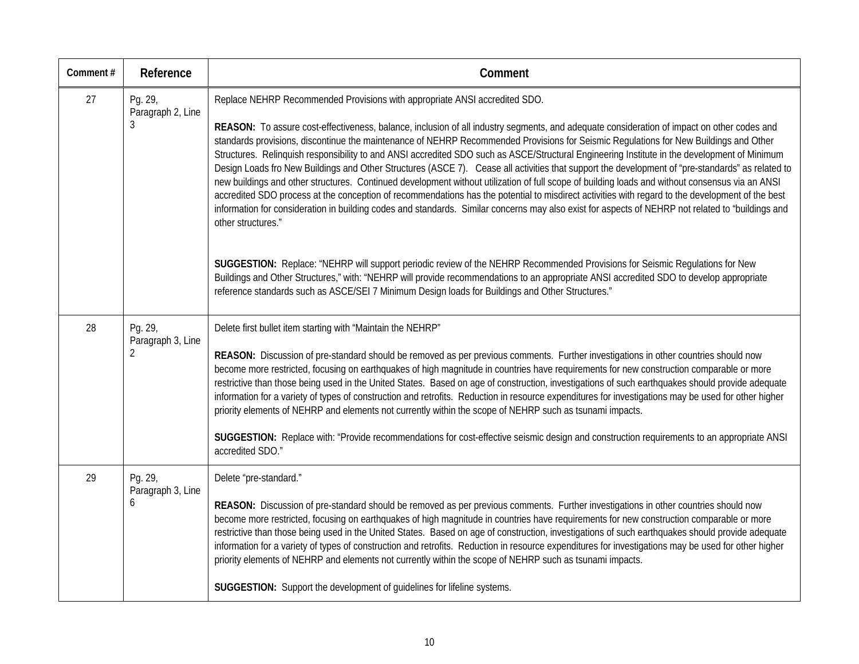| Comment# | Reference                         | Comment                                                                                                                                                                                                                                                                                                                                                                                                                                                                                                                                                                                                                                                                                                                                                                                                                                                                                                                                                                                                                                                                   |
|----------|-----------------------------------|---------------------------------------------------------------------------------------------------------------------------------------------------------------------------------------------------------------------------------------------------------------------------------------------------------------------------------------------------------------------------------------------------------------------------------------------------------------------------------------------------------------------------------------------------------------------------------------------------------------------------------------------------------------------------------------------------------------------------------------------------------------------------------------------------------------------------------------------------------------------------------------------------------------------------------------------------------------------------------------------------------------------------------------------------------------------------|
| 27       | Pg. 29,<br>Paragraph 2, Line      | Replace NEHRP Recommended Provisions with appropriate ANSI accredited SDO.                                                                                                                                                                                                                                                                                                                                                                                                                                                                                                                                                                                                                                                                                                                                                                                                                                                                                                                                                                                                |
|          | 3                                 | REASON: To assure cost-effectiveness, balance, inclusion of all industry segments, and adequate consideration of impact on other codes and<br>standards provisions, discontinue the maintenance of NEHRP Recommended Provisions for Seismic Regulations for New Buildings and Other<br>Structures. Relinquish responsibility to and ANSI accredited SDO such as ASCE/Structural Engineering Institute in the development of Minimum<br>Design Loads fro New Buildings and Other Structures (ASCE 7). Cease all activities that support the development of "pre-standards" as related to<br>new buildings and other structures. Continued development without utilization of full scope of building loads and without consensus via an ANSI<br>accredited SDO process at the conception of recommendations has the potential to misdirect activities with regard to the development of the best<br>information for consideration in building codes and standards. Similar concerns may also exist for aspects of NEHRP not related to "buildings and<br>other structures." |
|          |                                   | SUGGESTION: Replace: "NEHRP will support periodic review of the NEHRP Recommended Provisions for Seismic Regulations for New<br>Buildings and Other Structures," with: "NEHRP will provide recommendations to an appropriate ANSI accredited SDO to develop appropriate<br>reference standards such as ASCE/SEI 7 Minimum Design loads for Buildings and Other Structures."                                                                                                                                                                                                                                                                                                                                                                                                                                                                                                                                                                                                                                                                                               |
| 28       | Pg. 29,<br>Paragraph 3, Line<br>2 | Delete first bullet item starting with "Maintain the NEHRP"                                                                                                                                                                                                                                                                                                                                                                                                                                                                                                                                                                                                                                                                                                                                                                                                                                                                                                                                                                                                               |
|          |                                   | REASON: Discussion of pre-standard should be removed as per previous comments. Further investigations in other countries should now<br>become more restricted, focusing on earthquakes of high magnitude in countries have requirements for new construction comparable or more<br>restrictive than those being used in the United States. Based on age of construction, investigations of such earthquakes should provide adequate<br>information for a variety of types of construction and retrofits. Reduction in resource expenditures for investigations may be used for other higher<br>priority elements of NEHRP and elements not currently within the scope of NEHRP such as tsunami impacts.                                                                                                                                                                                                                                                                                                                                                                   |
|          |                                   | SUGGESTION: Replace with: "Provide recommendations for cost-effective seismic design and construction requirements to an appropriate ANSI<br>accredited SDO."                                                                                                                                                                                                                                                                                                                                                                                                                                                                                                                                                                                                                                                                                                                                                                                                                                                                                                             |
| 29       | Pg. 29,<br>Paragraph 3, Line<br>6 | Delete "pre-standard."                                                                                                                                                                                                                                                                                                                                                                                                                                                                                                                                                                                                                                                                                                                                                                                                                                                                                                                                                                                                                                                    |
|          |                                   | REASON: Discussion of pre-standard should be removed as per previous comments. Further investigations in other countries should now<br>become more restricted, focusing on earthquakes of high magnitude in countries have requirements for new construction comparable or more<br>restrictive than those being used in the United States. Based on age of construction, investigations of such earthquakes should provide adequate<br>information for a variety of types of construction and retrofits. Reduction in resource expenditures for investigations may be used for other higher<br>priority elements of NEHRP and elements not currently within the scope of NEHRP such as tsunami impacts.                                                                                                                                                                                                                                                                                                                                                                   |
|          |                                   | SUGGESTION: Support the development of guidelines for lifeline systems.                                                                                                                                                                                                                                                                                                                                                                                                                                                                                                                                                                                                                                                                                                                                                                                                                                                                                                                                                                                                   |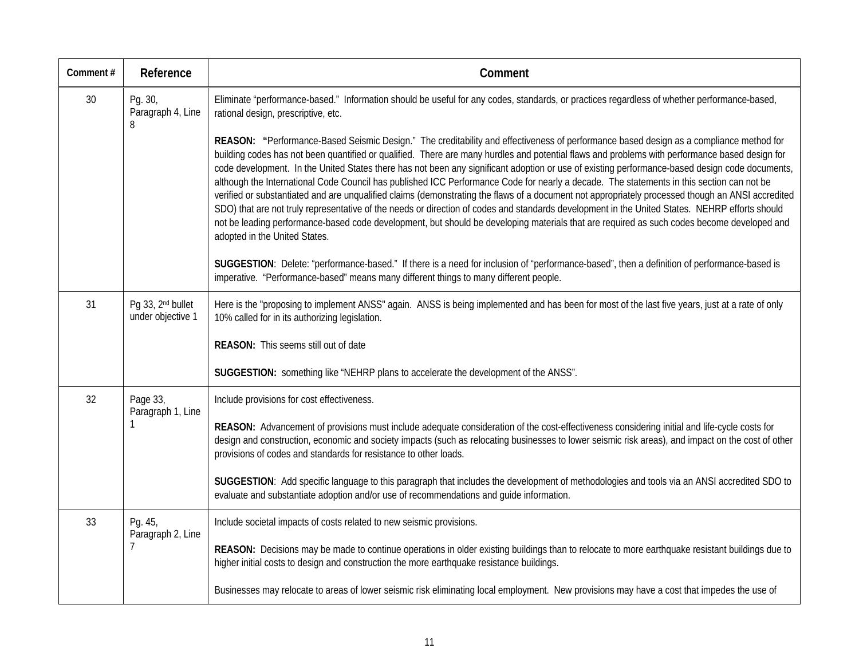| Comment# | Reference                                          | Comment                                                                                                                                                                                                                                                                                                                                                                                                                                                                                                                                                                                                                                                                                                                                                                                                                                                                                                                                                                                                                                                                       |
|----------|----------------------------------------------------|-------------------------------------------------------------------------------------------------------------------------------------------------------------------------------------------------------------------------------------------------------------------------------------------------------------------------------------------------------------------------------------------------------------------------------------------------------------------------------------------------------------------------------------------------------------------------------------------------------------------------------------------------------------------------------------------------------------------------------------------------------------------------------------------------------------------------------------------------------------------------------------------------------------------------------------------------------------------------------------------------------------------------------------------------------------------------------|
| 30       | Pg. 30,<br>Paragraph 4, Line<br>8                  | Eliminate "performance-based." Information should be useful for any codes, standards, or practices regardless of whether performance-based,<br>rational design, prescriptive, etc.                                                                                                                                                                                                                                                                                                                                                                                                                                                                                                                                                                                                                                                                                                                                                                                                                                                                                            |
|          |                                                    | REASON: "Performance-Based Seismic Design." The creditability and effectiveness of performance based design as a compliance method for<br>building codes has not been quantified or qualified. There are many hurdles and potential flaws and problems with performance based design for<br>code development. In the United States there has not been any significant adoption or use of existing performance-based design code documents,<br>although the International Code Council has published ICC Performance Code for nearly a decade. The statements in this section can not be<br>verified or substantiated and are unqualified claims (demonstrating the flaws of a document not appropriately processed though an ANSI accredited<br>SDO) that are not truly representative of the needs or direction of codes and standards development in the United States. NEHRP efforts should<br>not be leading performance-based code development, but should be developing materials that are required as such codes become developed and<br>adopted in the United States. |
|          |                                                    | SUGGESTION: Delete: "performance-based." If there is a need for inclusion of "performance-based", then a definition of performance-based is<br>imperative. "Performance-based" means many different things to many different people.                                                                                                                                                                                                                                                                                                                                                                                                                                                                                                                                                                                                                                                                                                                                                                                                                                          |
| 31       | Pg 33, 2 <sup>nd</sup> bullet<br>under objective 1 | Here is the "proposing to implement ANSS" again. ANSS is being implemented and has been for most of the last five years, just at a rate of only<br>10% called for in its authorizing legislation.                                                                                                                                                                                                                                                                                                                                                                                                                                                                                                                                                                                                                                                                                                                                                                                                                                                                             |
|          |                                                    | REASON: This seems still out of date                                                                                                                                                                                                                                                                                                                                                                                                                                                                                                                                                                                                                                                                                                                                                                                                                                                                                                                                                                                                                                          |
|          |                                                    | SUGGESTION: something like "NEHRP plans to accelerate the development of the ANSS".                                                                                                                                                                                                                                                                                                                                                                                                                                                                                                                                                                                                                                                                                                                                                                                                                                                                                                                                                                                           |
| 32       | Page 33,<br>Paragraph 1, Line                      | Include provisions for cost effectiveness.                                                                                                                                                                                                                                                                                                                                                                                                                                                                                                                                                                                                                                                                                                                                                                                                                                                                                                                                                                                                                                    |
|          | 1                                                  | REASON: Advancement of provisions must include adequate consideration of the cost-effectiveness considering initial and life-cycle costs for<br>design and construction, economic and society impacts (such as relocating businesses to lower seismic risk areas), and impact on the cost of other<br>provisions of codes and standards for resistance to other loads.                                                                                                                                                                                                                                                                                                                                                                                                                                                                                                                                                                                                                                                                                                        |
|          |                                                    | SUGGESTION: Add specific language to this paragraph that includes the development of methodologies and tools via an ANSI accredited SDO to<br>evaluate and substantiate adoption and/or use of recommendations and guide information.                                                                                                                                                                                                                                                                                                                                                                                                                                                                                                                                                                                                                                                                                                                                                                                                                                         |
| 33       | Pg. 45,<br>Paragraph 2, Line                       | Include societal impacts of costs related to new seismic provisions.                                                                                                                                                                                                                                                                                                                                                                                                                                                                                                                                                                                                                                                                                                                                                                                                                                                                                                                                                                                                          |
|          | 7                                                  | REASON: Decisions may be made to continue operations in older existing buildings than to relocate to more earthquake resistant buildings due to<br>higher initial costs to design and construction the more earthquake resistance buildings.                                                                                                                                                                                                                                                                                                                                                                                                                                                                                                                                                                                                                                                                                                                                                                                                                                  |
|          |                                                    | Businesses may relocate to areas of lower seismic risk eliminating local employment. New provisions may have a cost that impedes the use of                                                                                                                                                                                                                                                                                                                                                                                                                                                                                                                                                                                                                                                                                                                                                                                                                                                                                                                                   |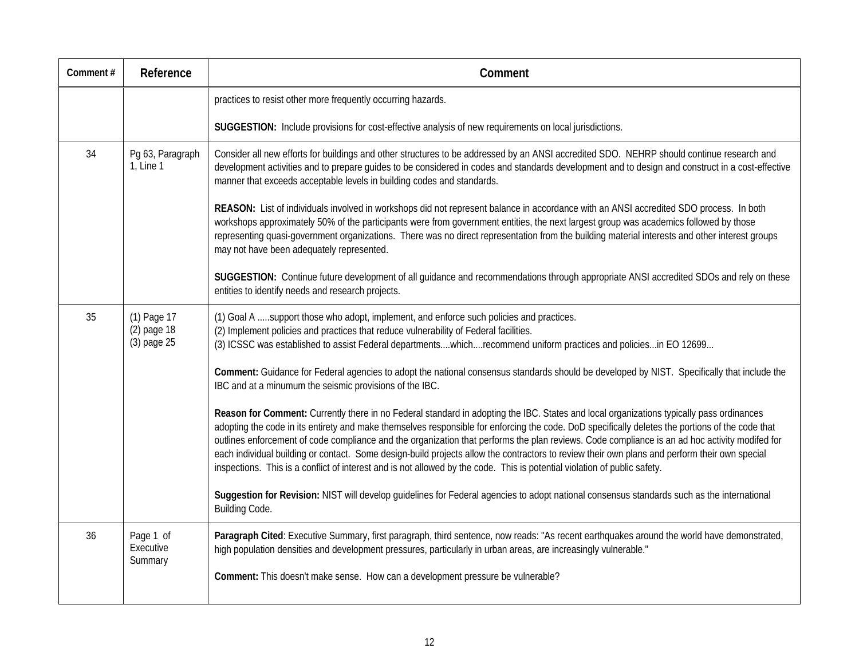| Comment# | Reference                                 | Comment                                                                                                                                                                                                                                                                                                                                                                                                                                                                                                                                                                                                                                                                                                                      |
|----------|-------------------------------------------|------------------------------------------------------------------------------------------------------------------------------------------------------------------------------------------------------------------------------------------------------------------------------------------------------------------------------------------------------------------------------------------------------------------------------------------------------------------------------------------------------------------------------------------------------------------------------------------------------------------------------------------------------------------------------------------------------------------------------|
|          |                                           | practices to resist other more frequently occurring hazards.                                                                                                                                                                                                                                                                                                                                                                                                                                                                                                                                                                                                                                                                 |
|          |                                           | SUGGESTION: Include provisions for cost-effective analysis of new requirements on local jurisdictions.                                                                                                                                                                                                                                                                                                                                                                                                                                                                                                                                                                                                                       |
| 34       | Pg 63, Paragraph<br>1, Line 1             | Consider all new efforts for buildings and other structures to be addressed by an ANSI accredited SDO. NEHRP should continue research and<br>development activities and to prepare quides to be considered in codes and standards development and to design and construct in a cost-effective<br>manner that exceeds acceptable levels in building codes and standards.                                                                                                                                                                                                                                                                                                                                                      |
|          |                                           | REASON: List of individuals involved in workshops did not represent balance in accordance with an ANSI accredited SDO process. In both<br>workshops approximately 50% of the participants were from government entities, the next largest group was academics followed by those<br>representing quasi-government organizations. There was no direct representation from the building material interests and other interest groups<br>may not have been adequately represented.                                                                                                                                                                                                                                               |
|          |                                           | SUGGESTION: Continue future development of all guidance and recommendations through appropriate ANSI accredited SDOs and rely on these<br>entities to identify needs and research projects.                                                                                                                                                                                                                                                                                                                                                                                                                                                                                                                                  |
| 35       | (1) Page 17<br>(2) page 18<br>(3) page 25 | (1) Goal A support those who adopt, implement, and enforce such policies and practices.<br>(2) Implement policies and practices that reduce vulnerability of Federal facilities.<br>(3) ICSSC was established to assist Federal departmentswhichrecommend uniform practices and policiesin EO 12699                                                                                                                                                                                                                                                                                                                                                                                                                          |
|          |                                           | Comment: Guidance for Federal agencies to adopt the national consensus standards should be developed by NIST. Specifically that include the<br>IBC and at a minumum the seismic provisions of the IBC.                                                                                                                                                                                                                                                                                                                                                                                                                                                                                                                       |
|          |                                           | Reason for Comment: Currently there in no Federal standard in adopting the IBC. States and local organizations typically pass ordinances<br>adopting the code in its entirety and make themselves responsible for enforcing the code. DoD specifically deletes the portions of the code that<br>outlines enforcement of code compliance and the organization that performs the plan reviews. Code compliance is an ad hoc activity modifed for<br>each individual building or contact. Some design-build projects allow the contractors to review their own plans and perform their own special<br>inspections. This is a conflict of interest and is not allowed by the code. This is potential violation of public safety. |
|          |                                           | Suggestion for Revision: NIST will develop guidelines for Federal agencies to adopt national consensus standards such as the international<br>Building Code.                                                                                                                                                                                                                                                                                                                                                                                                                                                                                                                                                                 |
| 36       | Page 1 of<br>Executive<br>Summary         | Paragraph Cited: Executive Summary, first paragraph, third sentence, now reads: "As recent earthquakes around the world have demonstrated,<br>high population densities and development pressures, particularly in urban areas, are increasingly vulnerable."                                                                                                                                                                                                                                                                                                                                                                                                                                                                |
|          |                                           | Comment: This doesn't make sense. How can a development pressure be vulnerable?                                                                                                                                                                                                                                                                                                                                                                                                                                                                                                                                                                                                                                              |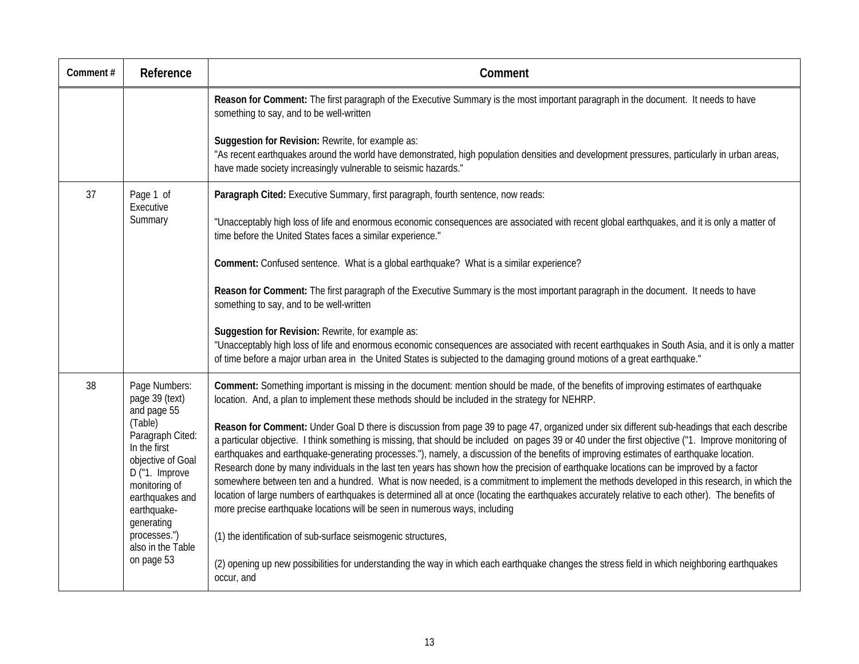| Comment# | Reference                                                                                                                                           | Comment                                                                                                                                                                                                                                                                                                                                                                                                                                                                                                                                                                                                                                                                                                                                                                                                                                                                                                                                                                   |
|----------|-----------------------------------------------------------------------------------------------------------------------------------------------------|---------------------------------------------------------------------------------------------------------------------------------------------------------------------------------------------------------------------------------------------------------------------------------------------------------------------------------------------------------------------------------------------------------------------------------------------------------------------------------------------------------------------------------------------------------------------------------------------------------------------------------------------------------------------------------------------------------------------------------------------------------------------------------------------------------------------------------------------------------------------------------------------------------------------------------------------------------------------------|
|          |                                                                                                                                                     | Reason for Comment: The first paragraph of the Executive Summary is the most important paragraph in the document. It needs to have<br>something to say, and to be well-written                                                                                                                                                                                                                                                                                                                                                                                                                                                                                                                                                                                                                                                                                                                                                                                            |
|          |                                                                                                                                                     | Suggestion for Revision: Rewrite, for example as:<br>"As recent earthquakes around the world have demonstrated, high population densities and development pressures, particularly in urban areas,<br>have made society increasingly vulnerable to seismic hazards."                                                                                                                                                                                                                                                                                                                                                                                                                                                                                                                                                                                                                                                                                                       |
| 37       | Page 1 of<br>Executive                                                                                                                              | Paragraph Cited: Executive Summary, first paragraph, fourth sentence, now reads:                                                                                                                                                                                                                                                                                                                                                                                                                                                                                                                                                                                                                                                                                                                                                                                                                                                                                          |
|          | Summary                                                                                                                                             | "Unacceptably high loss of life and enormous economic consequences are associated with recent global earthquakes, and it is only a matter of<br>time before the United States faces a similar experience."                                                                                                                                                                                                                                                                                                                                                                                                                                                                                                                                                                                                                                                                                                                                                                |
|          |                                                                                                                                                     | Comment: Confused sentence. What is a global earthquake? What is a similar experience?                                                                                                                                                                                                                                                                                                                                                                                                                                                                                                                                                                                                                                                                                                                                                                                                                                                                                    |
|          |                                                                                                                                                     | Reason for Comment: The first paragraph of the Executive Summary is the most important paragraph in the document. It needs to have<br>something to say, and to be well-written                                                                                                                                                                                                                                                                                                                                                                                                                                                                                                                                                                                                                                                                                                                                                                                            |
|          |                                                                                                                                                     | Suggestion for Revision: Rewrite, for example as:<br>"Unacceptably high loss of life and enormous economic consequences are associated with recent earthquakes in South Asia, and it is only a matter<br>of time before a major urban area in the United States is subjected to the damaging ground motions of a great earthquake."                                                                                                                                                                                                                                                                                                                                                                                                                                                                                                                                                                                                                                       |
| 38       | Page Numbers:<br>page 39 (text)<br>and page 55                                                                                                      | Comment: Something important is missing in the document: mention should be made, of the benefits of improving estimates of earthquake<br>location. And, a plan to implement these methods should be included in the strategy for NEHRP.                                                                                                                                                                                                                                                                                                                                                                                                                                                                                                                                                                                                                                                                                                                                   |
|          | (Table)<br>Paragraph Cited:<br>In the first<br>objective of Goal<br>D ("1. Improve<br>monitoring of<br>earthquakes and<br>earthquake-<br>generating | Reason for Comment: Under Goal D there is discussion from page 39 to page 47, organized under six different sub-headings that each describe<br>a particular objective. I think something is missing, that should be included on pages 39 or 40 under the first objective ("1. Improve monitoring of<br>earthquakes and earthquake-generating processes."), namely, a discussion of the benefits of improving estimates of earthquake location.<br>Research done by many individuals in the last ten years has shown how the precision of earthquake locations can be improved by a factor<br>somewhere between ten and a hundred. What is now needed, is a commitment to implement the methods developed in this research, in which the<br>location of large numbers of earthquakes is determined all at once (locating the earthquakes accurately relative to each other). The benefits of<br>more precise earthquake locations will be seen in numerous ways, including |
|          | processes.")<br>also in the Table<br>on page 53                                                                                                     | (1) the identification of sub-surface seismogenic structures,                                                                                                                                                                                                                                                                                                                                                                                                                                                                                                                                                                                                                                                                                                                                                                                                                                                                                                             |
|          |                                                                                                                                                     | (2) opening up new possibilities for understanding the way in which each earthquake changes the stress field in which neighboring earthquakes<br>occur, and                                                                                                                                                                                                                                                                                                                                                                                                                                                                                                                                                                                                                                                                                                                                                                                                               |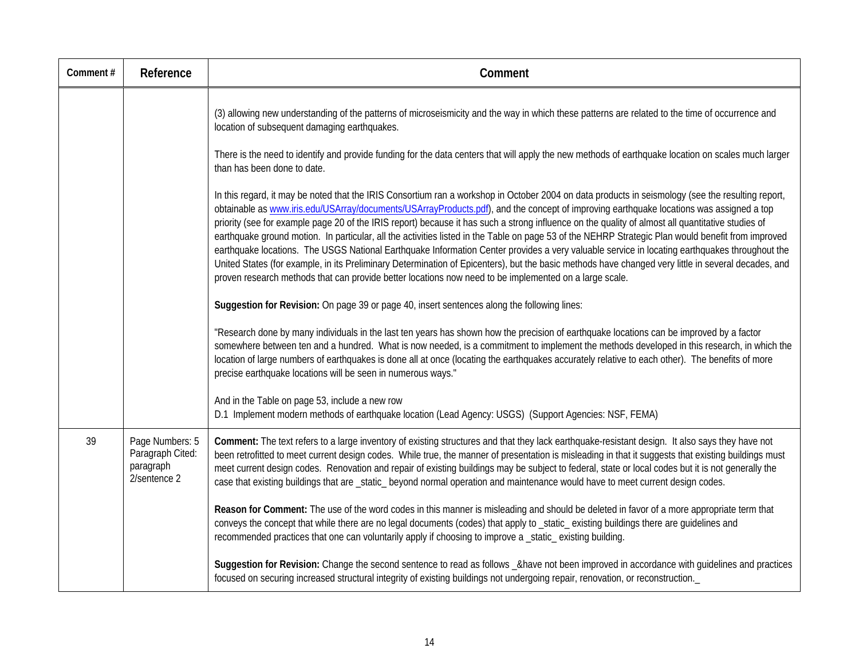| Comment# | Reference                                                        | Comment                                                                                                                                                                                                                                                                                                                                                                                                                                                                                                                                                                                                                                                                                                                                                                                                                                                                                                                                                                                                                   |
|----------|------------------------------------------------------------------|---------------------------------------------------------------------------------------------------------------------------------------------------------------------------------------------------------------------------------------------------------------------------------------------------------------------------------------------------------------------------------------------------------------------------------------------------------------------------------------------------------------------------------------------------------------------------------------------------------------------------------------------------------------------------------------------------------------------------------------------------------------------------------------------------------------------------------------------------------------------------------------------------------------------------------------------------------------------------------------------------------------------------|
|          |                                                                  | (3) allowing new understanding of the patterns of microseismicity and the way in which these patterns are related to the time of occurrence and<br>location of subsequent damaging earthquakes.<br>There is the need to identify and provide funding for the data centers that will apply the new methods of earthquake location on scales much larger<br>than has been done to date.                                                                                                                                                                                                                                                                                                                                                                                                                                                                                                                                                                                                                                     |
|          |                                                                  | In this regard, it may be noted that the IRIS Consortium ran a workshop in October 2004 on data products in seismology (see the resulting report,<br>obtainable as www.iris.edu/USArray/documents/USArrayProducts.pdf), and the concept of improving earthquake locations was assigned a top<br>priority (see for example page 20 of the IRIS report) because it has such a strong influence on the quality of almost all quantitative studies of<br>earthquake ground motion. In particular, all the activities listed in the Table on page 53 of the NEHRP Strategic Plan would benefit from improved<br>earthquake locations. The USGS National Earthquake Information Center provides a very valuable service in locating earthquakes throughout the<br>United States (for example, in its Preliminary Determination of Epicenters), but the basic methods have changed very little in several decades, and<br>proven research methods that can provide better locations now need to be implemented on a large scale. |
|          |                                                                  | Suggestion for Revision: On page 39 or page 40, insert sentences along the following lines:                                                                                                                                                                                                                                                                                                                                                                                                                                                                                                                                                                                                                                                                                                                                                                                                                                                                                                                               |
|          |                                                                  | "Research done by many individuals in the last ten years has shown how the precision of earthquake locations can be improved by a factor<br>somewhere between ten and a hundred. What is now needed, is a commitment to implement the methods developed in this research, in which the<br>location of large numbers of earthquakes is done all at once (locating the earthquakes accurately relative to each other). The benefits of more<br>precise earthquake locations will be seen in numerous ways."                                                                                                                                                                                                                                                                                                                                                                                                                                                                                                                 |
|          |                                                                  | And in the Table on page 53, include a new row<br>D.1 Implement modern methods of earthquake location (Lead Agency: USGS) (Support Agencies: NSF, FEMA)                                                                                                                                                                                                                                                                                                                                                                                                                                                                                                                                                                                                                                                                                                                                                                                                                                                                   |
| 39       | Page Numbers: 5<br>Paragraph Cited:<br>paragraph<br>2/sentence 2 | Comment: The text refers to a large inventory of existing structures and that they lack earthquake-resistant design. It also says they have not<br>been retrofitted to meet current design codes. While true, the manner of presentation is misleading in that it suggests that existing buildings must<br>meet current design codes. Renovation and repair of existing buildings may be subject to federal, state or local codes but it is not generally the<br>case that existing buildings that are _static_ beyond normal operation and maintenance would have to meet current design codes.                                                                                                                                                                                                                                                                                                                                                                                                                          |
|          |                                                                  | Reason for Comment: The use of the word codes in this manner is misleading and should be deleted in favor of a more appropriate term that<br>conveys the concept that while there are no legal documents (codes) that apply to _static_existing buildings there are guidelines and<br>recommended practices that one can voluntarily apply if choosing to improve a _static_existing building.                                                                                                                                                                                                                                                                                                                                                                                                                                                                                                                                                                                                                            |
|          |                                                                  | Suggestion for Revision: Change the second sentence to read as follows _&have not been improved in accordance with guidelines and practices<br>focused on securing increased structural integrity of existing buildings not undergoing repair, renovation, or reconstruction.                                                                                                                                                                                                                                                                                                                                                                                                                                                                                                                                                                                                                                                                                                                                             |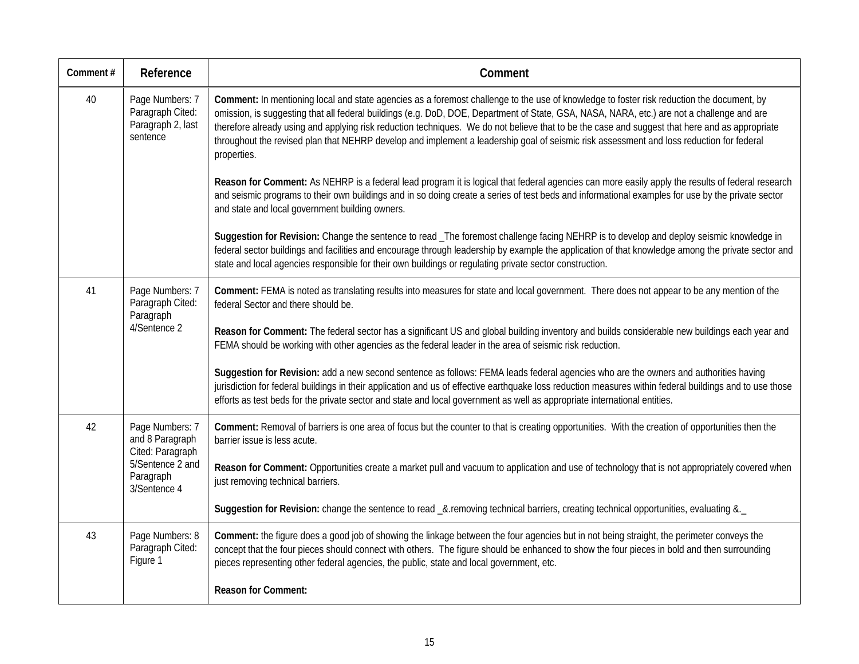| Comment# | Reference                                                            | Comment                                                                                                                                                                                                                                                                                                                                                                                                                                                                                                                                                                                              |
|----------|----------------------------------------------------------------------|------------------------------------------------------------------------------------------------------------------------------------------------------------------------------------------------------------------------------------------------------------------------------------------------------------------------------------------------------------------------------------------------------------------------------------------------------------------------------------------------------------------------------------------------------------------------------------------------------|
| 40       | Page Numbers: 7<br>Paragraph Cited:<br>Paragraph 2, last<br>sentence | Comment: In mentioning local and state agencies as a foremost challenge to the use of knowledge to foster risk reduction the document, by<br>omission, is suggesting that all federal buildings (e.g. DoD, DOE, Department of State, GSA, NASA, NARA, etc.) are not a challenge and are<br>therefore already using and applying risk reduction techniques. We do not believe that to be the case and suggest that here and as appropriate<br>throughout the revised plan that NEHRP develop and implement a leadership goal of seismic risk assessment and loss reduction for federal<br>properties. |
|          |                                                                      | Reason for Comment: As NEHRP is a federal lead program it is logical that federal agencies can more easily apply the results of federal research<br>and seismic programs to their own buildings and in so doing create a series of test beds and informational examples for use by the private sector<br>and state and local government building owners.                                                                                                                                                                                                                                             |
|          |                                                                      | Suggestion for Revision: Change the sentence to read _The foremost challenge facing NEHRP is to develop and deploy seismic knowledge in<br>federal sector buildings and facilities and encourage through leadership by example the application of that knowledge among the private sector and<br>state and local agencies responsible for their own buildings or regulating private sector construction.                                                                                                                                                                                             |
| 41       | Page Numbers: 7<br>Paragraph Cited:<br>Paragraph<br>4/Sentence 2     | Comment: FEMA is noted as translating results into measures for state and local government. There does not appear to be any mention of the<br>federal Sector and there should be.                                                                                                                                                                                                                                                                                                                                                                                                                    |
|          |                                                                      | Reason for Comment: The federal sector has a significant US and global building inventory and builds considerable new buildings each year and<br>FEMA should be working with other agencies as the federal leader in the area of seismic risk reduction.                                                                                                                                                                                                                                                                                                                                             |
|          |                                                                      | Suggestion for Revision: add a new second sentence as follows: FEMA leads federal agencies who are the owners and authorities having<br>jurisdiction for federal buildings in their application and us of effective earthquake loss reduction measures within federal buildings and to use those<br>efforts as test beds for the private sector and state and local government as well as appropriate international entities.                                                                                                                                                                        |
| 42       | Page Numbers: 7<br>and 8 Paragraph<br>Cited: Paragraph               | Comment: Removal of barriers is one area of focus but the counter to that is creating opportunities. With the creation of opportunities then the<br>barrier issue is less acute.                                                                                                                                                                                                                                                                                                                                                                                                                     |
|          | 5/Sentence 2 and<br>Paragraph<br>3/Sentence 4                        | Reason for Comment: Opportunities create a market pull and vacuum to application and use of technology that is not appropriately covered when<br>just removing technical barriers.                                                                                                                                                                                                                                                                                                                                                                                                                   |
|          |                                                                      | Suggestion for Revision: change the sentence to read _&.removing technical barriers, creating technical opportunities, evaluating &._                                                                                                                                                                                                                                                                                                                                                                                                                                                                |
| 43       | Page Numbers: 8<br>Paragraph Cited:<br>Figure 1                      | Comment: the figure does a good job of showing the linkage between the four agencies but in not being straight, the perimeter conveys the<br>concept that the four pieces should connect with others. The figure should be enhanced to show the four pieces in bold and then surrounding<br>pieces representing other federal agencies, the public, state and local government, etc.                                                                                                                                                                                                                 |
|          |                                                                      | <b>Reason for Comment:</b>                                                                                                                                                                                                                                                                                                                                                                                                                                                                                                                                                                           |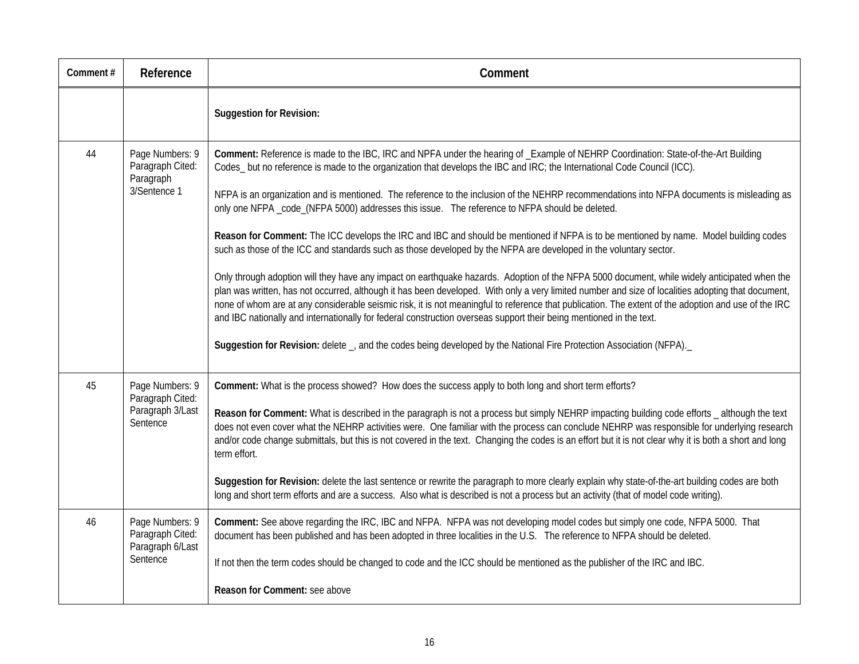| Comment# | Reference                                                           | Comment                                                                                                                                                                                                                                                                                                                                                                                                                                                                                                                                                                                                                                                                                                                                                                                                                                                                                                                                                                                                                                                                                                                                                                                                                                                                                                                                                                                                                                                                                  |
|----------|---------------------------------------------------------------------|------------------------------------------------------------------------------------------------------------------------------------------------------------------------------------------------------------------------------------------------------------------------------------------------------------------------------------------------------------------------------------------------------------------------------------------------------------------------------------------------------------------------------------------------------------------------------------------------------------------------------------------------------------------------------------------------------------------------------------------------------------------------------------------------------------------------------------------------------------------------------------------------------------------------------------------------------------------------------------------------------------------------------------------------------------------------------------------------------------------------------------------------------------------------------------------------------------------------------------------------------------------------------------------------------------------------------------------------------------------------------------------------------------------------------------------------------------------------------------------|
|          |                                                                     | <b>Suggestion for Revision:</b>                                                                                                                                                                                                                                                                                                                                                                                                                                                                                                                                                                                                                                                                                                                                                                                                                                                                                                                                                                                                                                                                                                                                                                                                                                                                                                                                                                                                                                                          |
| 44       | Page Numbers: 9<br>Paragraph Cited:<br>Paragraph<br>3/Sentence 1    | Comment: Reference is made to the IBC, IRC and NPFA under the hearing of _Example of NEHRP Coordination: State-of-the-Art Building<br>Codes_but no reference is made to the organization that develops the IBC and IRC; the International Code Council (ICC).<br>NFPA is an organization and is mentioned. The reference to the inclusion of the NEHRP recommendations into NFPA documents is misleading as<br>only one NFPA _code_(NFPA 5000) addresses this issue. The reference to NFPA should be deleted.<br>Reason for Comment: The ICC develops the IRC and IBC and should be mentioned if NFPA is to be mentioned by name. Model building codes<br>such as those of the ICC and standards such as those developed by the NFPA are developed in the voluntary sector.<br>Only through adoption will they have any impact on earthquake hazards. Adoption of the NFPA 5000 document, while widely anticipated when the<br>plan was written, has not occurred, although it has been developed. With only a very limited number and size of localities adopting that document,<br>none of whom are at any considerable seismic risk, it is not meaningful to reference that publication. The extent of the adoption and use of the IRC<br>and IBC nationally and internationally for federal construction overseas support their being mentioned in the text.<br>Suggestion for Revision: delete _, and the codes being developed by the National Fire Protection Association (NFPA). |
| 45       | Page Numbers: 9<br>Paragraph Cited:<br>Paragraph 3/Last<br>Sentence | Comment: What is the process showed? How does the success apply to both long and short term efforts?<br>Reason for Comment: What is described in the paragraph is not a process but simply NEHRP impacting building code efforts _ although the text<br>does not even cover what the NEHRP activities were. One familiar with the process can conclude NEHRP was responsible for underlying research<br>and/or code change submittals, but this is not covered in the text. Changing the codes is an effort but it is not clear why it is both a short and long<br>term effort.<br>Suggestion for Revision: delete the last sentence or rewrite the paragraph to more clearly explain why state-of-the-art building codes are both<br>long and short term efforts and are a success. Also what is described is not a process but an activity (that of model code writing).                                                                                                                                                                                                                                                                                                                                                                                                                                                                                                                                                                                                               |
| 46       | Page Numbers: 9<br>Paragraph Cited:<br>Paragraph 6/Last<br>Sentence | Comment: See above regarding the IRC, IBC and NFPA. NFPA was not developing model codes but simply one code, NFPA 5000. That<br>document has been published and has been adopted in three localities in the U.S. The reference to NFPA should be deleted.<br>If not then the term codes should be changed to code and the ICC should be mentioned as the publisher of the IRC and IBC.<br>Reason for Comment: see above                                                                                                                                                                                                                                                                                                                                                                                                                                                                                                                                                                                                                                                                                                                                                                                                                                                                                                                                                                                                                                                                  |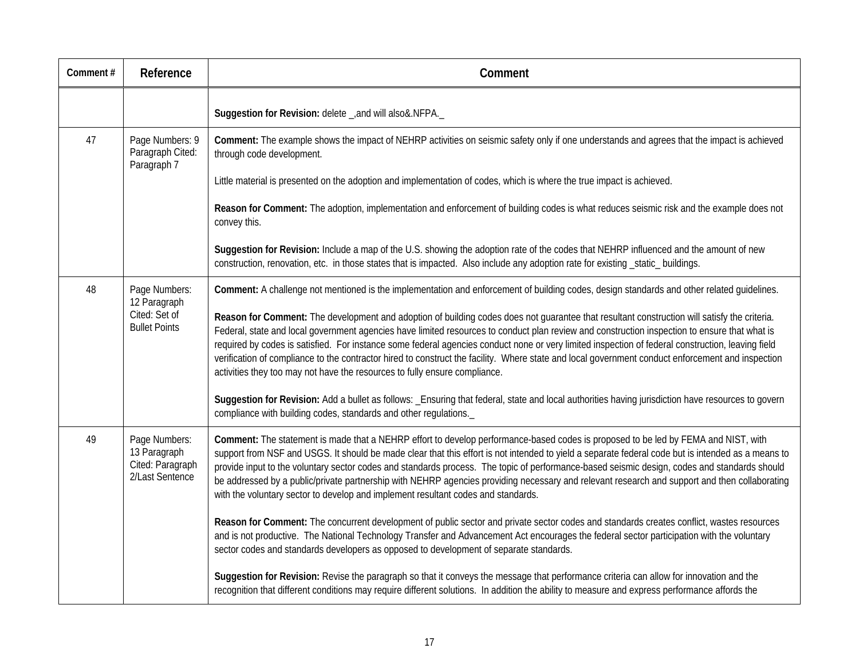| Comment# | Reference                                                              | Comment                                                                                                                                                                                                                                                                                                                                                                                                                                                                                                                                                                                                                                                                               |
|----------|------------------------------------------------------------------------|---------------------------------------------------------------------------------------------------------------------------------------------------------------------------------------------------------------------------------------------------------------------------------------------------------------------------------------------------------------------------------------------------------------------------------------------------------------------------------------------------------------------------------------------------------------------------------------------------------------------------------------------------------------------------------------|
|          |                                                                        | Suggestion for Revision: delete _, and will also &. NFPA.                                                                                                                                                                                                                                                                                                                                                                                                                                                                                                                                                                                                                             |
| 47       | Page Numbers: 9<br>Paragraph Cited:<br>Paragraph 7                     | Comment: The example shows the impact of NEHRP activities on seismic safety only if one understands and agrees that the impact is achieved<br>through code development.                                                                                                                                                                                                                                                                                                                                                                                                                                                                                                               |
|          |                                                                        | Little material is presented on the adoption and implementation of codes, which is where the true impact is achieved.                                                                                                                                                                                                                                                                                                                                                                                                                                                                                                                                                                 |
|          |                                                                        | Reason for Comment: The adoption, implementation and enforcement of building codes is what reduces seismic risk and the example does not<br>convey this.                                                                                                                                                                                                                                                                                                                                                                                                                                                                                                                              |
|          |                                                                        | Suggestion for Revision: Include a map of the U.S. showing the adoption rate of the codes that NEHRP influenced and the amount of new<br>construction, renovation, etc. in those states that is impacted. Also include any adoption rate for existing _static_ buildings.                                                                                                                                                                                                                                                                                                                                                                                                             |
| 48       | Page Numbers:<br>12 Paragraph<br>Cited: Set of<br><b>Bullet Points</b> | Comment: A challenge not mentioned is the implementation and enforcement of building codes, design standards and other related guidelines.                                                                                                                                                                                                                                                                                                                                                                                                                                                                                                                                            |
|          |                                                                        | Reason for Comment: The development and adoption of building codes does not guarantee that resultant construction will satisfy the criteria.<br>Federal, state and local government agencies have limited resources to conduct plan review and construction inspection to ensure that what is<br>required by codes is satisfied. For instance some federal agencies conduct none or very limited inspection of federal construction, leaving field<br>verification of compliance to the contractor hired to construct the facility. Where state and local government conduct enforcement and inspection<br>activities they too may not have the resources to fully ensure compliance. |
|          |                                                                        | Suggestion for Revision: Add a bullet as follows: _Ensuring that federal, state and local authorities having jurisdiction have resources to govern<br>compliance with building codes, standards and other regulations.                                                                                                                                                                                                                                                                                                                                                                                                                                                                |
| 49       | Page Numbers:<br>13 Paragraph<br>Cited: Paragraph<br>2/Last Sentence   | Comment: The statement is made that a NEHRP effort to develop performance-based codes is proposed to be led by FEMA and NIST, with<br>support from NSF and USGS. It should be made clear that this effort is not intended to yield a separate federal code but is intended as a means to<br>provide input to the voluntary sector codes and standards process. The topic of performance-based seismic design, codes and standards should<br>be addressed by a public/private partnership with NEHRP agencies providing necessary and relevant research and support and then collaborating<br>with the voluntary sector to develop and implement resultant codes and standards.        |
|          |                                                                        | Reason for Comment: The concurrent development of public sector and private sector codes and standards creates conflict, wastes resources<br>and is not productive. The National Technology Transfer and Advancement Act encourages the federal sector participation with the voluntary<br>sector codes and standards developers as opposed to development of separate standards.                                                                                                                                                                                                                                                                                                     |
|          |                                                                        | Suggestion for Revision: Revise the paragraph so that it conveys the message that performance criteria can allow for innovation and the<br>recognition that different conditions may require different solutions. In addition the ability to measure and express performance affords the                                                                                                                                                                                                                                                                                                                                                                                              |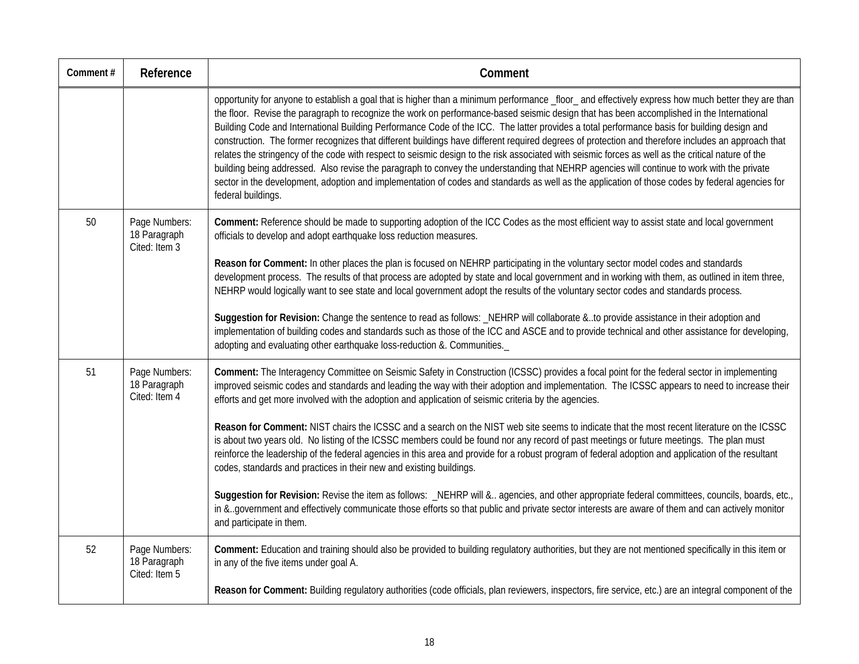| Comment# | Reference                                      | Comment                                                                                                                                                                                                                                                                                                                                                                                                                                                                                                                                                                                                                                                                                                                                                                                                                                                                                                                                                                                                                                                                          |
|----------|------------------------------------------------|----------------------------------------------------------------------------------------------------------------------------------------------------------------------------------------------------------------------------------------------------------------------------------------------------------------------------------------------------------------------------------------------------------------------------------------------------------------------------------------------------------------------------------------------------------------------------------------------------------------------------------------------------------------------------------------------------------------------------------------------------------------------------------------------------------------------------------------------------------------------------------------------------------------------------------------------------------------------------------------------------------------------------------------------------------------------------------|
|          |                                                | opportunity for anyone to establish a goal that is higher than a minimum performance _floor_and effectively express how much better they are than<br>the floor. Revise the paragraph to recognize the work on performance-based seismic design that has been accomplished in the International<br>Building Code and International Building Performance Code of the ICC. The latter provides a total performance basis for building design and<br>construction. The former recognizes that different buildings have different required degrees of protection and therefore includes an approach that<br>relates the stringency of the code with respect to seismic design to the risk associated with seismic forces as well as the critical nature of the<br>building being addressed. Also revise the paragraph to convey the understanding that NEHRP agencies will continue to work with the private<br>sector in the development, adoption and implementation of codes and standards as well as the application of those codes by federal agencies for<br>federal buildings. |
| 50       | Page Numbers:<br>18 Paragraph<br>Cited: Item 3 | Comment: Reference should be made to supporting adoption of the ICC Codes as the most efficient way to assist state and local government<br>officials to develop and adopt earthquake loss reduction measures.<br>Reason for Comment: In other places the plan is focused on NEHRP participating in the voluntary sector model codes and standards<br>development process. The results of that process are adopted by state and local government and in working with them, as outlined in item three,<br>NEHRP would logically want to see state and local government adopt the results of the voluntary sector codes and standards process.<br>Suggestion for Revision: Change the sentence to read as follows: _NEHRP will collaborate &to provide assistance in their adoption and<br>implementation of building codes and standards such as those of the ICC and ASCE and to provide technical and other assistance for developing,                                                                                                                                          |
|          |                                                | adopting and evaluating other earthquake loss-reduction &. Communities.                                                                                                                                                                                                                                                                                                                                                                                                                                                                                                                                                                                                                                                                                                                                                                                                                                                                                                                                                                                                          |
| 51       | Page Numbers:<br>18 Paragraph<br>Cited: Item 4 | Comment: The Interagency Committee on Seismic Safety in Construction (ICSSC) provides a focal point for the federal sector in implementing<br>improved seismic codes and standards and leading the way with their adoption and implementation. The ICSSC appears to need to increase their<br>efforts and get more involved with the adoption and application of seismic criteria by the agencies.                                                                                                                                                                                                                                                                                                                                                                                                                                                                                                                                                                                                                                                                               |
|          |                                                | Reason for Comment: NIST chairs the ICSSC and a search on the NIST web site seems to indicate that the most recent literature on the ICSSC<br>is about two years old. No listing of the ICSSC members could be found nor any record of past meetings or future meetings. The plan must<br>reinforce the leadership of the federal agencies in this area and provide for a robust program of federal adoption and application of the resultant<br>codes, standards and practices in their new and existing buildings.                                                                                                                                                                                                                                                                                                                                                                                                                                                                                                                                                             |
|          |                                                | Suggestion for Revision: Revise the item as follows: _NEHRP will & agencies, and other appropriate federal committees, councils, boards, etc.,<br>in &government and effectively communicate those efforts so that public and private sector interests are aware of them and can actively monitor<br>and participate in them.                                                                                                                                                                                                                                                                                                                                                                                                                                                                                                                                                                                                                                                                                                                                                    |
| 52       | Page Numbers:<br>18 Paragraph<br>Cited: Item 5 | Comment: Education and training should also be provided to building regulatory authorities, but they are not mentioned specifically in this item or<br>in any of the five items under goal A.                                                                                                                                                                                                                                                                                                                                                                                                                                                                                                                                                                                                                                                                                                                                                                                                                                                                                    |
|          |                                                | Reason for Comment: Building regulatory authorities (code officials, plan reviewers, inspectors, fire service, etc.) are an integral component of the                                                                                                                                                                                                                                                                                                                                                                                                                                                                                                                                                                                                                                                                                                                                                                                                                                                                                                                            |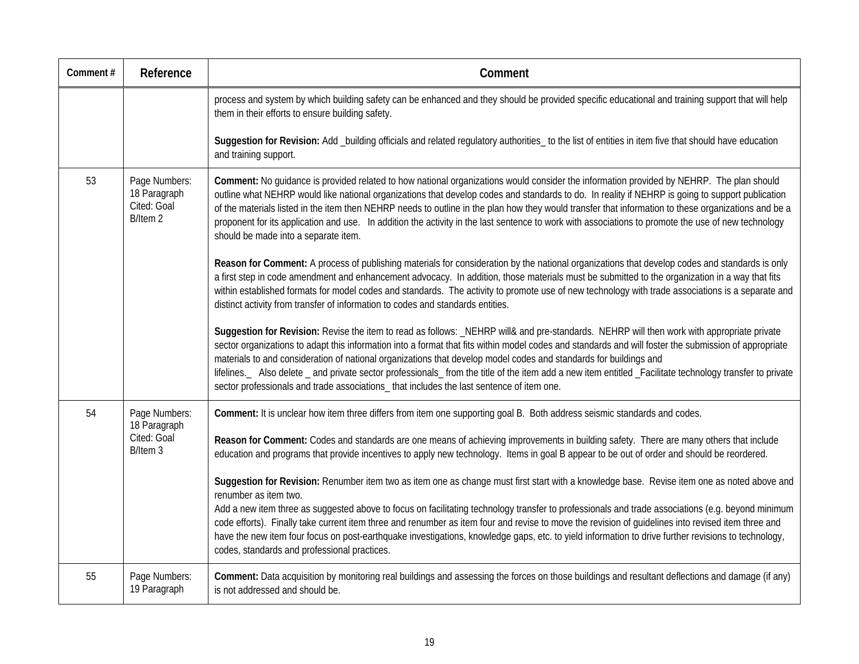| Comment# | Reference                                                | Comment                                                                                                                                                                                                                                                                                                                                                                                                                                                                                                                                                                                                                                                                                |
|----------|----------------------------------------------------------|----------------------------------------------------------------------------------------------------------------------------------------------------------------------------------------------------------------------------------------------------------------------------------------------------------------------------------------------------------------------------------------------------------------------------------------------------------------------------------------------------------------------------------------------------------------------------------------------------------------------------------------------------------------------------------------|
|          |                                                          | process and system by which building safety can be enhanced and they should be provided specific educational and training support that will help<br>them in their efforts to ensure building safety.                                                                                                                                                                                                                                                                                                                                                                                                                                                                                   |
|          |                                                          | Suggestion for Revision: Add _building officials and related regulatory authorities_ to the list of entities in item five that should have education<br>and training support.                                                                                                                                                                                                                                                                                                                                                                                                                                                                                                          |
| 53       | Page Numbers:<br>18 Paragraph<br>Cited: Goal<br>B/Item 2 | Comment: No quidance is provided related to how national organizations would consider the information provided by NEHRP. The plan should<br>outline what NEHRP would like national organizations that develop codes and standards to do. In reality if NEHRP is going to support publication<br>of the materials listed in the item then NEHRP needs to outline in the plan how they would transfer that information to these organizations and be a<br>proponent for its application and use. In addition the activity in the last sentence to work with associations to promote the use of new technology<br>should be made into a separate item.                                    |
|          |                                                          | Reason for Comment: A process of publishing materials for consideration by the national organizations that develop codes and standards is only<br>a first step in code amendment and enhancement advocacy. In addition, those materials must be submitted to the organization in a way that fits<br>within established formats for model codes and standards. The activity to promote use of new technology with trade associations is a separate and<br>distinct activity from transfer of information to codes and standards entities.                                                                                                                                               |
|          |                                                          | Suggestion for Revision: Revise the item to read as follows: _NEHRP will& and pre-standards. NEHRP will then work with appropriate private<br>sector organizations to adapt this information into a format that fits within model codes and standards and will foster the submission of appropriate<br>materials to and consideration of national organizations that develop model codes and standards for buildings and<br>lifelines. Also delete _ and private sector professionals_from the title of the item add a new item entitled _Facilitate technology transfer to private<br>sector professionals and trade associations_ that includes the last sentence of item one.       |
| 54       | Page Numbers:<br>18 Paragraph                            | Comment: It is unclear how item three differs from item one supporting goal B. Both address seismic standards and codes.                                                                                                                                                                                                                                                                                                                                                                                                                                                                                                                                                               |
|          | Cited: Goal<br>B/Item 3                                  | Reason for Comment: Codes and standards are one means of achieving improvements in building safety. There are many others that include<br>education and programs that provide incentives to apply new technology. Items in goal B appear to be out of order and should be reordered.                                                                                                                                                                                                                                                                                                                                                                                                   |
|          |                                                          | Suggestion for Revision: Renumber item two as item one as change must first start with a knowledge base. Revise item one as noted above and<br>renumber as item two.<br>Add a new item three as suggested above to focus on facilitating technology transfer to professionals and trade associations (e.g. beyond minimum<br>code efforts). Finally take current item three and renumber as item four and revise to move the revision of quidelines into revised item three and<br>have the new item four focus on post-earthquake investigations, knowledge gaps, etc. to yield information to drive further revisions to technology,<br>codes, standards and professional practices. |
| 55       | Page Numbers:<br>19 Paragraph                            | Comment: Data acquisition by monitoring real buildings and assessing the forces on those buildings and resultant deflections and damage (if any)<br>is not addressed and should be.                                                                                                                                                                                                                                                                                                                                                                                                                                                                                                    |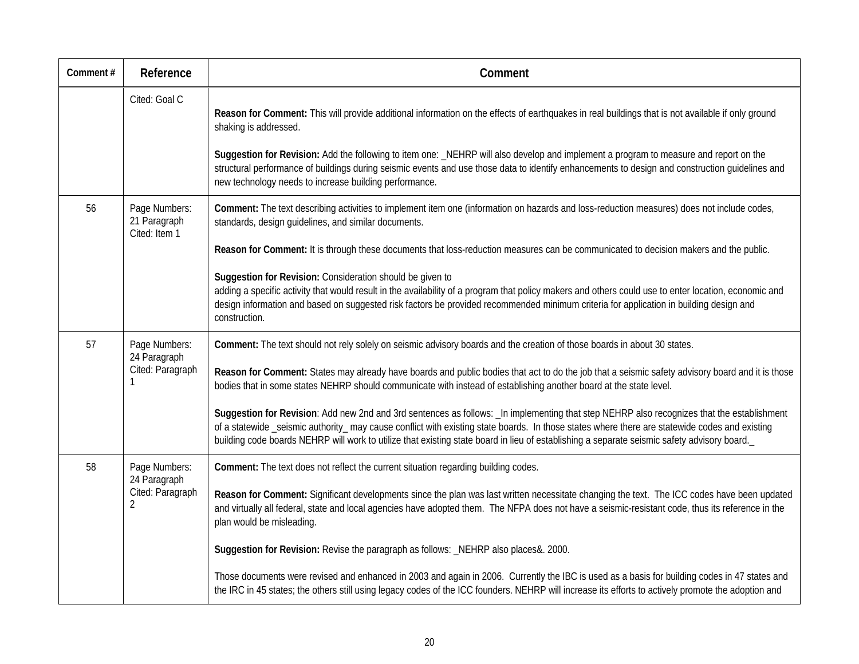| Comment# | Reference                                          | Comment                                                                                                                                                                                                                                                                                                                                                                                                                                     |
|----------|----------------------------------------------------|---------------------------------------------------------------------------------------------------------------------------------------------------------------------------------------------------------------------------------------------------------------------------------------------------------------------------------------------------------------------------------------------------------------------------------------------|
|          | Cited: Goal C                                      | Reason for Comment: This will provide additional information on the effects of earthquakes in real buildings that is not available if only ground<br>shaking is addressed.<br>Suggestion for Revision: Add the following to item one: _NEHRP will also develop and implement a program to measure and report on the                                                                                                                         |
|          |                                                    | structural performance of buildings during seismic events and use those data to identify enhancements to design and construction guidelines and<br>new technology needs to increase building performance.                                                                                                                                                                                                                                   |
| 56       | Page Numbers:<br>21 Paragraph<br>Cited: Item 1     | Comment: The text describing activities to implement item one (information on hazards and loss-reduction measures) does not include codes,<br>standards, design guidelines, and similar documents.                                                                                                                                                                                                                                          |
|          |                                                    | Reason for Comment: It is through these documents that loss-reduction measures can be communicated to decision makers and the public.                                                                                                                                                                                                                                                                                                       |
|          |                                                    | Suggestion for Revision: Consideration should be given to<br>adding a specific activity that would result in the availability of a program that policy makers and others could use to enter location, economic and<br>design information and based on suggested risk factors be provided recommended minimum criteria for application in building design and<br>construction.                                                               |
| 57       | Page Numbers:<br>24 Paragraph<br>Cited: Paragraph  | Comment: The text should not rely solely on seismic advisory boards and the creation of those boards in about 30 states.                                                                                                                                                                                                                                                                                                                    |
|          |                                                    | Reason for Comment: States may already have boards and public bodies that act to do the job that a seismic safety advisory board and it is those<br>bodies that in some states NEHRP should communicate with instead of establishing another board at the state level.                                                                                                                                                                      |
|          |                                                    | Suggestion for Revision: Add new 2nd and 3rd sentences as follows: _In implementing that step NEHRP also recognizes that the establishment<br>of a statewide _seismic authority_ may cause conflict with existing state boards. In those states where there are statewide codes and existing<br>building code boards NEHRP will work to utilize that existing state board in lieu of establishing a separate seismic safety advisory board. |
| 58       | Page Numbers:                                      | Comment: The text does not reflect the current situation regarding building codes.                                                                                                                                                                                                                                                                                                                                                          |
|          | 24 Paragraph<br>Cited: Paragraph<br>$\overline{2}$ | Reason for Comment: Significant developments since the plan was last written necessitate changing the text. The ICC codes have been updated<br>and virtually all federal, state and local agencies have adopted them. The NFPA does not have a seismic-resistant code, thus its reference in the<br>plan would be misleading.                                                                                                               |
|          |                                                    | Suggestion for Revision: Revise the paragraph as follows: _NEHRP also places&. 2000.                                                                                                                                                                                                                                                                                                                                                        |
|          |                                                    | Those documents were revised and enhanced in 2003 and again in 2006. Currently the IBC is used as a basis for building codes in 47 states and<br>the IRC in 45 states; the others still using legacy codes of the ICC founders. NEHRP will increase its efforts to actively promote the adoption and                                                                                                                                        |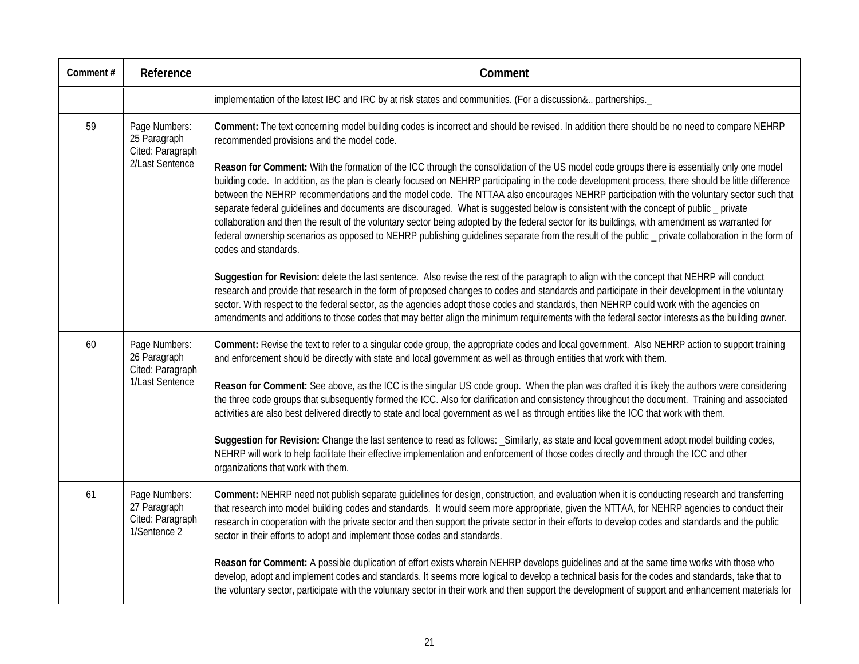| Comment# | Reference                                                            | Comment                                                                                                                                                                                                                                                                                                                                                                                                                                                                                                                                                                                                                                                                                                                                                                                                                                                                                                                                                                                                                                                                                                                |
|----------|----------------------------------------------------------------------|------------------------------------------------------------------------------------------------------------------------------------------------------------------------------------------------------------------------------------------------------------------------------------------------------------------------------------------------------------------------------------------------------------------------------------------------------------------------------------------------------------------------------------------------------------------------------------------------------------------------------------------------------------------------------------------------------------------------------------------------------------------------------------------------------------------------------------------------------------------------------------------------------------------------------------------------------------------------------------------------------------------------------------------------------------------------------------------------------------------------|
|          |                                                                      | implementation of the latest IBC and IRC by at risk states and communities. (For a discussion& partnerships._                                                                                                                                                                                                                                                                                                                                                                                                                                                                                                                                                                                                                                                                                                                                                                                                                                                                                                                                                                                                          |
| 59       | Page Numbers:<br>25 Paragraph<br>Cited: Paragraph<br>2/Last Sentence | Comment: The text concerning model building codes is incorrect and should be revised. In addition there should be no need to compare NEHRP<br>recommended provisions and the model code.<br>Reason for Comment: With the formation of the ICC through the consolidation of the US model code groups there is essentially only one model<br>building code. In addition, as the plan is clearly focused on NEHRP participating in the code development process, there should be little difference<br>between the NEHRP recommendations and the model code. The NTTAA also encourages NEHRP participation with the voluntary sector such that<br>separate federal guidelines and documents are discouraged. What is suggested below is consistent with the concept of public _ private<br>collaboration and then the result of the voluntary sector being adopted by the federal sector for its buildings, with amendment as warranted for<br>federal ownership scenarios as opposed to NEHRP publishing guidelines separate from the result of the public _ private collaboration in the form of<br>codes and standards. |
|          |                                                                      | Suggestion for Revision: delete the last sentence. Also revise the rest of the paragraph to align with the concept that NEHRP will conduct<br>research and provide that research in the form of proposed changes to codes and standards and participate in their development in the voluntary<br>sector. With respect to the federal sector, as the agencies adopt those codes and standards, then NEHRP could work with the agencies on<br>amendments and additions to those codes that may better align the minimum requirements with the federal sector interests as the building owner.                                                                                                                                                                                                                                                                                                                                                                                                                                                                                                                            |
| 60       | Page Numbers:<br>26 Paragraph<br>Cited: Paragraph<br>1/Last Sentence | Comment: Revise the text to refer to a singular code group, the appropriate codes and local government. Also NEHRP action to support training<br>and enforcement should be directly with state and local government as well as through entities that work with them.<br>Reason for Comment: See above, as the ICC is the singular US code group. When the plan was drafted it is likely the authors were considering<br>the three code groups that subsequently formed the ICC. Also for clarification and consistency throughout the document. Training and associated<br>activities are also best delivered directly to state and local government as well as through entities like the ICC that work with them.<br>Suggestion for Revision: Change the last sentence to read as follows: _Similarly, as state and local government adopt model building codes,<br>NEHRP will work to help facilitate their effective implementation and enforcement of those codes directly and through the ICC and other<br>organizations that work with them.                                                                     |
| 61       | Page Numbers:<br>27 Paragraph<br>Cited: Paragraph<br>1/Sentence 2    | Comment: NEHRP need not publish separate guidelines for design, construction, and evaluation when it is conducting research and transferring<br>that research into model building codes and standards. It would seem more appropriate, given the NTTAA, for NEHRP agencies to conduct their<br>research in cooperation with the private sector and then support the private sector in their efforts to develop codes and standards and the public<br>sector in their efforts to adopt and implement those codes and standards.<br>Reason for Comment: A possible duplication of effort exists wherein NEHRP develops guidelines and at the same time works with those who<br>develop, adopt and implement codes and standards. It seems more logical to develop a technical basis for the codes and standards, take that to<br>the voluntary sector, participate with the voluntary sector in their work and then support the development of support and enhancement materials for                                                                                                                                     |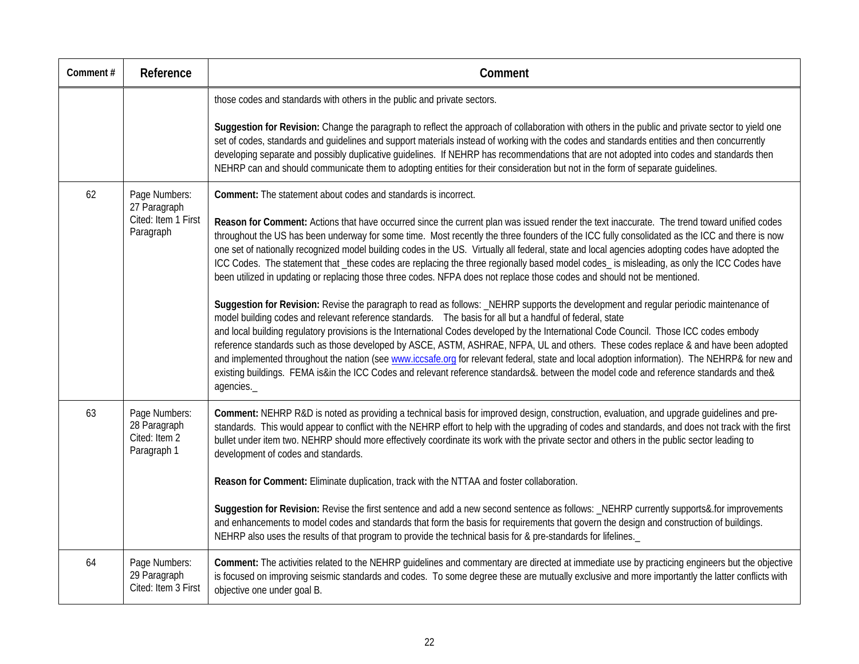| Comment# | Reference                                                     | Comment                                                                                                                                                                                                                                                                                                                                                                                                                                                                                                                                                                                                                                                                                                                                                                                                                                      |
|----------|---------------------------------------------------------------|----------------------------------------------------------------------------------------------------------------------------------------------------------------------------------------------------------------------------------------------------------------------------------------------------------------------------------------------------------------------------------------------------------------------------------------------------------------------------------------------------------------------------------------------------------------------------------------------------------------------------------------------------------------------------------------------------------------------------------------------------------------------------------------------------------------------------------------------|
|          |                                                               | those codes and standards with others in the public and private sectors.                                                                                                                                                                                                                                                                                                                                                                                                                                                                                                                                                                                                                                                                                                                                                                     |
|          |                                                               | Suggestion for Revision: Change the paragraph to reflect the approach of collaboration with others in the public and private sector to yield one<br>set of codes, standards and guidelines and support materials instead of working with the codes and standards entities and then concurrently<br>developing separate and possibly duplicative guidelines. If NEHRP has recommendations that are not adopted into codes and standards then<br>NEHRP can and should communicate them to adopting entities for their consideration but not in the form of separate guidelines.                                                                                                                                                                                                                                                                |
| 62       | Page Numbers:<br>27 Paragraph                                 | Comment: The statement about codes and standards is incorrect.                                                                                                                                                                                                                                                                                                                                                                                                                                                                                                                                                                                                                                                                                                                                                                               |
|          | Cited: Item 1 First<br>Paragraph                              | Reason for Comment: Actions that have occurred since the current plan was issued render the text inaccurate. The trend toward unified codes<br>throughout the US has been underway for some time. Most recently the three founders of the ICC fully consolidated as the ICC and there is now<br>one set of nationally recognized model building codes in the US. Virtually all federal, state and local agencies adopting codes have adopted the<br>ICC Codes. The statement that _these codes are replacing the three regionally based model codes_ is misleading, as only the ICC Codes have<br>been utilized in updating or replacing those three codes. NFPA does not replace those codes and should not be mentioned.                                                                                                                   |
|          |                                                               | Suggestion for Revision: Revise the paragraph to read as follows: _NEHRP supports the development and regular periodic maintenance of<br>model building codes and relevant reference standards.  The basis for all but a handful of federal, state<br>and local building regulatory provisions is the International Codes developed by the International Code Council. Those ICC codes embody<br>reference standards such as those developed by ASCE, ASTM, ASHRAE, NFPA, UL and others. These codes replace & and have been adopted<br>and implemented throughout the nation (see www.iccsafe.org for relevant federal, state and local adoption information). The NEHRP& for new and<br>existing buildings. FEMA is∈ the ICC Codes and relevant reference standards&. between the model code and reference standards and the&<br>agencies. |
| 63       | Page Numbers:<br>28 Paragraph<br>Cited: Item 2<br>Paragraph 1 | Comment: NEHRP R&D is noted as providing a technical basis for improved design, construction, evaluation, and upgrade guidelines and pre-<br>standards. This would appear to conflict with the NEHRP effort to help with the upgrading of codes and standards, and does not track with the first<br>bullet under item two. NEHRP should more effectively coordinate its work with the private sector and others in the public sector leading to<br>development of codes and standards.                                                                                                                                                                                                                                                                                                                                                       |
|          |                                                               | Reason for Comment: Eliminate duplication, track with the NTTAA and foster collaboration.                                                                                                                                                                                                                                                                                                                                                                                                                                                                                                                                                                                                                                                                                                                                                    |
|          |                                                               | Suggestion for Revision: Revise the first sentence and add a new second sentence as follows: _NEHRP currently supports& for improvements<br>and enhancements to model codes and standards that form the basis for requirements that govern the design and construction of buildings.<br>NEHRP also uses the results of that program to provide the technical basis for & pre-standards for lifelines.                                                                                                                                                                                                                                                                                                                                                                                                                                        |
| 64       | Page Numbers:<br>29 Paragraph<br>Cited: Item 3 First          | Comment: The activities related to the NEHRP guidelines and commentary are directed at immediate use by practicing engineers but the objective<br>is focused on improving seismic standards and codes. To some degree these are mutually exclusive and more importantly the latter conflicts with<br>objective one under goal B.                                                                                                                                                                                                                                                                                                                                                                                                                                                                                                             |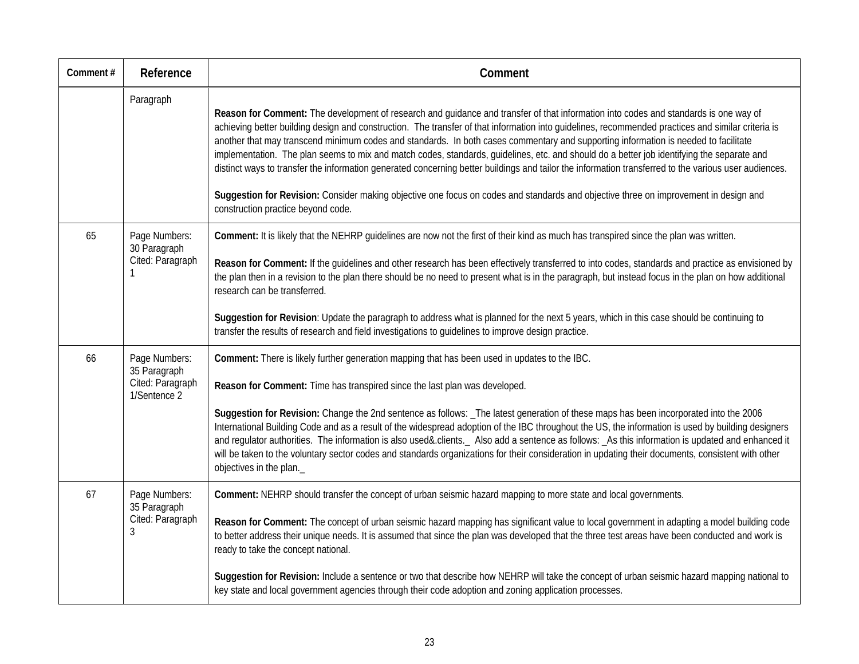| Comment# | Reference                                                                    | Comment                                                                                                                                                                                                                                                                                                                                                                                                                                                                                                                                                                                                                                                                                                                                                                                                                                                                                                                |
|----------|------------------------------------------------------------------------------|------------------------------------------------------------------------------------------------------------------------------------------------------------------------------------------------------------------------------------------------------------------------------------------------------------------------------------------------------------------------------------------------------------------------------------------------------------------------------------------------------------------------------------------------------------------------------------------------------------------------------------------------------------------------------------------------------------------------------------------------------------------------------------------------------------------------------------------------------------------------------------------------------------------------|
|          | Paragraph                                                                    | Reason for Comment: The development of research and guidance and transfer of that information into codes and standards is one way of<br>achieving better building design and construction. The transfer of that information into guidelines, recommended practices and similar criteria is<br>another that may transcend minimum codes and standards. In both cases commentary and supporting information is needed to facilitate<br>implementation. The plan seems to mix and match codes, standards, guidelines, etc. and should do a better job identifying the separate and<br>distinct ways to transfer the information generated concerning better buildings and tailor the information transferred to the various user audiences.<br>Suggestion for Revision: Consider making objective one focus on codes and standards and objective three on improvement in design and<br>construction practice beyond code. |
| 65       | Page Numbers:<br>30 Paragraph<br>Cited: Paragraph                            | Comment: It is likely that the NEHRP quidelines are now not the first of their kind as much has transpired since the plan was written.<br>Reason for Comment: If the guidelines and other research has been effectively transferred to into codes, standards and practice as envisioned by<br>the plan then in a revision to the plan there should be no need to present what is in the paragraph, but instead focus in the plan on how additional<br>research can be transferred.<br>Suggestion for Revision: Update the paragraph to address what is planned for the next 5 years, which in this case should be continuing to<br>transfer the results of research and field investigations to guidelines to improve design practice.                                                                                                                                                                                 |
| 66       | Page Numbers:<br>35 Paragraph<br>Cited: Paragraph<br>1/Sentence <sub>2</sub> | Comment: There is likely further generation mapping that has been used in updates to the IBC.<br>Reason for Comment: Time has transpired since the last plan was developed.<br>Suggestion for Revision: Change the 2nd sentence as follows: _The latest generation of these maps has been incorporated into the 2006<br>International Building Code and as a result of the widespread adoption of the IBC throughout the US, the information is used by building designers<br>and regulator authorities. The information is also used&.clients._ Also add a sentence as follows: _As this information is updated and enhanced it<br>will be taken to the voluntary sector codes and standards organizations for their consideration in updating their documents, consistent with other<br>objectives in the plan.                                                                                                      |
| 67       | Page Numbers:<br>35 Paragraph<br>Cited: Paragraph<br>3                       | Comment: NEHRP should transfer the concept of urban seismic hazard mapping to more state and local governments.<br>Reason for Comment: The concept of urban seismic hazard mapping has significant value to local government in adapting a model building code<br>to better address their unique needs. It is assumed that since the plan was developed that the three test areas have been conducted and work is<br>ready to take the concept national.<br>Suggestion for Revision: Include a sentence or two that describe how NEHRP will take the concept of urban seismic hazard mapping national to<br>key state and local government agencies through their code adoption and zoning application processes.                                                                                                                                                                                                      |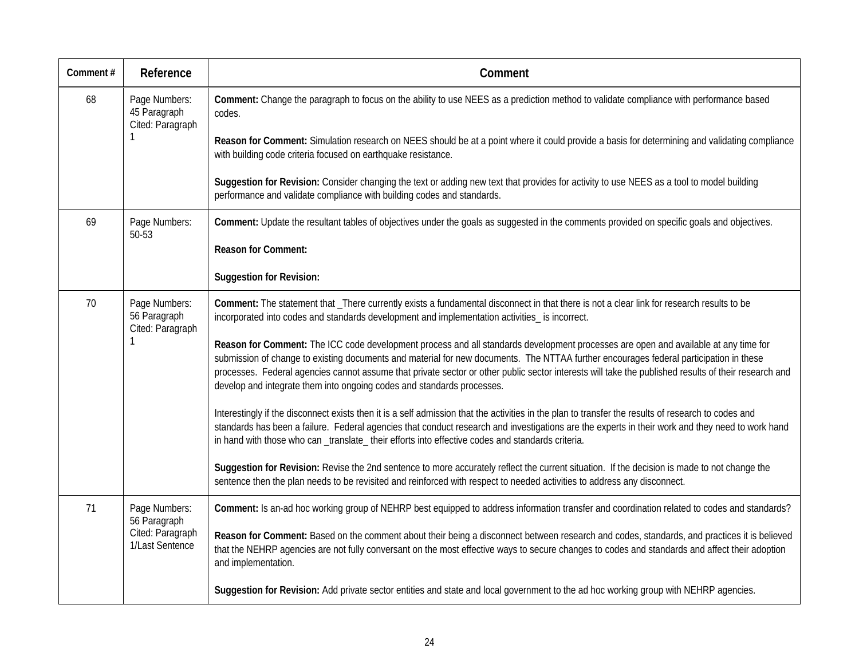| Comment# | Reference                                                            | Comment                                                                                                                                                                                                                                                                                                                                                                                                                                                                                                         |
|----------|----------------------------------------------------------------------|-----------------------------------------------------------------------------------------------------------------------------------------------------------------------------------------------------------------------------------------------------------------------------------------------------------------------------------------------------------------------------------------------------------------------------------------------------------------------------------------------------------------|
| 68       | Page Numbers:<br>45 Paragraph<br>Cited: Paragraph                    | Comment: Change the paragraph to focus on the ability to use NEES as a prediction method to validate compliance with performance based<br>codes.                                                                                                                                                                                                                                                                                                                                                                |
|          |                                                                      | Reason for Comment: Simulation research on NEES should be at a point where it could provide a basis for determining and validating compliance<br>with building code criteria focused on earthquake resistance.                                                                                                                                                                                                                                                                                                  |
|          |                                                                      | Suggestion for Revision: Consider changing the text or adding new text that provides for activity to use NEES as a tool to model building<br>performance and validate compliance with building codes and standards.                                                                                                                                                                                                                                                                                             |
| 69       | Page Numbers:<br>50-53                                               | Comment: Update the resultant tables of objectives under the goals as suggested in the comments provided on specific goals and objectives.                                                                                                                                                                                                                                                                                                                                                                      |
|          |                                                                      | <b>Reason for Comment:</b>                                                                                                                                                                                                                                                                                                                                                                                                                                                                                      |
|          |                                                                      | <b>Suggestion for Revision:</b>                                                                                                                                                                                                                                                                                                                                                                                                                                                                                 |
| 70       | Page Numbers:<br>56 Paragraph<br>Cited: Paragraph                    | Comment: The statement that _There currently exists a fundamental disconnect in that there is not a clear link for research results to be<br>incorporated into codes and standards development and implementation activities_ is incorrect.                                                                                                                                                                                                                                                                     |
|          |                                                                      | Reason for Comment: The ICC code development process and all standards development processes are open and available at any time for<br>submission of change to existing documents and material for new documents. The NTTAA further encourages federal participation in these<br>processes. Federal agencies cannot assume that private sector or other public sector interests will take the published results of their research and<br>develop and integrate them into ongoing codes and standards processes. |
|          |                                                                      | Interestingly if the disconnect exists then it is a self admission that the activities in the plan to transfer the results of research to codes and<br>standards has been a failure. Federal agencies that conduct research and investigations are the experts in their work and they need to work hand<br>in hand with those who can _translate_ their efforts into effective codes and standards criteria.                                                                                                    |
|          |                                                                      | Suggestion for Revision: Revise the 2nd sentence to more accurately reflect the current situation. If the decision is made to not change the<br>sentence then the plan needs to be revisited and reinforced with respect to needed activities to address any disconnect.                                                                                                                                                                                                                                        |
| 71       | Page Numbers:<br>56 Paragraph<br>Cited: Paragraph<br>1/Last Sentence | Comment: Is an-ad hoc working group of NEHRP best equipped to address information transfer and coordination related to codes and standards?                                                                                                                                                                                                                                                                                                                                                                     |
|          |                                                                      | Reason for Comment: Based on the comment about their being a disconnect between research and codes, standards, and practices it is believed<br>that the NEHRP agencies are not fully conversant on the most effective ways to secure changes to codes and standards and affect their adoption<br>and implementation.                                                                                                                                                                                            |
|          |                                                                      | Suggestion for Revision: Add private sector entities and state and local government to the ad hoc working group with NEHRP agencies.                                                                                                                                                                                                                                                                                                                                                                            |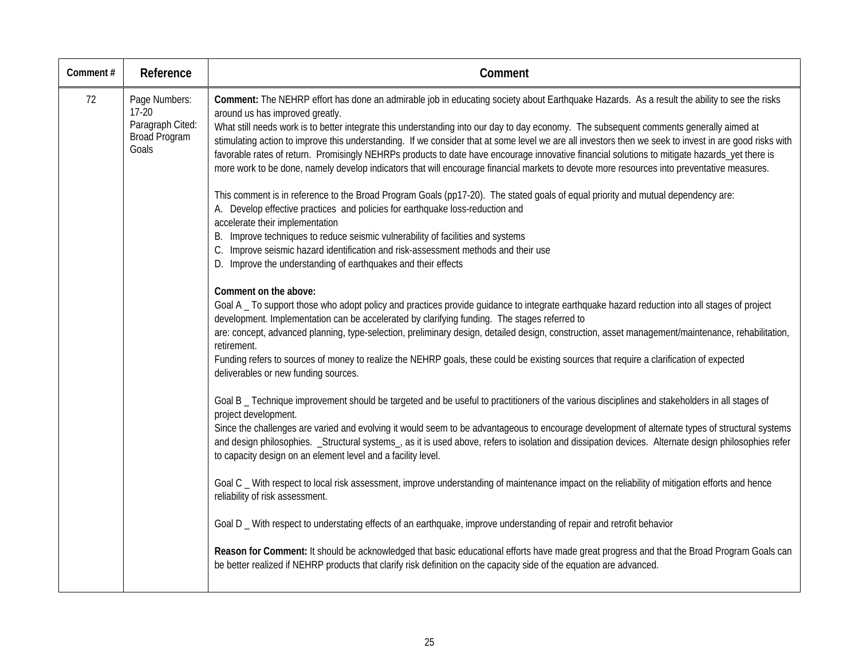| Comment# | Reference                                                              | Comment                                                                                                                                                                                                                                                                                                                                                                                                                                                                                                                                                                                                                                                                                                                                                                                                                                                                                                                                                                                                                                                                                                                                                                                                                                                                                                                                                                                                                                                                                                                                                                                                                                                                                                                                                                                                                                                                                                                                                                                                                                                                                                                                                                                                                                                                                                                                                                                                                                                                                                                                                                                                                                                                                                                                                                                                                                                                                                                               |
|----------|------------------------------------------------------------------------|---------------------------------------------------------------------------------------------------------------------------------------------------------------------------------------------------------------------------------------------------------------------------------------------------------------------------------------------------------------------------------------------------------------------------------------------------------------------------------------------------------------------------------------------------------------------------------------------------------------------------------------------------------------------------------------------------------------------------------------------------------------------------------------------------------------------------------------------------------------------------------------------------------------------------------------------------------------------------------------------------------------------------------------------------------------------------------------------------------------------------------------------------------------------------------------------------------------------------------------------------------------------------------------------------------------------------------------------------------------------------------------------------------------------------------------------------------------------------------------------------------------------------------------------------------------------------------------------------------------------------------------------------------------------------------------------------------------------------------------------------------------------------------------------------------------------------------------------------------------------------------------------------------------------------------------------------------------------------------------------------------------------------------------------------------------------------------------------------------------------------------------------------------------------------------------------------------------------------------------------------------------------------------------------------------------------------------------------------------------------------------------------------------------------------------------------------------------------------------------------------------------------------------------------------------------------------------------------------------------------------------------------------------------------------------------------------------------------------------------------------------------------------------------------------------------------------------------------------------------------------------------------------------------------------------------|
| 72       | Page Numbers:<br>$17-20$<br>Paragraph Cited:<br>Broad Program<br>Goals | Comment: The NEHRP effort has done an admirable job in educating society about Earthquake Hazards. As a result the ability to see the risks<br>around us has improved greatly.<br>What still needs work is to better integrate this understanding into our day to day economy. The subsequent comments generally aimed at<br>stimulating action to improve this understanding. If we consider that at some level we are all investors then we seek to invest in are good risks with<br>favorable rates of return. Promisingly NEHRPs products to date have encourage innovative financial solutions to mitigate hazards_yet there is<br>more work to be done, namely develop indicators that will encourage financial markets to devote more resources into preventative measures.<br>This comment is in reference to the Broad Program Goals (pp17-20). The stated goals of equal priority and mutual dependency are:<br>A. Develop effective practices and policies for earthquake loss-reduction and<br>accelerate their implementation<br>B. Improve techniques to reduce seismic vulnerability of facilities and systems<br>C. Improve seismic hazard identification and risk-assessment methods and their use<br>D. Improve the understanding of earthquakes and their effects<br>Comment on the above:<br>Goal A _ To support those who adopt policy and practices provide guidance to integrate earthquake hazard reduction into all stages of project<br>development. Implementation can be accelerated by clarifying funding. The stages referred to<br>are: concept, advanced planning, type-selection, preliminary design, detailed design, construction, asset management/maintenance, rehabilitation,<br>retirement.<br>Funding refers to sources of money to realize the NEHRP goals, these could be existing sources that require a clarification of expected<br>deliverables or new funding sources.<br>Goal B _ Technique improvement should be targeted and be useful to practitioners of the various disciplines and stakeholders in all stages of<br>project development.<br>Since the challenges are varied and evolving it would seem to be advantageous to encourage development of alternate types of structural systems<br>and design philosophies. _Structural systems_, as it is used above, refers to isolation and dissipation devices. Alternate design philosophies refer<br>to capacity design on an element level and a facility level.<br>Goal C _ With respect to local risk assessment, improve understanding of maintenance impact on the reliability of mitigation efforts and hence<br>reliability of risk assessment.<br>Goal D _ With respect to understating effects of an earthquake, improve understanding of repair and retrofit behavior<br>Reason for Comment: It should be acknowledged that basic educational efforts have made great progress and that the Broad Program Goals can |
|          |                                                                        | be better realized if NEHRP products that clarify risk definition on the capacity side of the equation are advanced.                                                                                                                                                                                                                                                                                                                                                                                                                                                                                                                                                                                                                                                                                                                                                                                                                                                                                                                                                                                                                                                                                                                                                                                                                                                                                                                                                                                                                                                                                                                                                                                                                                                                                                                                                                                                                                                                                                                                                                                                                                                                                                                                                                                                                                                                                                                                                                                                                                                                                                                                                                                                                                                                                                                                                                                                                  |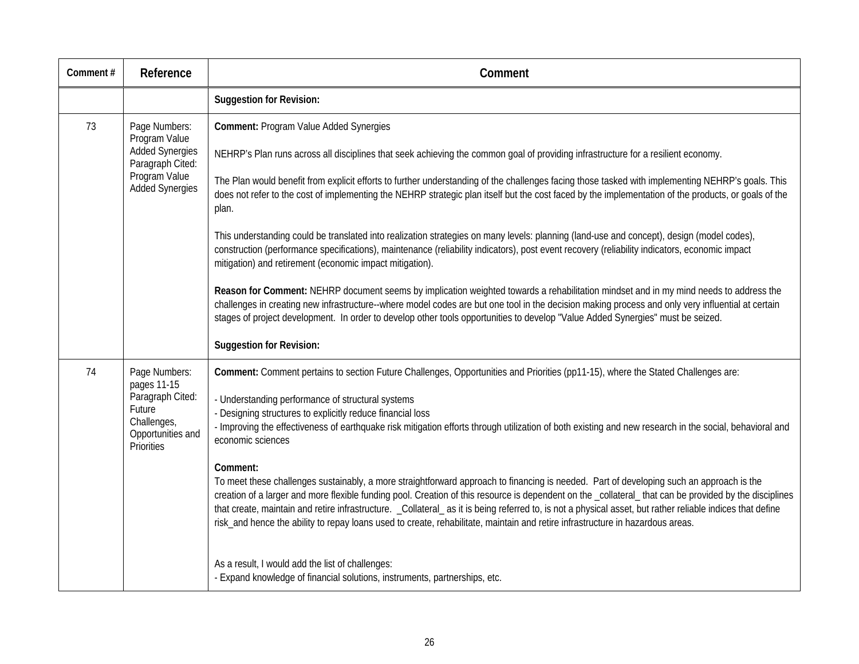| Comment# | Reference                                                                                                               | Comment                                                                                                                                                                                                                                                                                                                                                                                                                                                                                                                                                                                                                                                                                                                                                                                                                                                                                                                                                                                                                                                                                                                                                                                                                                                                                                                         |
|----------|-------------------------------------------------------------------------------------------------------------------------|---------------------------------------------------------------------------------------------------------------------------------------------------------------------------------------------------------------------------------------------------------------------------------------------------------------------------------------------------------------------------------------------------------------------------------------------------------------------------------------------------------------------------------------------------------------------------------------------------------------------------------------------------------------------------------------------------------------------------------------------------------------------------------------------------------------------------------------------------------------------------------------------------------------------------------------------------------------------------------------------------------------------------------------------------------------------------------------------------------------------------------------------------------------------------------------------------------------------------------------------------------------------------------------------------------------------------------|
|          |                                                                                                                         | <b>Suggestion for Revision:</b>                                                                                                                                                                                                                                                                                                                                                                                                                                                                                                                                                                                                                                                                                                                                                                                                                                                                                                                                                                                                                                                                                                                                                                                                                                                                                                 |
| 73       | Page Numbers:<br>Program Value<br><b>Added Synergies</b><br>Paragraph Cited:<br>Program Value<br><b>Added Synergies</b> | Comment: Program Value Added Synergies<br>NEHRP's Plan runs across all disciplines that seek achieving the common goal of providing infrastructure for a resilient economy.<br>The Plan would benefit from explicit efforts to further understanding of the challenges facing those tasked with implementing NEHRP's goals. This<br>does not refer to the cost of implementing the NEHRP strategic plan itself but the cost faced by the implementation of the products, or goals of the<br>plan.<br>This understanding could be translated into realization strategies on many levels: planning (land-use and concept), design (model codes),<br>construction (performance specifications), maintenance (reliability indicators), post event recovery (reliability indicators, economic impact<br>mitigation) and retirement (economic impact mitigation).<br>Reason for Comment: NEHRP document seems by implication weighted towards a rehabilitation mindset and in my mind needs to address the<br>challenges in creating new infrastructure--where model codes are but one tool in the decision making process and only very influential at certain<br>stages of project development. In order to develop other tools opportunities to develop "Value Added Synergies" must be seized.<br><b>Suggestion for Revision:</b> |
| 74       | Page Numbers:<br>pages 11-15<br>Paragraph Cited:<br>Future<br>Challenges,<br>Opportunities and<br>Priorities            | Comment: Comment pertains to section Future Challenges, Opportunities and Priorities (pp11-15), where the Stated Challenges are:<br>- Understanding performance of structural systems<br>- Designing structures to explicitly reduce financial loss<br>- Improving the effectiveness of earthquake risk mitigation efforts through utilization of both existing and new research in the social, behavioral and<br>economic sciences<br>Comment:<br>To meet these challenges sustainably, a more straightforward approach to financing is needed. Part of developing such an approach is the<br>creation of a larger and more flexible funding pool. Creation of this resource is dependent on the _collateral_that can be provided by the disciplines<br>that create, maintain and retire infrastructure. _Collateral_as it is being referred to, is not a physical asset, but rather reliable indices that define<br>risk_and hence the ability to repay loans used to create, rehabilitate, maintain and retire infrastructure in hazardous areas.<br>As a result, I would add the list of challenges:<br>- Expand knowledge of financial solutions, instruments, partnerships, etc.                                                                                                                                          |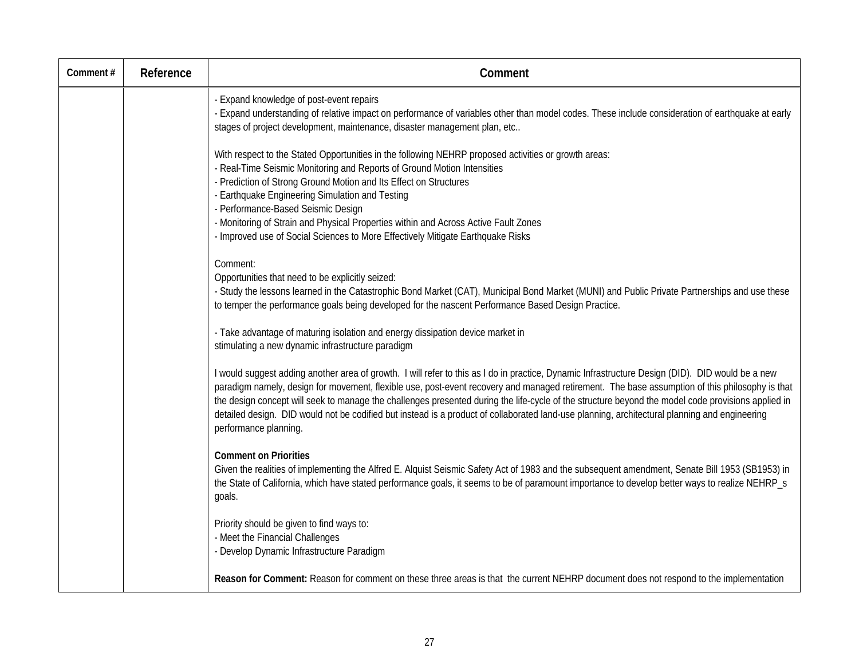| Comment# | Reference | Comment                                                                                                                                                                                                                                                                                                                                                                                                                                                                                                                                                                                                                            |
|----------|-----------|------------------------------------------------------------------------------------------------------------------------------------------------------------------------------------------------------------------------------------------------------------------------------------------------------------------------------------------------------------------------------------------------------------------------------------------------------------------------------------------------------------------------------------------------------------------------------------------------------------------------------------|
|          |           | - Expand knowledge of post-event repairs<br>- Expand understanding of relative impact on performance of variables other than model codes. These include consideration of earthquake at early<br>stages of project development, maintenance, disaster management plan, etc                                                                                                                                                                                                                                                                                                                                                          |
|          |           | With respect to the Stated Opportunities in the following NEHRP proposed activities or growth areas:<br>- Real-Time Seismic Monitoring and Reports of Ground Motion Intensities<br>- Prediction of Strong Ground Motion and Its Effect on Structures<br>- Earthquake Engineering Simulation and Testing<br>- Performance-Based Seismic Design<br>- Monitoring of Strain and Physical Properties within and Across Active Fault Zones<br>- Improved use of Social Sciences to More Effectively Mitigate Earthquake Risks                                                                                                            |
|          |           | Comment:<br>Opportunities that need to be explicitly seized:<br>- Study the lessons learned in the Catastrophic Bond Market (CAT), Municipal Bond Market (MUNI) and Public Private Partnerships and use these<br>to temper the performance goals being developed for the nascent Performance Based Design Practice.                                                                                                                                                                                                                                                                                                                |
|          |           | - Take advantage of maturing isolation and energy dissipation device market in<br>stimulating a new dynamic infrastructure paradigm                                                                                                                                                                                                                                                                                                                                                                                                                                                                                                |
|          |           | I would suggest adding another area of growth. I will refer to this as I do in practice, Dynamic Infrastructure Design (DID). DID would be a new<br>paradigm namely, design for movement, flexible use, post-event recovery and managed retirement. The base assumption of this philosophy is that<br>the design concept will seek to manage the challenges presented during the life-cycle of the structure beyond the model code provisions applied in<br>detailed design. DID would not be codified but instead is a product of collaborated land-use planning, architectural planning and engineering<br>performance planning. |
|          |           | <b>Comment on Priorities</b><br>Given the realities of implementing the Alfred E. Alquist Seismic Safety Act of 1983 and the subsequent amendment, Senate Bill 1953 (SB1953) in<br>the State of California, which have stated performance goals, it seems to be of paramount importance to develop better ways to realize NEHRP_s<br>goals.                                                                                                                                                                                                                                                                                        |
|          |           | Priority should be given to find ways to:<br>- Meet the Financial Challenges<br>- Develop Dynamic Infrastructure Paradigm                                                                                                                                                                                                                                                                                                                                                                                                                                                                                                          |
|          |           | Reason for Comment: Reason for comment on these three areas is that the current NEHRP document does not respond to the implementation                                                                                                                                                                                                                                                                                                                                                                                                                                                                                              |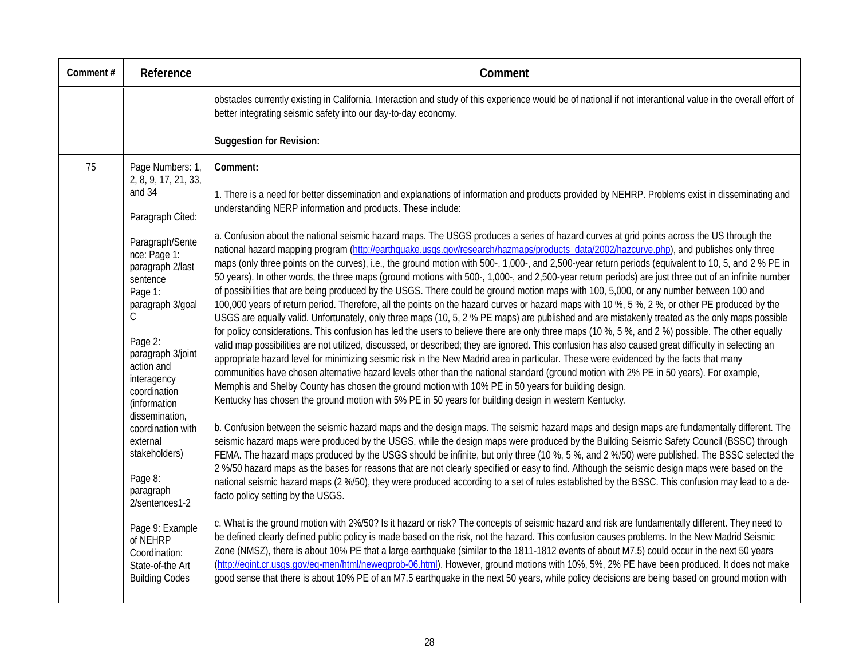| Comment# | Reference                                                                                                                                                                                        | Comment                                                                                                                                                                                                                                                                                                                                                                                                                                                                                                                                                                                                                                                                                                                                                                                                                                                                                                                                                                                                                                                                                                                                                                                                                                                                                                                                                                                                                                                                                                                                                                                                                                                                                                                                                                                                                                                              |
|----------|--------------------------------------------------------------------------------------------------------------------------------------------------------------------------------------------------|----------------------------------------------------------------------------------------------------------------------------------------------------------------------------------------------------------------------------------------------------------------------------------------------------------------------------------------------------------------------------------------------------------------------------------------------------------------------------------------------------------------------------------------------------------------------------------------------------------------------------------------------------------------------------------------------------------------------------------------------------------------------------------------------------------------------------------------------------------------------------------------------------------------------------------------------------------------------------------------------------------------------------------------------------------------------------------------------------------------------------------------------------------------------------------------------------------------------------------------------------------------------------------------------------------------------------------------------------------------------------------------------------------------------------------------------------------------------------------------------------------------------------------------------------------------------------------------------------------------------------------------------------------------------------------------------------------------------------------------------------------------------------------------------------------------------------------------------------------------------|
|          |                                                                                                                                                                                                  | obstacles currently existing in California. Interaction and study of this experience would be of national if not interantional value in the overall effort of<br>better integrating seismic safety into our day-to-day economy.                                                                                                                                                                                                                                                                                                                                                                                                                                                                                                                                                                                                                                                                                                                                                                                                                                                                                                                                                                                                                                                                                                                                                                                                                                                                                                                                                                                                                                                                                                                                                                                                                                      |
|          |                                                                                                                                                                                                  | <b>Suggestion for Revision:</b>                                                                                                                                                                                                                                                                                                                                                                                                                                                                                                                                                                                                                                                                                                                                                                                                                                                                                                                                                                                                                                                                                                                                                                                                                                                                                                                                                                                                                                                                                                                                                                                                                                                                                                                                                                                                                                      |
| 75       | Page Numbers: 1,<br>2, 8, 9, 17, 21, 33,<br>and 34<br>Paragraph Cited:                                                                                                                           | Comment:<br>1. There is a need for better dissemination and explanations of information and products provided by NEHRP. Problems exist in disseminating and<br>understanding NERP information and products. These include:                                                                                                                                                                                                                                                                                                                                                                                                                                                                                                                                                                                                                                                                                                                                                                                                                                                                                                                                                                                                                                                                                                                                                                                                                                                                                                                                                                                                                                                                                                                                                                                                                                           |
|          | Paragraph/Sente<br>nce: Page 1:<br>paragraph 2/last<br>sentence<br>Page 1:<br>paragraph 3/goal<br>C<br>Page 2:<br>paragraph 3/joint<br>action and<br>interagency<br>coordination<br>(information | a. Confusion about the national seismic hazard maps. The USGS produces a series of hazard curves at grid points across the US through the<br>national hazard mapping program (http://earthquake.usgs.gov/research/hazmaps/products_data/2002/hazcurve.php), and publishes only three<br>maps (only three points on the curves), i.e., the ground motion with 500-, 1,000-, and 2,500-year return periods (equivalent to 10, 5, and 2 % PE in<br>50 years). In other words, the three maps (ground motions with 500-, 1,000-, and 2,500-year return periods) are just three out of an infinite number<br>of possibilities that are being produced by the USGS. There could be ground motion maps with 100, 5,000, or any number between 100 and<br>100,000 years of return period. Therefore, all the points on the hazard curves or hazard maps with 10 %, 5 %, 2 %, or other PE produced by the<br>USGS are equally valid. Unfortunately, only three maps (10, 5, 2 % PE maps) are published and are mistakenly treated as the only maps possible<br>for policy considerations. This confusion has led the users to believe there are only three maps (10 %, 5 %, and 2 %) possible. The other equally<br>valid map possibilities are not utilized, discussed, or described; they are ignored. This confusion has also caused great difficulty in selecting an<br>appropriate hazard level for minimizing seismic risk in the New Madrid area in particular. These were evidenced by the facts that many<br>communities have chosen alternative hazard levels other than the national standard (ground motion with 2% PE in 50 years). For example,<br>Memphis and Shelby County has chosen the ground motion with 10% PE in 50 years for building design.<br>Kentucky has chosen the ground motion with 5% PE in 50 years for building design in western Kentucky. |
|          | dissemination,<br>coordination with<br>external<br>stakeholders)<br>Page 8:<br>paragraph<br>2/sentences1-2                                                                                       | b. Confusion between the seismic hazard maps and the design maps. The seismic hazard maps and design maps are fundamentally different. The<br>seismic hazard maps were produced by the USGS, while the design maps were produced by the Building Seismic Safety Council (BSSC) through<br>FEMA. The hazard maps produced by the USGS should be infinite, but only three (10 %, 5 %, and 2 %/50) were published. The BSSC selected the<br>2 %/50 hazard maps as the bases for reasons that are not clearly specified or easy to find. Although the seismic design maps were based on the<br>national seismic hazard maps (2 %/50), they were produced according to a set of rules established by the BSSC. This confusion may lead to a de-<br>facto policy setting by the USGS.                                                                                                                                                                                                                                                                                                                                                                                                                                                                                                                                                                                                                                                                                                                                                                                                                                                                                                                                                                                                                                                                                      |
|          | Page 9: Example<br>of NEHRP<br>Coordination:<br>State-of-the Art<br><b>Building Codes</b>                                                                                                        | c. What is the ground motion with 2%/50? Is it hazard or risk? The concepts of seismic hazard and risk are fundamentally different. They need to<br>be defined clearly defined public policy is made based on the risk, not the hazard. This confusion causes problems. In the New Madrid Seismic<br>Zone (NMSZ), there is about 10% PE that a large earthquake (similar to the 1811-1812 events of about M7.5) could occur in the next 50 years<br>(http://egint.cr.usgs.gov/eq-men/html/newegprob-06.html). However, ground motions with 10%, 5%, 2% PE have been produced. It does not make<br>good sense that there is about 10% PE of an M7.5 earthquake in the next 50 years, while policy decisions are being based on ground motion with                                                                                                                                                                                                                                                                                                                                                                                                                                                                                                                                                                                                                                                                                                                                                                                                                                                                                                                                                                                                                                                                                                                     |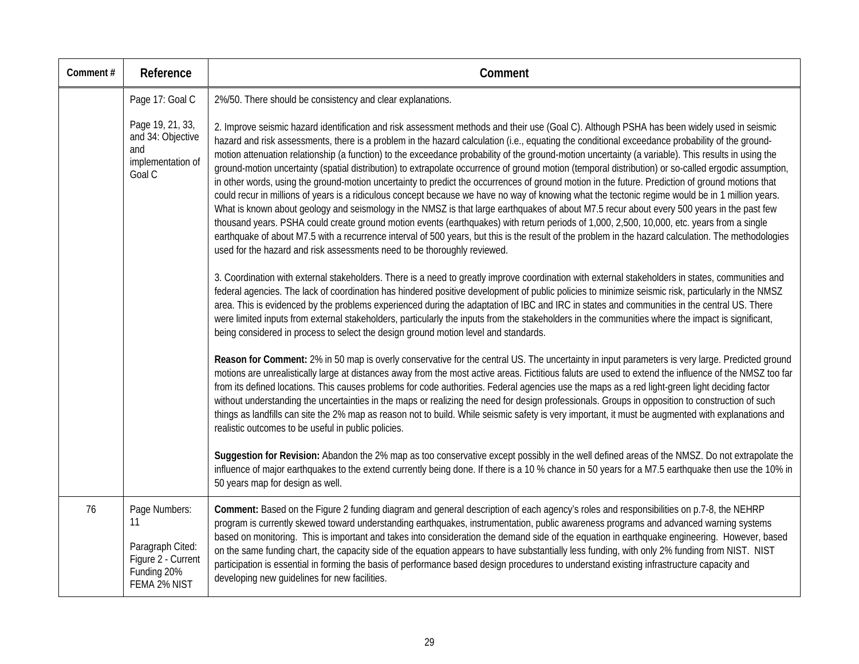| Comment# | Reference                                                                                    | Comment                                                                                                                                                                                                                                                                                                                                                                                                                                                                                                                                                                                                                                                                                                                                                                                                                                                                                                                                                                                                                                                                                                                                                                                                                                                                                                                                                                                                                                              |
|----------|----------------------------------------------------------------------------------------------|------------------------------------------------------------------------------------------------------------------------------------------------------------------------------------------------------------------------------------------------------------------------------------------------------------------------------------------------------------------------------------------------------------------------------------------------------------------------------------------------------------------------------------------------------------------------------------------------------------------------------------------------------------------------------------------------------------------------------------------------------------------------------------------------------------------------------------------------------------------------------------------------------------------------------------------------------------------------------------------------------------------------------------------------------------------------------------------------------------------------------------------------------------------------------------------------------------------------------------------------------------------------------------------------------------------------------------------------------------------------------------------------------------------------------------------------------|
|          | Page 17: Goal C                                                                              | 2%/50. There should be consistency and clear explanations.                                                                                                                                                                                                                                                                                                                                                                                                                                                                                                                                                                                                                                                                                                                                                                                                                                                                                                                                                                                                                                                                                                                                                                                                                                                                                                                                                                                           |
|          | Page 19, 21, 33,<br>and 34: Objective<br>and<br>implementation of<br>Goal C                  | 2. Improve seismic hazard identification and risk assessment methods and their use (Goal C). Although PSHA has been widely used in seismic<br>hazard and risk assessments, there is a problem in the hazard calculation (i.e., equating the conditional exceedance probability of the ground-<br>motion attenuation relationship (a function) to the exceedance probability of the ground-motion uncertainty (a variable). This results in using the<br>ground-motion uncertainty (spatial distribution) to extrapolate occurrence of ground motion (temporal distribution) or so-called ergodic assumption,<br>in other words, using the ground-motion uncertainty to predict the occurrences of ground motion in the future. Prediction of ground motions that<br>could recur in millions of years is a ridiculous concept because we have no way of knowing what the tectonic regime would be in 1 million years.<br>What is known about geology and seismology in the NMSZ is that large earthquakes of about M7.5 recur about every 500 years in the past few<br>thousand years. PSHA could create ground motion events (earthquakes) with return periods of 1,000, 2,500, 10,000, etc. years from a single<br>earthquake of about M7.5 with a recurrence interval of 500 years, but this is the result of the problem in the hazard calculation. The methodologies<br>used for the hazard and risk assessments need to be thoroughly reviewed. |
|          |                                                                                              | 3. Coordination with external stakeholders. There is a need to greatly improve coordination with external stakeholders in states, communities and<br>federal agencies. The lack of coordination has hindered positive development of public policies to minimize seismic risk, particularly in the NMSZ<br>area. This is evidenced by the problems experienced during the adaptation of IBC and IRC in states and communities in the central US. There<br>were limited inputs from external stakeholders, particularly the inputs from the stakeholders in the communities where the impact is significant,<br>being considered in process to select the design ground motion level and standards.                                                                                                                                                                                                                                                                                                                                                                                                                                                                                                                                                                                                                                                                                                                                                   |
|          |                                                                                              | Reason for Comment: 2% in 50 map is overly conservative for the central US. The uncertainty in input parameters is very large. Predicted ground<br>motions are unrealistically large at distances away from the most active areas. Fictitious faluts are used to extend the influence of the NMSZ too far<br>from its defined locations. This causes problems for code authorities. Federal agencies use the maps as a red light-green light deciding factor<br>without understanding the uncertainties in the maps or realizing the need for design professionals. Groups in opposition to construction of such<br>things as landfills can site the 2% map as reason not to build. While seismic safety is very important, it must be augmented with explanations and<br>realistic outcomes to be useful in public policies.                                                                                                                                                                                                                                                                                                                                                                                                                                                                                                                                                                                                                        |
|          |                                                                                              | Suggestion for Revision: Abandon the 2% map as too conservative except possibly in the well defined areas of the NMSZ. Do not extrapolate the<br>influence of major earthquakes to the extend currently being done. If there is a 10 % chance in 50 years for a M7.5 earthquake then use the 10% in<br>50 years map for design as well.                                                                                                                                                                                                                                                                                                                                                                                                                                                                                                                                                                                                                                                                                                                                                                                                                                                                                                                                                                                                                                                                                                              |
| 76       | Page Numbers:<br>11<br>Paragraph Cited:<br>Figure 2 - Current<br>Funding 20%<br>FEMA 2% NIST | Comment: Based on the Figure 2 funding diagram and general description of each agency's roles and responsibilities on p.7-8, the NEHRP<br>program is currently skewed toward understanding earthquakes, instrumentation, public awareness programs and advanced warning systems<br>based on monitoring. This is important and takes into consideration the demand side of the equation in earthquake engineering. However, based<br>on the same funding chart, the capacity side of the equation appears to have substantially less funding, with only 2% funding from NIST. NIST<br>participation is essential in forming the basis of performance based design procedures to understand existing infrastructure capacity and<br>developing new guidelines for new facilities.                                                                                                                                                                                                                                                                                                                                                                                                                                                                                                                                                                                                                                                                      |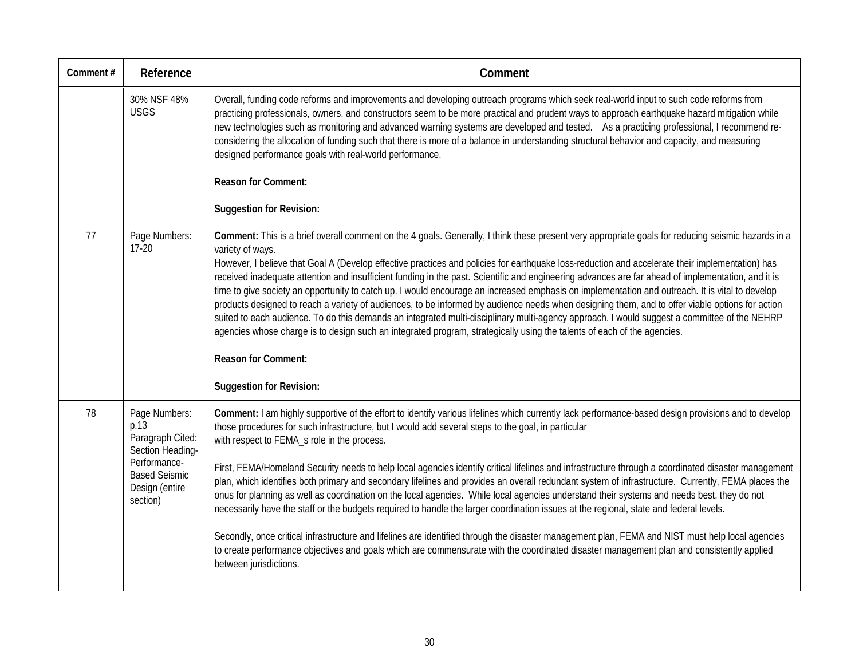| Comment# | Reference                                                                                                                           | Comment                                                                                                                                                                                                                                                                                                                                                                                                                                                                                                                                                                                                                                                                                                                                                                                                                                                                                                                                                                                                                                                                                                                                                                                                                                 |
|----------|-------------------------------------------------------------------------------------------------------------------------------------|-----------------------------------------------------------------------------------------------------------------------------------------------------------------------------------------------------------------------------------------------------------------------------------------------------------------------------------------------------------------------------------------------------------------------------------------------------------------------------------------------------------------------------------------------------------------------------------------------------------------------------------------------------------------------------------------------------------------------------------------------------------------------------------------------------------------------------------------------------------------------------------------------------------------------------------------------------------------------------------------------------------------------------------------------------------------------------------------------------------------------------------------------------------------------------------------------------------------------------------------|
|          | 30% NSF 48%<br><b>USGS</b>                                                                                                          | Overall, funding code reforms and improvements and developing outreach programs which seek real-world input to such code reforms from<br>practicing professionals, owners, and constructors seem to be more practical and prudent ways to approach earthquake hazard mitigation while<br>new technologies such as monitoring and advanced warning systems are developed and tested. As a practicing professional, I recommend re-<br>considering the allocation of funding such that there is more of a balance in understanding structural behavior and capacity, and measuring<br>designed performance goals with real-world performance.<br><b>Reason for Comment:</b>                                                                                                                                                                                                                                                                                                                                                                                                                                                                                                                                                               |
|          |                                                                                                                                     | <b>Suggestion for Revision:</b>                                                                                                                                                                                                                                                                                                                                                                                                                                                                                                                                                                                                                                                                                                                                                                                                                                                                                                                                                                                                                                                                                                                                                                                                         |
| 77       | Page Numbers:<br>$17-20$                                                                                                            | Comment: This is a brief overall comment on the 4 goals. Generally, I think these present very appropriate goals for reducing seismic hazards in a<br>variety of ways.<br>However, I believe that Goal A (Develop effective practices and policies for earthquake loss-reduction and accelerate their implementation) has<br>received inadequate attention and insufficient funding in the past. Scientific and engineering advances are far ahead of implementation, and it is<br>time to give society an opportunity to catch up. I would encourage an increased emphasis on implementation and outreach. It is vital to develop<br>products designed to reach a variety of audiences, to be informed by audience needs when designing them, and to offer viable options for action<br>suited to each audience. To do this demands an integrated multi-disciplinary multi-agency approach. I would suggest a committee of the NEHRP<br>agencies whose charge is to design such an integrated program, strategically using the talents of each of the agencies.<br><b>Reason for Comment:</b>                                                                                                                                          |
|          |                                                                                                                                     | <b>Suggestion for Revision:</b>                                                                                                                                                                                                                                                                                                                                                                                                                                                                                                                                                                                                                                                                                                                                                                                                                                                                                                                                                                                                                                                                                                                                                                                                         |
| 78       | Page Numbers:<br>p.13<br>Paragraph Cited:<br>Section Heading-<br>Performance-<br><b>Based Seismic</b><br>Design (entire<br>section) | Comment: I am highly supportive of the effort to identify various lifelines which currently lack performance-based design provisions and to develop<br>those procedures for such infrastructure, but I would add several steps to the goal, in particular<br>with respect to FEMA_s role in the process.<br>First, FEMA/Homeland Security needs to help local agencies identify critical lifelines and infrastructure through a coordinated disaster management<br>plan, which identifies both primary and secondary lifelines and provides an overall redundant system of infrastructure. Currently, FEMA places the<br>onus for planning as well as coordination on the local agencies. While local agencies understand their systems and needs best, they do not<br>necessarily have the staff or the budgets required to handle the larger coordination issues at the regional, state and federal levels.<br>Secondly, once critical infrastructure and lifelines are identified through the disaster management plan, FEMA and NIST must help local agencies<br>to create performance objectives and goals which are commensurate with the coordinated disaster management plan and consistently applied<br>between jurisdictions. |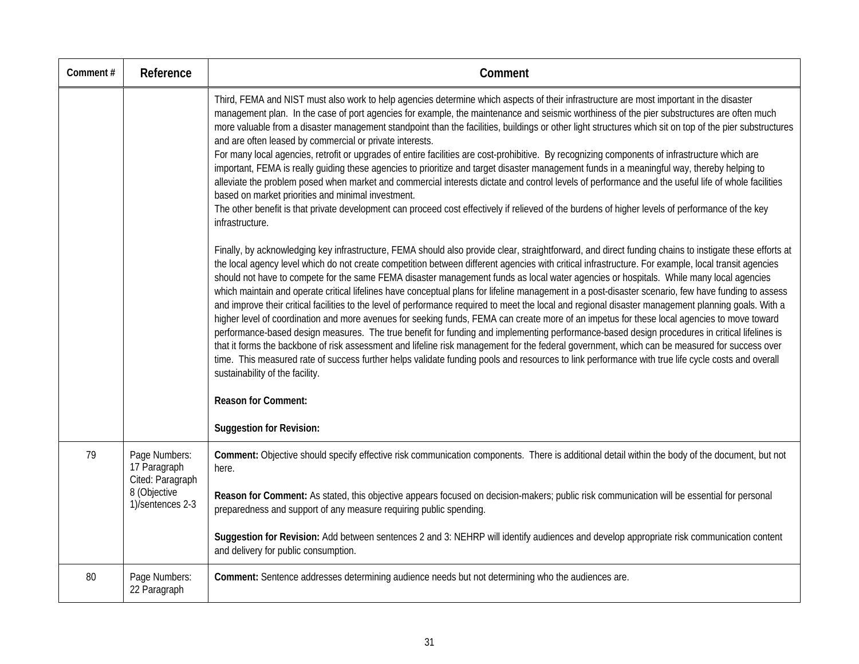| Comment# | Reference                                                                             | Comment                                                                                                                                                                                                                                                                                                                                                                                                                                                                                                                                                                                                                                                                                                                                                                                                                                                                                                                                                                                                                                                                                                                                                                                                                                                                                                                                                                                                                                       |
|----------|---------------------------------------------------------------------------------------|-----------------------------------------------------------------------------------------------------------------------------------------------------------------------------------------------------------------------------------------------------------------------------------------------------------------------------------------------------------------------------------------------------------------------------------------------------------------------------------------------------------------------------------------------------------------------------------------------------------------------------------------------------------------------------------------------------------------------------------------------------------------------------------------------------------------------------------------------------------------------------------------------------------------------------------------------------------------------------------------------------------------------------------------------------------------------------------------------------------------------------------------------------------------------------------------------------------------------------------------------------------------------------------------------------------------------------------------------------------------------------------------------------------------------------------------------|
|          |                                                                                       | Third, FEMA and NIST must also work to help agencies determine which aspects of their infrastructure are most important in the disaster<br>management plan. In the case of port agencies for example, the maintenance and seismic worthiness of the pier substructures are often much<br>more valuable from a disaster management standpoint than the facilities, buildings or other light structures which sit on top of the pier substructures<br>and are often leased by commercial or private interests.<br>For many local agencies, retrofit or upgrades of entire facilities are cost-prohibitive. By recognizing components of infrastructure which are<br>important, FEMA is really guiding these agencies to prioritize and target disaster management funds in a meaningful way, thereby helping to<br>alleviate the problem posed when market and commercial interests dictate and control levels of performance and the useful life of whole facilities<br>based on market priorities and minimal investment.<br>The other benefit is that private development can proceed cost effectively if relieved of the burdens of higher levels of performance of the key<br>infrastructure.                                                                                                                                                                                                                                              |
|          |                                                                                       | Finally, by acknowledging key infrastructure, FEMA should also provide clear, straightforward, and direct funding chains to instigate these efforts at<br>the local agency level which do not create competition between different agencies with critical infrastructure. For example, local transit agencies<br>should not have to compete for the same FEMA disaster management funds as local water agencies or hospitals. While many local agencies<br>which maintain and operate critical lifelines have conceptual plans for lifeline management in a post-disaster scenario, few have funding to assess<br>and improve their critical facilities to the level of performance required to meet the local and regional disaster management planning goals. With a<br>higher level of coordination and more avenues for seeking funds, FEMA can create more of an impetus for these local agencies to move toward<br>performance-based design measures. The true benefit for funding and implementing performance-based design procedures in critical lifelines is<br>that it forms the backbone of risk assessment and lifeline risk management for the federal government, which can be measured for success over<br>time. This measured rate of success further helps validate funding pools and resources to link performance with true life cycle costs and overall<br>sustainability of the facility.<br><b>Reason for Comment:</b> |
|          |                                                                                       | <b>Suggestion for Revision:</b>                                                                                                                                                                                                                                                                                                                                                                                                                                                                                                                                                                                                                                                                                                                                                                                                                                                                                                                                                                                                                                                                                                                                                                                                                                                                                                                                                                                                               |
| 79       | Page Numbers:<br>17 Paragraph<br>Cited: Paragraph<br>8 (Objective<br>1)/sentences 2-3 | Comment: Objective should specify effective risk communication components. There is additional detail within the body of the document, but not<br>here.                                                                                                                                                                                                                                                                                                                                                                                                                                                                                                                                                                                                                                                                                                                                                                                                                                                                                                                                                                                                                                                                                                                                                                                                                                                                                       |
|          |                                                                                       | Reason for Comment: As stated, this objective appears focused on decision-makers; public risk communication will be essential for personal<br>preparedness and support of any measure requiring public spending.                                                                                                                                                                                                                                                                                                                                                                                                                                                                                                                                                                                                                                                                                                                                                                                                                                                                                                                                                                                                                                                                                                                                                                                                                              |
|          |                                                                                       | Suggestion for Revision: Add between sentences 2 and 3: NEHRP will identify audiences and develop appropriate risk communication content<br>and delivery for public consumption.                                                                                                                                                                                                                                                                                                                                                                                                                                                                                                                                                                                                                                                                                                                                                                                                                                                                                                                                                                                                                                                                                                                                                                                                                                                              |
| 80       | Page Numbers:<br>22 Paragraph                                                         | Comment: Sentence addresses determining audience needs but not determining who the audiences are.                                                                                                                                                                                                                                                                                                                                                                                                                                                                                                                                                                                                                                                                                                                                                                                                                                                                                                                                                                                                                                                                                                                                                                                                                                                                                                                                             |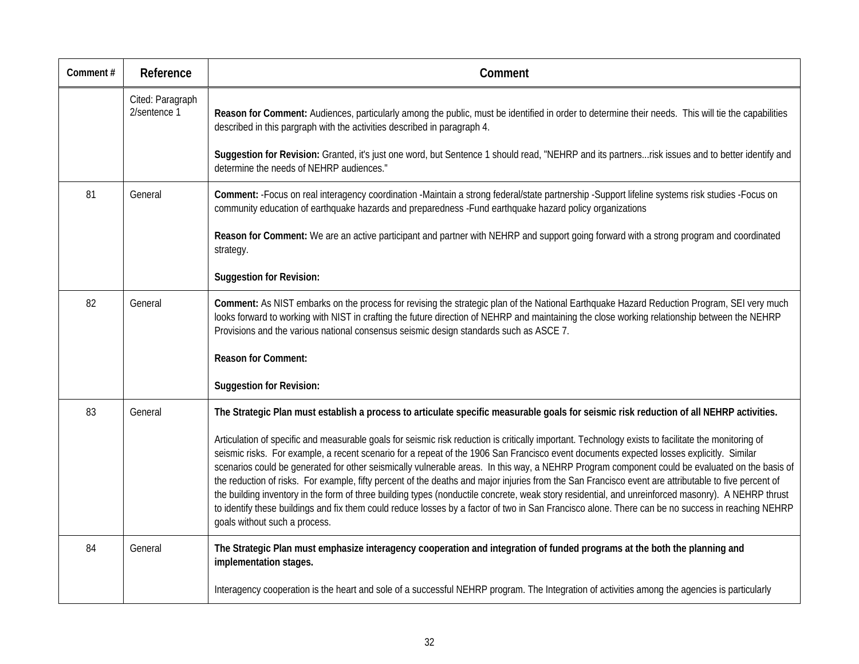| Comment# | Reference                        | Comment                                                                                                                                                                                                                                                                                                                                                                                                                                                                                                                                                                                                                                                                                                                                                                                                                                                                                                                                               |
|----------|----------------------------------|-------------------------------------------------------------------------------------------------------------------------------------------------------------------------------------------------------------------------------------------------------------------------------------------------------------------------------------------------------------------------------------------------------------------------------------------------------------------------------------------------------------------------------------------------------------------------------------------------------------------------------------------------------------------------------------------------------------------------------------------------------------------------------------------------------------------------------------------------------------------------------------------------------------------------------------------------------|
|          | Cited: Paragraph<br>2/sentence 1 | Reason for Comment: Audiences, particularly among the public, must be identified in order to determine their needs. This will tie the capabilities<br>described in this pargraph with the activities described in paragraph 4.                                                                                                                                                                                                                                                                                                                                                                                                                                                                                                                                                                                                                                                                                                                        |
|          |                                  | Suggestion for Revision: Granted, it's just one word, but Sentence 1 should read, "NEHRP and its partnersrisk issues and to better identify and<br>determine the needs of NEHRP audiences."                                                                                                                                                                                                                                                                                                                                                                                                                                                                                                                                                                                                                                                                                                                                                           |
| 81       | General                          | Comment: - Focus on real interagency coordination - Maintain a strong federal/state partnership - Support lifeline systems risk studies - Focus on<br>community education of earthquake hazards and preparedness -Fund earthquake hazard policy organizations                                                                                                                                                                                                                                                                                                                                                                                                                                                                                                                                                                                                                                                                                         |
|          |                                  | Reason for Comment: We are an active participant and partner with NEHRP and support going forward with a strong program and coordinated<br>strategy.                                                                                                                                                                                                                                                                                                                                                                                                                                                                                                                                                                                                                                                                                                                                                                                                  |
|          |                                  | <b>Suggestion for Revision:</b>                                                                                                                                                                                                                                                                                                                                                                                                                                                                                                                                                                                                                                                                                                                                                                                                                                                                                                                       |
| 82       | General                          | Comment: As NIST embarks on the process for revising the strategic plan of the National Earthquake Hazard Reduction Program, SEI very much<br>looks forward to working with NIST in crafting the future direction of NEHRP and maintaining the close working relationship between the NEHRP<br>Provisions and the various national consensus seismic design standards such as ASCE 7.                                                                                                                                                                                                                                                                                                                                                                                                                                                                                                                                                                 |
|          |                                  | <b>Reason for Comment:</b>                                                                                                                                                                                                                                                                                                                                                                                                                                                                                                                                                                                                                                                                                                                                                                                                                                                                                                                            |
|          |                                  | <b>Suggestion for Revision:</b>                                                                                                                                                                                                                                                                                                                                                                                                                                                                                                                                                                                                                                                                                                                                                                                                                                                                                                                       |
| 83       | General                          | The Strategic Plan must establish a process to articulate specific measurable goals for seismic risk reduction of all NEHRP activities.                                                                                                                                                                                                                                                                                                                                                                                                                                                                                                                                                                                                                                                                                                                                                                                                               |
|          |                                  | Articulation of specific and measurable goals for seismic risk reduction is critically important. Technology exists to facilitate the monitoring of<br>seismic risks. For example, a recent scenario for a repeat of the 1906 San Francisco event documents expected losses explicitly. Similar<br>scenarios could be generated for other seismically vulnerable areas. In this way, a NEHRP Program component could be evaluated on the basis of<br>the reduction of risks. For example, fifty percent of the deaths and major injuries from the San Francisco event are attributable to five percent of<br>the building inventory in the form of three building types (nonductile concrete, weak story residential, and unreinforced masonry). A NEHRP thrust<br>to identify these buildings and fix them could reduce losses by a factor of two in San Francisco alone. There can be no success in reaching NEHRP<br>goals without such a process. |
| 84       | General                          | The Strategic Plan must emphasize interagency cooperation and integration of funded programs at the both the planning and<br>implementation stages.                                                                                                                                                                                                                                                                                                                                                                                                                                                                                                                                                                                                                                                                                                                                                                                                   |
|          |                                  | Interagency cooperation is the heart and sole of a successful NEHRP program. The Integration of activities among the agencies is particularly                                                                                                                                                                                                                                                                                                                                                                                                                                                                                                                                                                                                                                                                                                                                                                                                         |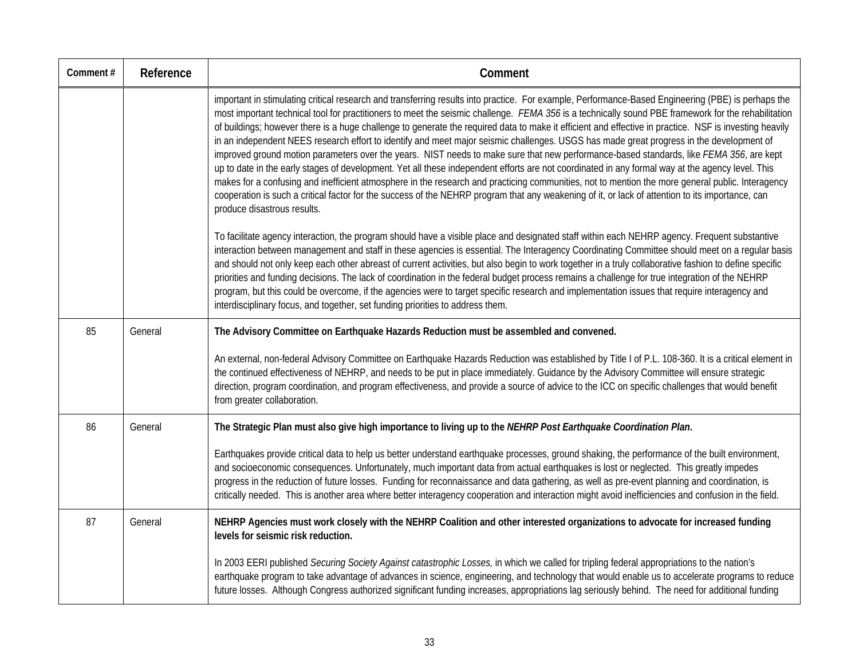| Comment# | Reference | Comment                                                                                                                                                                                                                                                                                                                                                                                                                                                                                                                                                                                                                                                                                                                                                                                                                                                                                                                                                                                                                                                                                                                                                                                                                                               |
|----------|-----------|-------------------------------------------------------------------------------------------------------------------------------------------------------------------------------------------------------------------------------------------------------------------------------------------------------------------------------------------------------------------------------------------------------------------------------------------------------------------------------------------------------------------------------------------------------------------------------------------------------------------------------------------------------------------------------------------------------------------------------------------------------------------------------------------------------------------------------------------------------------------------------------------------------------------------------------------------------------------------------------------------------------------------------------------------------------------------------------------------------------------------------------------------------------------------------------------------------------------------------------------------------|
|          |           | important in stimulating critical research and transferring results into practice. For example, Performance-Based Engineering (PBE) is perhaps the<br>most important technical tool for practitioners to meet the seismic challenge. FEMA 356 is a technically sound PBE framework for the rehabilitation<br>of buildings; however there is a huge challenge to generate the required data to make it efficient and effective in practice. NSF is investing heavily<br>in an independent NEES research effort to identify and meet major seismic challenges. USGS has made great progress in the development of<br>improved ground motion parameters over the years. NIST needs to make sure that new performance-based standards, like FEMA 356, are kept<br>up to date in the early stages of development. Yet all these independent efforts are not coordinated in any formal way at the agency level. This<br>makes for a confusing and inefficient atmosphere in the research and practicing communities, not to mention the more general public. Interagency<br>cooperation is such a critical factor for the success of the NEHRP program that any weakening of it, or lack of attention to its importance, can<br>produce disastrous results. |
|          |           | To facilitate agency interaction, the program should have a visible place and designated staff within each NEHRP agency. Frequent substantive<br>interaction between management and staff in these agencies is essential. The Interagency Coordinating Committee should meet on a regular basis<br>and should not only keep each other abreast of current activities, but also begin to work together in a truly collaborative fashion to define specific<br>priorities and funding decisions. The lack of coordination in the federal budget process remains a challenge for true integration of the NEHRP<br>program, but this could be overcome, if the agencies were to target specific research and implementation issues that require interagency and<br>interdisciplinary focus, and together, set funding priorities to address them.                                                                                                                                                                                                                                                                                                                                                                                                         |
| 85       | General   | The Advisory Committee on Earthquake Hazards Reduction must be assembled and convened.                                                                                                                                                                                                                                                                                                                                                                                                                                                                                                                                                                                                                                                                                                                                                                                                                                                                                                                                                                                                                                                                                                                                                                |
|          |           | An external, non-federal Advisory Committee on Earthquake Hazards Reduction was established by Title I of P.L. 108-360. It is a critical element in<br>the continued effectiveness of NEHRP, and needs to be put in place immediately. Guidance by the Advisory Committee will ensure strategic<br>direction, program coordination, and program effectiveness, and provide a source of advice to the ICC on specific challenges that would benefit<br>from greater collaboration.                                                                                                                                                                                                                                                                                                                                                                                                                                                                                                                                                                                                                                                                                                                                                                     |
| 86       | General   | The Strategic Plan must also give high importance to living up to the NEHRP Post Earthquake Coordination Plan.                                                                                                                                                                                                                                                                                                                                                                                                                                                                                                                                                                                                                                                                                                                                                                                                                                                                                                                                                                                                                                                                                                                                        |
|          |           | Earthquakes provide critical data to help us better understand earthquake processes, ground shaking, the performance of the built environment,<br>and socioeconomic consequences. Unfortunately, much important data from actual earthquakes is lost or neglected. This greatly impedes<br>progress in the reduction of future losses. Funding for reconnaissance and data gathering, as well as pre-event planning and coordination, is<br>critically needed. This is another area where better interagency cooperation and interaction might avoid inefficiencies and confusion in the field.                                                                                                                                                                                                                                                                                                                                                                                                                                                                                                                                                                                                                                                       |
| 87       | General   | NEHRP Agencies must work closely with the NEHRP Coalition and other interested organizations to advocate for increased funding<br>levels for seismic risk reduction.                                                                                                                                                                                                                                                                                                                                                                                                                                                                                                                                                                                                                                                                                                                                                                                                                                                                                                                                                                                                                                                                                  |
|          |           | In 2003 EERI published Securing Society Against catastrophic Losses, in which we called for tripling federal appropriations to the nation's<br>earthquake program to take advantage of advances in science, engineering, and technology that would enable us to accelerate programs to reduce<br>future losses. Although Congress authorized significant funding increases, appropriations lag seriously behind. The need for additional funding                                                                                                                                                                                                                                                                                                                                                                                                                                                                                                                                                                                                                                                                                                                                                                                                      |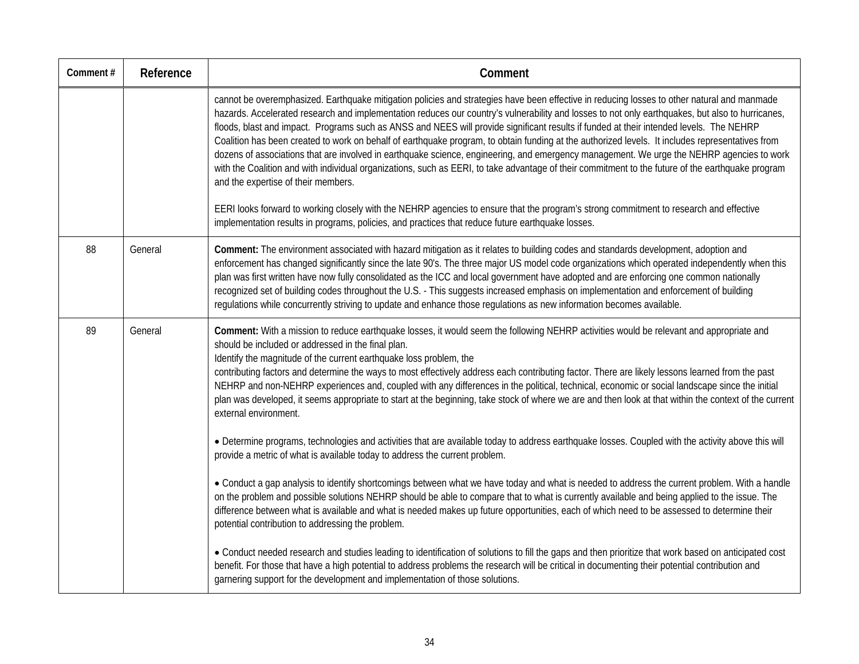| Comment# | Reference | Comment                                                                                                                                                                                                                                                                                                                                                                                                                                                                                                                                                                                                                                                                                                                                                                                                                                                                                                                                 |
|----------|-----------|-----------------------------------------------------------------------------------------------------------------------------------------------------------------------------------------------------------------------------------------------------------------------------------------------------------------------------------------------------------------------------------------------------------------------------------------------------------------------------------------------------------------------------------------------------------------------------------------------------------------------------------------------------------------------------------------------------------------------------------------------------------------------------------------------------------------------------------------------------------------------------------------------------------------------------------------|
|          |           | cannot be overemphasized. Earthquake mitigation policies and strategies have been effective in reducing losses to other natural and manmade<br>hazards. Accelerated research and implementation reduces our country's vulnerability and losses to not only earthquakes, but also to hurricanes,<br>floods, blast and impact. Programs such as ANSS and NEES will provide significant results if funded at their intended levels. The NEHRP<br>Coalition has been created to work on behalf of earthquake program, to obtain funding at the authorized levels. It includes representatives from<br>dozens of associations that are involved in earthquake science, engineering, and emergency management. We urge the NEHRP agencies to work<br>with the Coalition and with individual organizations, such as EERI, to take advantage of their commitment to the future of the earthquake program<br>and the expertise of their members. |
|          |           | EERI looks forward to working closely with the NEHRP agencies to ensure that the program's strong commitment to research and effective<br>implementation results in programs, policies, and practices that reduce future earthquake losses.                                                                                                                                                                                                                                                                                                                                                                                                                                                                                                                                                                                                                                                                                             |
| 88       | General   | Comment: The environment associated with hazard mitigation as it relates to building codes and standards development, adoption and<br>enforcement has changed significantly since the late 90's. The three major US model code organizations which operated independently when this<br>plan was first written have now fully consolidated as the ICC and local government have adopted and are enforcing one common nationally<br>recognized set of building codes throughout the U.S. - This suggests increased emphasis on implementation and enforcement of building<br>regulations while concurrently striving to update and enhance those regulations as new information becomes available.                                                                                                                                                                                                                                        |
| 89       | General   | Comment: With a mission to reduce earthquake losses, it would seem the following NEHRP activities would be relevant and appropriate and<br>should be included or addressed in the final plan.<br>Identify the magnitude of the current earthquake loss problem, the<br>contributing factors and determine the ways to most effectively address each contributing factor. There are likely lessons learned from the past<br>NEHRP and non-NEHRP experiences and, coupled with any differences in the political, technical, economic or social landscape since the initial<br>plan was developed, it seems appropriate to start at the beginning, take stock of where we are and then look at that within the context of the current<br>external environment.                                                                                                                                                                             |
|          |           | • Determine programs, technologies and activities that are available today to address earthquake losses. Coupled with the activity above this will<br>provide a metric of what is available today to address the current problem.                                                                                                                                                                                                                                                                                                                                                                                                                                                                                                                                                                                                                                                                                                       |
|          |           | • Conduct a gap analysis to identify shortcomings between what we have today and what is needed to address the current problem. With a handle<br>on the problem and possible solutions NEHRP should be able to compare that to what is currently available and being applied to the issue. The<br>difference between what is available and what is needed makes up future opportunities, each of which need to be assessed to determine their<br>potential contribution to addressing the problem.                                                                                                                                                                                                                                                                                                                                                                                                                                      |
|          |           | . Conduct needed research and studies leading to identification of solutions to fill the gaps and then prioritize that work based on anticipated cost<br>benefit. For those that have a high potential to address problems the research will be critical in documenting their potential contribution and<br>garnering support for the development and implementation of those solutions.                                                                                                                                                                                                                                                                                                                                                                                                                                                                                                                                                |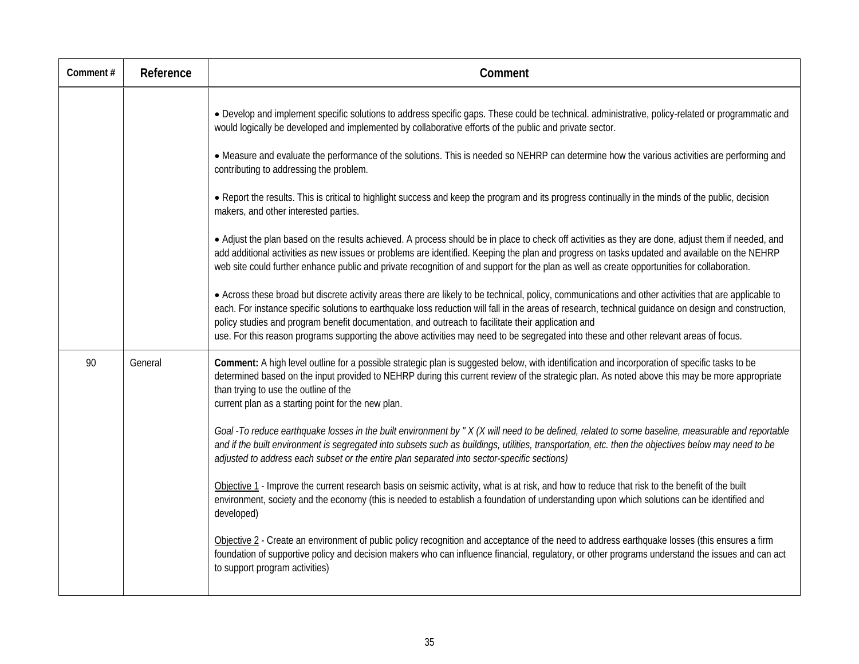| Comment# | Reference | Comment                                                                                                                                                                                                                                                                                                                                                                                                                                                                                                                                                       |
|----------|-----------|---------------------------------------------------------------------------------------------------------------------------------------------------------------------------------------------------------------------------------------------------------------------------------------------------------------------------------------------------------------------------------------------------------------------------------------------------------------------------------------------------------------------------------------------------------------|
|          |           | · Develop and implement specific solutions to address specific gaps. These could be technical. administrative, policy-related or programmatic and<br>would logically be developed and implemented by collaborative efforts of the public and private sector.                                                                                                                                                                                                                                                                                                  |
|          |           | • Measure and evaluate the performance of the solutions. This is needed so NEHRP can determine how the various activities are performing and<br>contributing to addressing the problem.                                                                                                                                                                                                                                                                                                                                                                       |
|          |           | • Report the results. This is critical to highlight success and keep the program and its progress continually in the minds of the public, decision<br>makers, and other interested parties.                                                                                                                                                                                                                                                                                                                                                                   |
|          |           | • Adjust the plan based on the results achieved. A process should be in place to check off activities as they are done, adjust them if needed, and<br>add additional activities as new issues or problems are identified. Keeping the plan and progress on tasks updated and available on the NEHRP<br>web site could further enhance public and private recognition of and support for the plan as well as create opportunities for collaboration.                                                                                                           |
|          |           | • Across these broad but discrete activity areas there are likely to be technical, policy, communications and other activities that are applicable to<br>each. For instance specific solutions to earthquake loss reduction will fall in the areas of research, technical guidance on design and construction,<br>policy studies and program benefit documentation, and outreach to facilitate their application and<br>use. For this reason programs supporting the above activities may need to be segregated into these and other relevant areas of focus. |
| 90       | General   | Comment: A high level outline for a possible strategic plan is suggested below, with identification and incorporation of specific tasks to be<br>determined based on the input provided to NEHRP during this current review of the strategic plan. As noted above this may be more appropriate<br>than trying to use the outline of the<br>current plan as a starting point for the new plan.                                                                                                                                                                 |
|          |           | Goal - To reduce earthquake losses in the built environment by "X (X will need to be defined, related to some baseline, measurable and reportable<br>and if the built environment is segregated into subsets such as buildings, utilities, transportation, etc. then the objectives below may need to be<br>adjusted to address each subset or the entire plan separated into sector-specific sections)                                                                                                                                                       |
|          |           | Objective 1 - Improve the current research basis on seismic activity, what is at risk, and how to reduce that risk to the benefit of the built<br>environment, society and the economy (this is needed to establish a foundation of understanding upon which solutions can be identified and<br>developed)                                                                                                                                                                                                                                                    |
|          |           | Objective 2 - Create an environment of public policy recognition and acceptance of the need to address earthquake losses (this ensures a firm<br>foundation of supportive policy and decision makers who can influence financial, regulatory, or other programs understand the issues and can act<br>to support program activities)                                                                                                                                                                                                                           |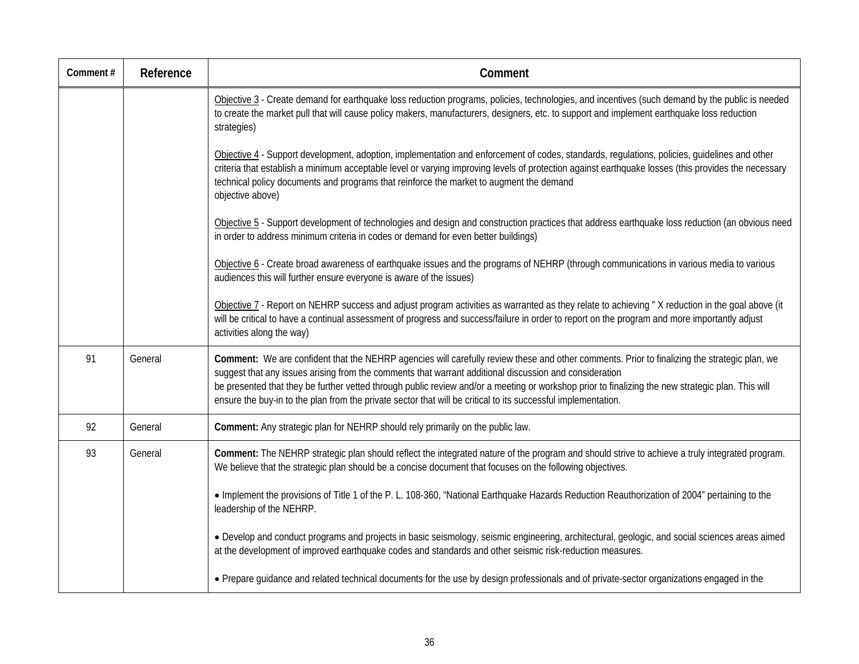| Comment# | Reference | Comment                                                                                                                                                                                                                                                                                                                                                                                                                                                                                                                      |
|----------|-----------|------------------------------------------------------------------------------------------------------------------------------------------------------------------------------------------------------------------------------------------------------------------------------------------------------------------------------------------------------------------------------------------------------------------------------------------------------------------------------------------------------------------------------|
|          |           | Objective 3 - Create demand for earthquake loss reduction programs, policies, technologies, and incentives (such demand by the public is needed<br>to create the market pull that will cause policy makers, manufacturers, designers, etc. to support and implement earthquake loss reduction<br>strategies)                                                                                                                                                                                                                 |
|          |           | Objective 4 - Support development, adoption, implementation and enforcement of codes, standards, regulations, policies, guidelines and other<br>criteria that establish a minimum acceptable level or varying improving levels of protection against earthquake losses (this provides the necessary<br>technical policy documents and programs that reinforce the market to augment the demand<br>objective above)                                                                                                           |
|          |           | Objective 5 - Support development of technologies and design and construction practices that address earthquake loss reduction (an obvious need<br>in order to address minimum criteria in codes or demand for even better buildings)                                                                                                                                                                                                                                                                                        |
|          |           | Objective 6 - Create broad awareness of earthquake issues and the programs of NEHRP (through communications in various media to various<br>audiences this will further ensure everyone is aware of the issues)                                                                                                                                                                                                                                                                                                               |
|          |           | Objective 7 - Report on NEHRP success and adjust program activities as warranted as they relate to achieving "X reduction in the goal above (it<br>will be critical to have a continual assessment of progress and success/failure in order to report on the program and more importantly adjust<br>activities along the way)                                                                                                                                                                                                |
| 91       | General   | Comment: We are confident that the NEHRP agencies will carefully review these and other comments. Prior to finalizing the strategic plan, we<br>suggest that any issues arising from the comments that warrant additional discussion and consideration<br>be presented that they be further vetted through public review and/or a meeting or workshop prior to finalizing the new strategic plan. This will<br>ensure the buy-in to the plan from the private sector that will be critical to its successful implementation. |
| 92       | General   | Comment: Any strategic plan for NEHRP should rely primarily on the public law.                                                                                                                                                                                                                                                                                                                                                                                                                                               |
| 93       | General   | Comment: The NEHRP strategic plan should reflect the integrated nature of the program and should strive to achieve a truly integrated program.<br>We believe that the strategic plan should be a concise document that focuses on the following objectives.                                                                                                                                                                                                                                                                  |
|          |           | • Implement the provisions of Title 1 of the P. L. 108-360, "National Earthquake Hazards Reduction Reauthorization of 2004" pertaining to the<br>leadership of the NEHRP.                                                                                                                                                                                                                                                                                                                                                    |
|          |           | • Develop and conduct programs and projects in basic seismology, seismic engineering, architectural, geologic, and social sciences areas aimed<br>at the development of improved earthquake codes and standards and other seismic risk-reduction measures.                                                                                                                                                                                                                                                                   |
|          |           | • Prepare quidance and related technical documents for the use by design professionals and of private-sector organizations engaged in the                                                                                                                                                                                                                                                                                                                                                                                    |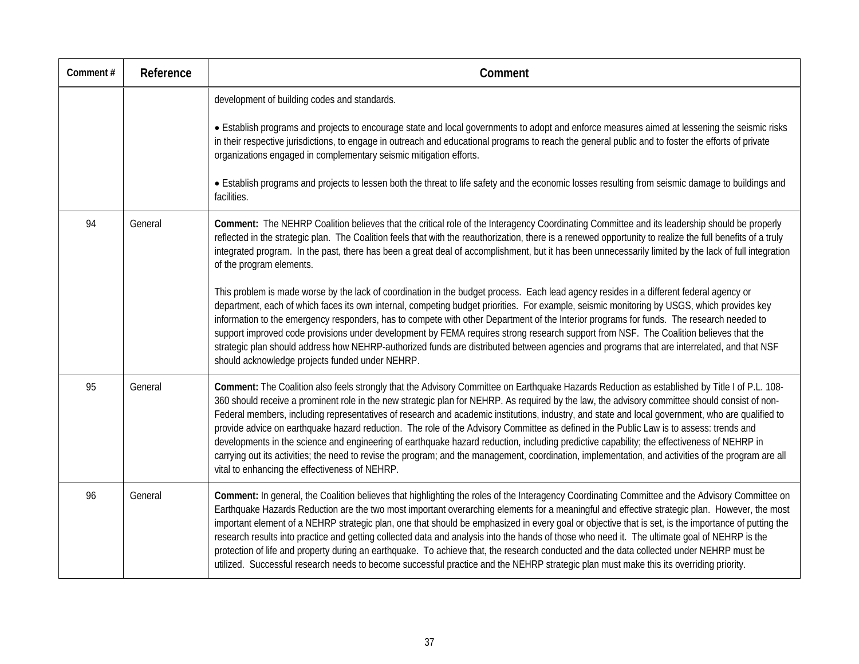| Comment# | Reference | Comment                                                                                                                                                                                                                                                                                                                                                                                                                                                                                                                                                                                                                                                                                                                                                                                                                                                                                                                                                |
|----------|-----------|--------------------------------------------------------------------------------------------------------------------------------------------------------------------------------------------------------------------------------------------------------------------------------------------------------------------------------------------------------------------------------------------------------------------------------------------------------------------------------------------------------------------------------------------------------------------------------------------------------------------------------------------------------------------------------------------------------------------------------------------------------------------------------------------------------------------------------------------------------------------------------------------------------------------------------------------------------|
|          |           | development of building codes and standards.                                                                                                                                                                                                                                                                                                                                                                                                                                                                                                                                                                                                                                                                                                                                                                                                                                                                                                           |
|          |           | • Establish programs and projects to encourage state and local governments to adopt and enforce measures aimed at lessening the seismic risks<br>in their respective jurisdictions, to engage in outreach and educational programs to reach the general public and to foster the efforts of private<br>organizations engaged in complementary seismic mitigation efforts.                                                                                                                                                                                                                                                                                                                                                                                                                                                                                                                                                                              |
|          |           | • Establish programs and projects to lessen both the threat to life safety and the economic losses resulting from seismic damage to buildings and<br>facilities.                                                                                                                                                                                                                                                                                                                                                                                                                                                                                                                                                                                                                                                                                                                                                                                       |
| 94       | General   | Comment: The NEHRP Coalition believes that the critical role of the Interagency Coordinating Committee and its leadership should be properly<br>reflected in the strategic plan. The Coalition feels that with the reauthorization, there is a renewed opportunity to realize the full benefits of a truly<br>integrated program. In the past, there has been a great deal of accomplishment, but it has been unnecessarily limited by the lack of full integration<br>of the program elements.                                                                                                                                                                                                                                                                                                                                                                                                                                                        |
|          |           | This problem is made worse by the lack of coordination in the budget process. Each lead agency resides in a different federal agency or<br>department, each of which faces its own internal, competing budget priorities. For example, seismic monitoring by USGS, which provides key<br>information to the emergency responders, has to compete with other Department of the Interior programs for funds. The research needed to<br>support improved code provisions under development by FEMA requires strong research support from NSF. The Coalition believes that the<br>strategic plan should address how NEHRP-authorized funds are distributed between agencies and programs that are interrelated, and that NSF<br>should acknowledge projects funded under NEHRP.                                                                                                                                                                            |
| 95       | General   | Comment: The Coalition also feels strongly that the Advisory Committee on Earthquake Hazards Reduction as established by Title I of P.L. 108-<br>360 should receive a prominent role in the new strategic plan for NEHRP. As required by the law, the advisory committee should consist of non-<br>Federal members, including representatives of research and academic institutions, industry, and state and local government, who are qualified to<br>provide advice on earthquake hazard reduction. The role of the Advisory Committee as defined in the Public Law is to assess: trends and<br>developments in the science and engineering of earthquake hazard reduction, including predictive capability; the effectiveness of NEHRP in<br>carrying out its activities; the need to revise the program; and the management, coordination, implementation, and activities of the program are all<br>vital to enhancing the effectiveness of NEHRP. |
| 96       | General   | Comment: In general, the Coalition believes that highlighting the roles of the Interagency Coordinating Committee and the Advisory Committee on<br>Earthquake Hazards Reduction are the two most important overarching elements for a meaningful and effective strategic plan. However, the most<br>important element of a NEHRP strategic plan, one that should be emphasized in every goal or objective that is set, is the importance of putting the<br>research results into practice and getting collected data and analysis into the hands of those who need it. The ultimate goal of NEHRP is the<br>protection of life and property during an earthquake. To achieve that, the research conducted and the data collected under NEHRP must be<br>utilized. Successful research needs to become successful practice and the NEHRP strategic plan must make this its overriding priority.                                                         |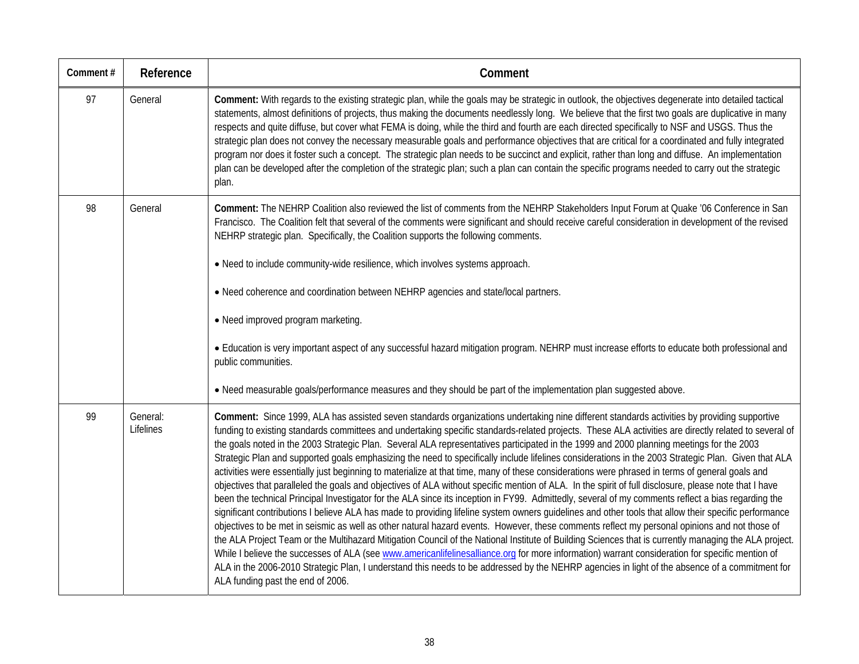| Comment# | Reference             | Comment                                                                                                                                                                                                                                                                                                                                                                                                                                                                                                                                                                                                                                                                                                                                                                                                                                                                                                                                                                                                                                                                                                                                                                                                                                                                                                                                                                                                                                                                                                                                                                                                                                                                                                                                                                                                                                                                                |
|----------|-----------------------|----------------------------------------------------------------------------------------------------------------------------------------------------------------------------------------------------------------------------------------------------------------------------------------------------------------------------------------------------------------------------------------------------------------------------------------------------------------------------------------------------------------------------------------------------------------------------------------------------------------------------------------------------------------------------------------------------------------------------------------------------------------------------------------------------------------------------------------------------------------------------------------------------------------------------------------------------------------------------------------------------------------------------------------------------------------------------------------------------------------------------------------------------------------------------------------------------------------------------------------------------------------------------------------------------------------------------------------------------------------------------------------------------------------------------------------------------------------------------------------------------------------------------------------------------------------------------------------------------------------------------------------------------------------------------------------------------------------------------------------------------------------------------------------------------------------------------------------------------------------------------------------|
| 97       | General               | Comment: With regards to the existing strategic plan, while the goals may be strategic in outlook, the objectives degenerate into detailed tactical<br>statements, almost definitions of projects, thus making the documents needlessly long. We believe that the first two goals are duplicative in many<br>respects and quite diffuse, but cover what FEMA is doing, while the third and fourth are each directed specifically to NSF and USGS. Thus the<br>strategic plan does not convey the necessary measurable goals and performance objectives that are critical for a coordinated and fully integrated<br>program nor does it foster such a concept. The strategic plan needs to be succinct and explicit, rather than long and diffuse. An implementation<br>plan can be developed after the completion of the strategic plan; such a plan can contain the specific programs needed to carry out the strategic<br>plan.                                                                                                                                                                                                                                                                                                                                                                                                                                                                                                                                                                                                                                                                                                                                                                                                                                                                                                                                                      |
| 98       | General               | Comment: The NEHRP Coalition also reviewed the list of comments from the NEHRP Stakeholders Input Forum at Quake '06 Conference in San<br>Francisco. The Coalition felt that several of the comments were significant and should receive careful consideration in development of the revised<br>NEHRP strategic plan. Specifically, the Coalition supports the following comments.<br>. Need to include community-wide resilience, which involves systems approach.<br>• Need coherence and coordination between NEHRP agencies and state/local partners.<br>• Need improved program marketing.<br>• Education is very important aspect of any successful hazard mitigation program. NEHRP must increase efforts to educate both professional and<br>public communities.<br>. Need measurable goals/performance measures and they should be part of the implementation plan suggested above.                                                                                                                                                                                                                                                                                                                                                                                                                                                                                                                                                                                                                                                                                                                                                                                                                                                                                                                                                                                           |
| 99       | General:<br>Lifelines | Comment: Since 1999, ALA has assisted seven standards organizations undertaking nine different standards activities by providing supportive<br>funding to existing standards committees and undertaking specific standards-related projects. These ALA activities are directly related to several of<br>the goals noted in the 2003 Strategic Plan. Several ALA representatives participated in the 1999 and 2000 planning meetings for the 2003<br>Strategic Plan and supported goals emphasizing the need to specifically include lifelines considerations in the 2003 Strategic Plan. Given that ALA<br>activities were essentially just beginning to materialize at that time, many of these considerations were phrased in terms of general goals and<br>objectives that paralleled the goals and objectives of ALA without specific mention of ALA. In the spirit of full disclosure, please note that I have<br>been the technical Principal Investigator for the ALA since its inception in FY99. Admittedly, several of my comments reflect a bias regarding the<br>significant contributions I believe ALA has made to providing lifeline system owners guidelines and other tools that allow their specific performance<br>objectives to be met in seismic as well as other natural hazard events. However, these comments reflect my personal opinions and not those of<br>the ALA Project Team or the Multihazard Mitigation Council of the National Institute of Building Sciences that is currently managing the ALA project.<br>While I believe the successes of ALA (see www.americanlifelinesalliance.org for more information) warrant consideration for specific mention of<br>ALA in the 2006-2010 Strategic Plan, I understand this needs to be addressed by the NEHRP agencies in light of the absence of a commitment for<br>ALA funding past the end of 2006. |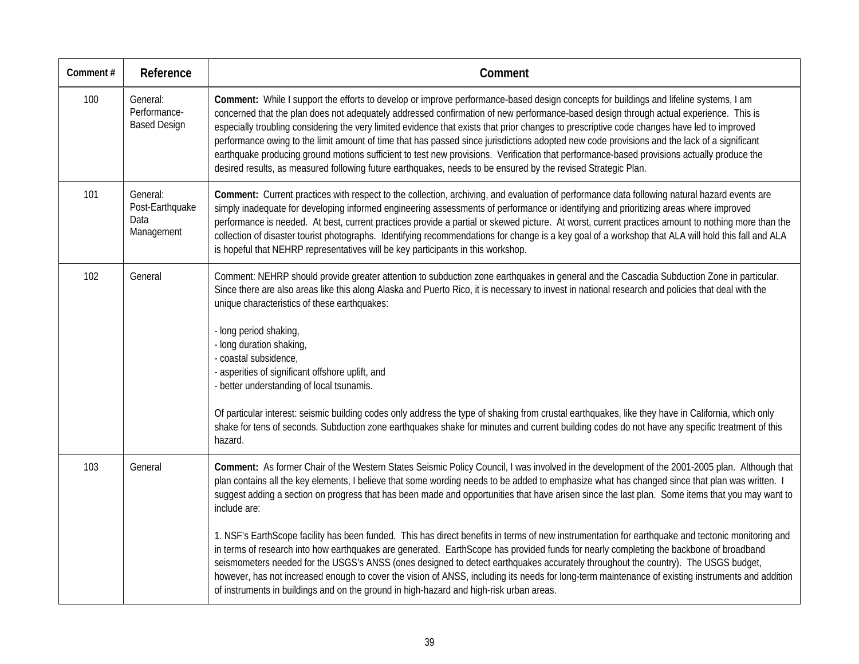| Comment# | Reference                                         | Comment                                                                                                                                                                                                                                                                                                                                                                                                                                                                                                                                                                                                                                                                                                                                                                                                                                                                                                                                                                                                                                                                                                                                                |
|----------|---------------------------------------------------|--------------------------------------------------------------------------------------------------------------------------------------------------------------------------------------------------------------------------------------------------------------------------------------------------------------------------------------------------------------------------------------------------------------------------------------------------------------------------------------------------------------------------------------------------------------------------------------------------------------------------------------------------------------------------------------------------------------------------------------------------------------------------------------------------------------------------------------------------------------------------------------------------------------------------------------------------------------------------------------------------------------------------------------------------------------------------------------------------------------------------------------------------------|
| 100      | General:<br>Performance-<br><b>Based Design</b>   | Comment: While I support the efforts to develop or improve performance-based design concepts for buildings and lifeline systems, I am<br>concerned that the plan does not adequately addressed confirmation of new performance-based design through actual experience. This is<br>especially troubling considering the very limited evidence that exists that prior changes to prescriptive code changes have led to improved<br>performance owing to the limit amount of time that has passed since jurisdictions adopted new code provisions and the lack of a significant<br>earthquake producing ground motions sufficient to test new provisions. Verification that performance-based provisions actually produce the<br>desired results, as measured following future earthquakes, needs to be ensured by the revised Strategic Plan.                                                                                                                                                                                                                                                                                                            |
| 101      | General:<br>Post-Earthquake<br>Data<br>Management | Comment: Current practices with respect to the collection, archiving, and evaluation of performance data following natural hazard events are<br>simply inadequate for developing informed engineering assessments of performance or identifying and prioritizing areas where improved<br>performance is needed. At best, current practices provide a partial or skewed picture. At worst, current practices amount to nothing more than the<br>collection of disaster tourist photographs. Identifying recommendations for change is a key goal of a workshop that ALA will hold this fall and ALA<br>is hopeful that NEHRP representatives will be key participants in this workshop.                                                                                                                                                                                                                                                                                                                                                                                                                                                                 |
| 102      | General                                           | Comment: NEHRP should provide greater attention to subduction zone earthquakes in general and the Cascadia Subduction Zone in particular.<br>Since there are also areas like this along Alaska and Puerto Rico, it is necessary to invest in national research and policies that deal with the<br>unique characteristics of these earthquakes:<br>- long period shaking,<br>- long duration shaking,<br>- coastal subsidence,<br>- asperities of significant offshore uplift, and<br>- better understanding of local tsunamis.<br>Of particular interest: seismic building codes only address the type of shaking from crustal earthquakes, like they have in California, which only<br>shake for tens of seconds. Subduction zone earthquakes shake for minutes and current building codes do not have any specific treatment of this<br>hazard.                                                                                                                                                                                                                                                                                                      |
| 103      | General                                           | Comment: As former Chair of the Western States Seismic Policy Council, I was involved in the development of the 2001-2005 plan. Although that<br>plan contains all the key elements, I believe that some wording needs to be added to emphasize what has changed since that plan was written. I<br>suggest adding a section on progress that has been made and opportunities that have arisen since the last plan. Some items that you may want to<br>include are:<br>1. NSF's EarthScope facility has been funded. This has direct benefits in terms of new instrumentation for earthquake and tectonic monitoring and<br>in terms of research into how earthquakes are generated. EarthScope has provided funds for nearly completing the backbone of broadband<br>seismometers needed for the USGS's ANSS (ones designed to detect earthquakes accurately throughout the country). The USGS budget,<br>however, has not increased enough to cover the vision of ANSS, including its needs for long-term maintenance of existing instruments and addition<br>of instruments in buildings and on the ground in high-hazard and high-risk urban areas. |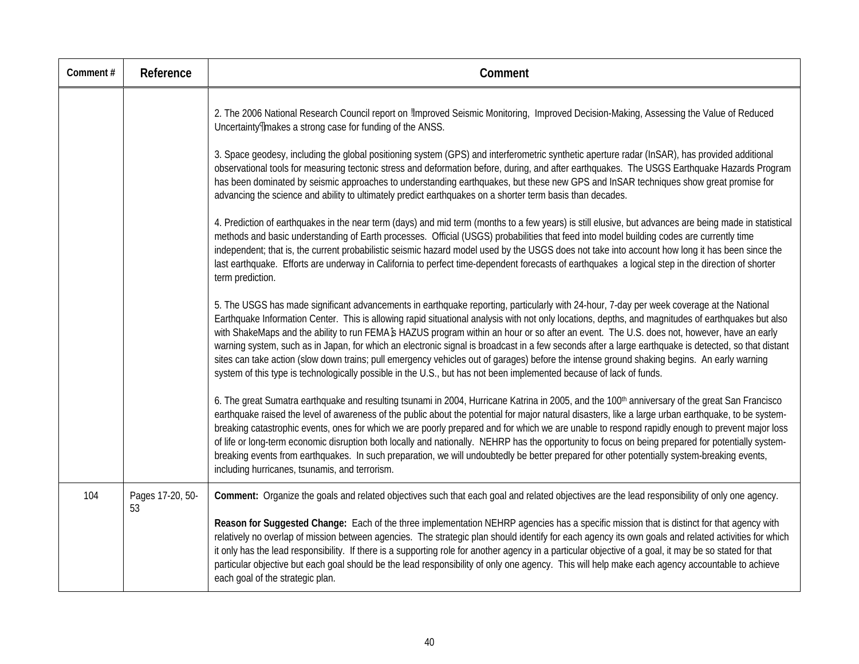| Comment# | Reference              | Comment                                                                                                                                                                                                                                                                                                                                                                                                                                                                                                                                                                                                                                                                                                                                                                                                                                                                                                                                                                                                                                                                                                                                                                                                                                                                                                                                                                                   |
|----------|------------------------|-------------------------------------------------------------------------------------------------------------------------------------------------------------------------------------------------------------------------------------------------------------------------------------------------------------------------------------------------------------------------------------------------------------------------------------------------------------------------------------------------------------------------------------------------------------------------------------------------------------------------------------------------------------------------------------------------------------------------------------------------------------------------------------------------------------------------------------------------------------------------------------------------------------------------------------------------------------------------------------------------------------------------------------------------------------------------------------------------------------------------------------------------------------------------------------------------------------------------------------------------------------------------------------------------------------------------------------------------------------------------------------------|
|          |                        | 2. The 2006 National Research Council report on Improved Seismic Monitoring, Improved Decision-Making, Assessing the Value of Reduced<br>Uncertainty¶makes a strong case for funding of the ANSS.<br>3. Space geodesy, including the global positioning system (GPS) and interferometric synthetic aperture radar (InSAR), has provided additional<br>observational tools for measuring tectonic stress and deformation before, during, and after earthquakes. The USGS Earthquake Hazards Program<br>has been dominated by seismic approaches to understanding earthquakes, but these new GPS and InSAR techniques show great promise for<br>advancing the science and ability to ultimately predict earthquakes on a shorter term basis than decades.<br>4. Prediction of earthquakes in the near term (days) and mid term (months to a few years) is still elusive, but advances are being made in statistical<br>methods and basic understanding of Earth processes. Official (USGS) probabilities that feed into model building codes are currently time<br>independent; that is, the current probabilistic seismic hazard model used by the USGS does not take into account how long it has been since the<br>last earthquake. Efforts are underway in California to perfect time-dependent forecasts of earthquakes a logical step in the direction of shorter<br>term prediction. |
|          |                        | 5. The USGS has made significant advancements in earthquake reporting, particularly with 24-hour, 7-day per week coverage at the National<br>Earthquake Information Center. This is allowing rapid situational analysis with not only locations, depths, and magnitudes of earthquakes but also<br>with ShakeMaps and the ability to run FEMA\$ HAZUS program within an hour or so after an event. The U.S. does not, however, have an early<br>warning system, such as in Japan, for which an electronic signal is broadcast in a few seconds after a large earthquake is detected, so that distant<br>sites can take action (slow down trains; pull emergency vehicles out of garages) before the intense ground shaking begins. An early warning<br>system of this type is technologically possible in the U.S., but has not been implemented because of lack of funds.                                                                                                                                                                                                                                                                                                                                                                                                                                                                                                                |
|          |                        | 6. The great Sumatra earthquake and resulting tsunami in 2004, Hurricane Katrina in 2005, and the 100 <sup>th</sup> anniversary of the great San Francisco<br>earthquake raised the level of awareness of the public about the potential for major natural disasters, like a large urban earthquake, to be system-<br>breaking catastrophic events, ones for which we are poorly prepared and for which we are unable to respond rapidly enough to prevent major loss<br>of life or long-term economic disruption both locally and nationally. NEHRP has the opportunity to focus on being prepared for potentially system-<br>breaking events from earthquakes. In such preparation, we will undoubtedly be better prepared for other potentially system-breaking events,<br>including hurricanes, tsunamis, and terrorism.                                                                                                                                                                                                                                                                                                                                                                                                                                                                                                                                                              |
| 104      | Pages 17-20, 50-<br>53 | Comment: Organize the goals and related objectives such that each goal and related objectives are the lead responsibility of only one agency.<br>Reason for Suggested Change: Each of the three implementation NEHRP agencies has a specific mission that is distinct for that agency with<br>relatively no overlap of mission between agencies. The strategic plan should identify for each agency its own goals and related activities for which<br>it only has the lead responsibility. If there is a supporting role for another agency in a particular objective of a goal, it may be so stated for that<br>particular objective but each goal should be the lead responsibility of only one agency. This will help make each agency accountable to achieve<br>each goal of the strategic plan.                                                                                                                                                                                                                                                                                                                                                                                                                                                                                                                                                                                      |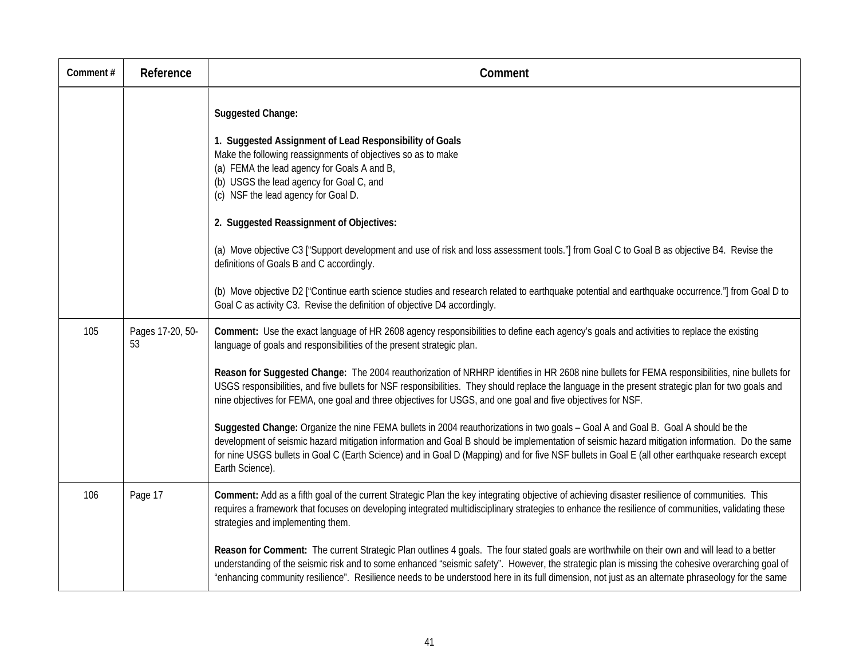| Comment# | Reference              | Comment                                                                                                                                                                                                                                                                                                                                                                                                                                                                                                                                                                                                                                                                                                                                                                                                                                                                                                                                                                                                                                                                                             |
|----------|------------------------|-----------------------------------------------------------------------------------------------------------------------------------------------------------------------------------------------------------------------------------------------------------------------------------------------------------------------------------------------------------------------------------------------------------------------------------------------------------------------------------------------------------------------------------------------------------------------------------------------------------------------------------------------------------------------------------------------------------------------------------------------------------------------------------------------------------------------------------------------------------------------------------------------------------------------------------------------------------------------------------------------------------------------------------------------------------------------------------------------------|
|          |                        | Suggested Change:<br>1. Suggested Assignment of Lead Responsibility of Goals<br>Make the following reassignments of objectives so as to make<br>(a) FEMA the lead agency for Goals A and B,<br>(b) USGS the lead agency for Goal C, and<br>(c) NSF the lead agency for Goal D.<br>2. Suggested Reassignment of Objectives:<br>(a) Move objective C3 ["Support development and use of risk and loss assessment tools."] from Goal C to Goal B as objective B4. Revise the<br>definitions of Goals B and C accordingly.<br>(b) Move objective D2 ["Continue earth science studies and research related to earthquake potential and earthquake occurrence."] from Goal D to<br>Goal C as activity C3. Revise the definition of objective D4 accordingly.                                                                                                                                                                                                                                                                                                                                               |
| 105      | Pages 17-20, 50-<br>53 | Comment: Use the exact language of HR 2608 agency responsibilities to define each agency's goals and activities to replace the existing<br>language of goals and responsibilities of the present strategic plan.<br>Reason for Suggested Change: The 2004 reauthorization of NRHRP identifies in HR 2608 nine bullets for FEMA responsibilities, nine bullets for<br>USGS responsibilities, and five bullets for NSF responsibilities. They should replace the language in the present strategic plan for two goals and<br>nine objectives for FEMA, one goal and three objectives for USGS, and one goal and five objectives for NSF.<br>Suggested Change: Organize the nine FEMA bullets in 2004 reauthorizations in two goals - Goal A and Goal B. Goal A should be the<br>development of seismic hazard mitigation information and Goal B should be implementation of seismic hazard mitigation information. Do the same<br>for nine USGS bullets in Goal C (Earth Science) and in Goal D (Mapping) and for five NSF bullets in Goal E (all other earthquake research except<br>Earth Science). |
| 106      | Page 17                | Comment: Add as a fifth goal of the current Strategic Plan the key integrating objective of achieving disaster resilience of communities. This<br>requires a framework that focuses on developing integrated multidisciplinary strategies to enhance the resilience of communities, validating these<br>strategies and implementing them.<br>Reason for Comment: The current Strategic Plan outlines 4 goals. The four stated goals are worthwhile on their own and will lead to a better<br>understanding of the seismic risk and to some enhanced "seismic safety". However, the strategic plan is missing the cohesive overarching goal of<br>"enhancing community resilience". Resilience needs to be understood here in its full dimension, not just as an alternate phraseology for the same                                                                                                                                                                                                                                                                                                  |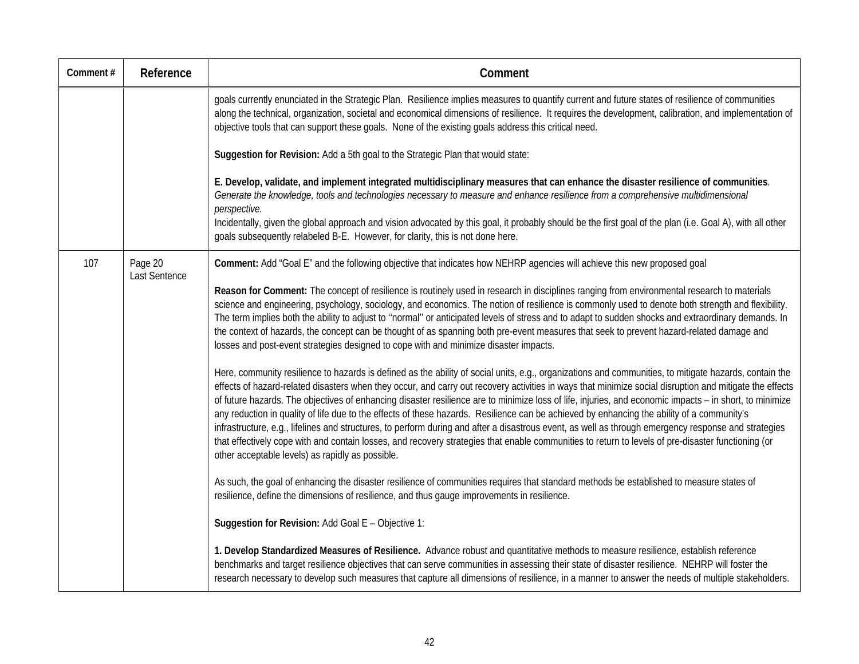| Comment# | Reference                | Comment                                                                                                                                                                                                                                                                                                                                                                                                                                                                                                                                                                                                                                                                                                                                                                                                                                                                                                                                                                                      |
|----------|--------------------------|----------------------------------------------------------------------------------------------------------------------------------------------------------------------------------------------------------------------------------------------------------------------------------------------------------------------------------------------------------------------------------------------------------------------------------------------------------------------------------------------------------------------------------------------------------------------------------------------------------------------------------------------------------------------------------------------------------------------------------------------------------------------------------------------------------------------------------------------------------------------------------------------------------------------------------------------------------------------------------------------|
|          |                          | goals currently enunciated in the Strategic Plan. Resilience implies measures to quantify current and future states of resilience of communities<br>along the technical, organization, societal and economical dimensions of resilience. It requires the development, calibration, and implementation of<br>objective tools that can support these goals. None of the existing goals address this critical need.                                                                                                                                                                                                                                                                                                                                                                                                                                                                                                                                                                             |
|          |                          | Suggestion for Revision: Add a 5th goal to the Strategic Plan that would state:                                                                                                                                                                                                                                                                                                                                                                                                                                                                                                                                                                                                                                                                                                                                                                                                                                                                                                              |
|          |                          | E. Develop, validate, and implement integrated multidisciplinary measures that can enhance the disaster resilience of communities.<br>Generate the knowledge, tools and technologies necessary to measure and enhance resilience from a comprehensive multidimensional<br>perspective.                                                                                                                                                                                                                                                                                                                                                                                                                                                                                                                                                                                                                                                                                                       |
|          |                          | Incidentally, given the global approach and vision advocated by this goal, it probably should be the first goal of the plan (i.e. Goal A), with all other<br>goals subsequently relabeled B-E. However, for clarity, this is not done here.                                                                                                                                                                                                                                                                                                                                                                                                                                                                                                                                                                                                                                                                                                                                                  |
| 107      | Page 20<br>Last Sentence | Comment: Add "Goal E" and the following objective that indicates how NEHRP agencies will achieve this new proposed goal                                                                                                                                                                                                                                                                                                                                                                                                                                                                                                                                                                                                                                                                                                                                                                                                                                                                      |
|          |                          | Reason for Comment: The concept of resilience is routinely used in research in disciplines ranging from environmental research to materials<br>science and engineering, psychology, sociology, and economics. The notion of resilience is commonly used to denote both strength and flexibility.<br>The term implies both the ability to adjust to "normal" or anticipated levels of stress and to adapt to sudden shocks and extraordinary demands. In<br>the context of hazards, the concept can be thought of as spanning both pre-event measures that seek to prevent hazard-related damage and<br>losses and post-event strategies designed to cope with and minimize disaster impacts.                                                                                                                                                                                                                                                                                                 |
|          |                          | Here, community resilience to hazards is defined as the ability of social units, e.g., organizations and communities, to mitigate hazards, contain the<br>effects of hazard-related disasters when they occur, and carry out recovery activities in ways that minimize social disruption and mitigate the effects<br>of future hazards. The objectives of enhancing disaster resilience are to minimize loss of life, injuries, and economic impacts - in short, to minimize<br>any reduction in quality of life due to the effects of these hazards. Resilience can be achieved by enhancing the ability of a community's<br>infrastructure, e.g., lifelines and structures, to perform during and after a disastrous event, as well as through emergency response and strategies<br>that effectively cope with and contain losses, and recovery strategies that enable communities to return to levels of pre-disaster functioning (or<br>other acceptable levels) as rapidly as possible. |
|          |                          | As such, the goal of enhancing the disaster resilience of communities requires that standard methods be established to measure states of<br>resilience, define the dimensions of resilience, and thus gauge improvements in resilience.                                                                                                                                                                                                                                                                                                                                                                                                                                                                                                                                                                                                                                                                                                                                                      |
|          |                          | Suggestion for Revision: Add Goal E - Objective 1:                                                                                                                                                                                                                                                                                                                                                                                                                                                                                                                                                                                                                                                                                                                                                                                                                                                                                                                                           |
|          |                          | 1. Develop Standardized Measures of Resilience. Advance robust and quantitative methods to measure resilience, establish reference<br>benchmarks and target resilience objectives that can serve communities in assessing their state of disaster resilience. NEHRP will foster the<br>research necessary to develop such measures that capture all dimensions of resilience, in a manner to answer the needs of multiple stakeholders.                                                                                                                                                                                                                                                                                                                                                                                                                                                                                                                                                      |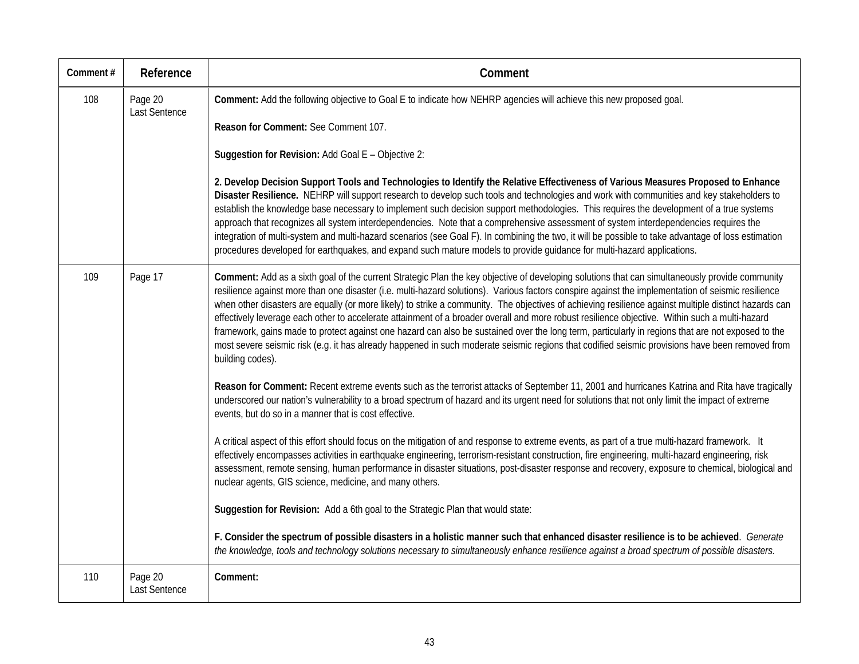| Comment# | Reference                | Comment                                                                                                                                                                                                                                                                                                                                                                                                                                                                                                                                                                                                                                                                                                                                                                                                                                                                                                                                     |
|----------|--------------------------|---------------------------------------------------------------------------------------------------------------------------------------------------------------------------------------------------------------------------------------------------------------------------------------------------------------------------------------------------------------------------------------------------------------------------------------------------------------------------------------------------------------------------------------------------------------------------------------------------------------------------------------------------------------------------------------------------------------------------------------------------------------------------------------------------------------------------------------------------------------------------------------------------------------------------------------------|
| 108      | Page 20<br>Last Sentence | Comment: Add the following objective to Goal E to indicate how NEHRP agencies will achieve this new proposed goal.<br>Reason for Comment: See Comment 107.                                                                                                                                                                                                                                                                                                                                                                                                                                                                                                                                                                                                                                                                                                                                                                                  |
|          |                          | Suggestion for Revision: Add Goal E - Objective 2:                                                                                                                                                                                                                                                                                                                                                                                                                                                                                                                                                                                                                                                                                                                                                                                                                                                                                          |
|          |                          | 2. Develop Decision Support Tools and Technologies to Identify the Relative Effectiveness of Various Measures Proposed to Enhance<br>Disaster Resilience. NEHRP will support research to develop such tools and technologies and work with communities and key stakeholders to<br>establish the knowledge base necessary to implement such decision support methodologies. This requires the development of a true systems<br>approach that recognizes all system interdependencies. Note that a comprehensive assessment of system interdependencies requires the<br>integration of multi-system and multi-hazard scenarios (see Goal F). In combining the two, it will be possible to take advantage of loss estimation<br>procedures developed for earthquakes, and expand such mature models to provide guidance for multi-hazard applications.                                                                                         |
| 109      | Page 17                  | Comment: Add as a sixth goal of the current Strategic Plan the key objective of developing solutions that can simultaneously provide community<br>resilience against more than one disaster (i.e. multi-hazard solutions). Various factors conspire against the implementation of seismic resilience<br>when other disasters are equally (or more likely) to strike a community. The objectives of achieving resilience against multiple distinct hazards can<br>effectively leverage each other to accelerate attainment of a broader overall and more robust resilience objective. Within such a multi-hazard<br>framework, gains made to protect against one hazard can also be sustained over the long term, particularly in regions that are not exposed to the<br>most severe seismic risk (e.g. it has already happened in such moderate seismic regions that codified seismic provisions have been removed from<br>building codes). |
|          |                          | Reason for Comment: Recent extreme events such as the terrorist attacks of September 11, 2001 and hurricanes Katrina and Rita have tragically<br>underscored our nation's vulnerability to a broad spectrum of hazard and its urgent need for solutions that not only limit the impact of extreme<br>events, but do so in a manner that is cost effective.                                                                                                                                                                                                                                                                                                                                                                                                                                                                                                                                                                                  |
|          |                          | A critical aspect of this effort should focus on the mitigation of and response to extreme events, as part of a true multi-hazard framework. It<br>effectively encompasses activities in earthquake engineering, terrorism-resistant construction, fire engineering, multi-hazard engineering, risk<br>assessment, remote sensing, human performance in disaster situations, post-disaster response and recovery, exposure to chemical, biological and<br>nuclear agents, GIS science, medicine, and many others.                                                                                                                                                                                                                                                                                                                                                                                                                           |
|          |                          | Suggestion for Revision: Add a 6th goal to the Strategic Plan that would state:                                                                                                                                                                                                                                                                                                                                                                                                                                                                                                                                                                                                                                                                                                                                                                                                                                                             |
|          |                          | F. Consider the spectrum of possible disasters in a holistic manner such that enhanced disaster resilience is to be achieved. Generate<br>the knowledge, tools and technology solutions necessary to simultaneously enhance resilience against a broad spectrum of possible disasters.                                                                                                                                                                                                                                                                                                                                                                                                                                                                                                                                                                                                                                                      |
| 110      | Page 20<br>Last Sentence | Comment:                                                                                                                                                                                                                                                                                                                                                                                                                                                                                                                                                                                                                                                                                                                                                                                                                                                                                                                                    |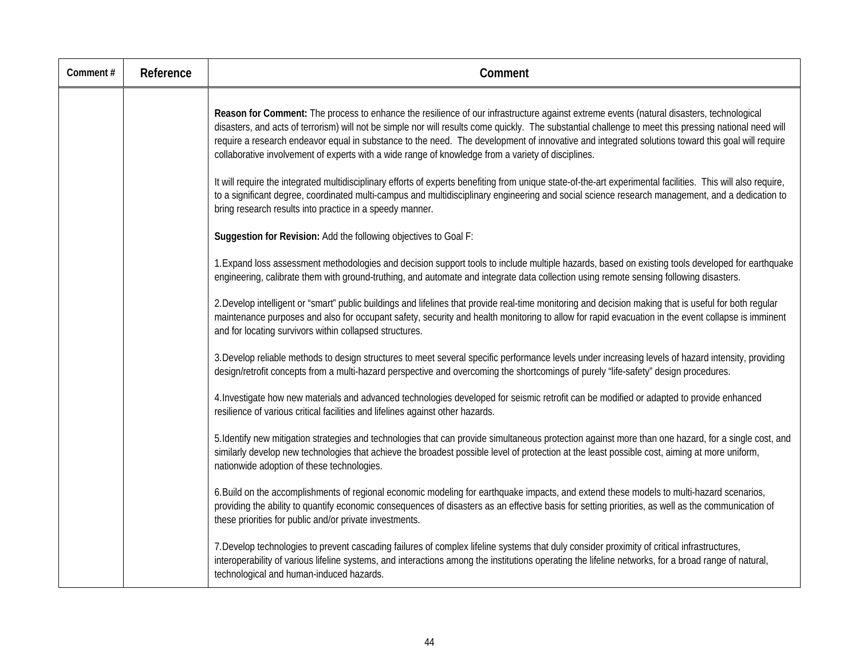| Comment# | Reference | Comment                                                                                                                                                                                                                                                                                                                                                                                                                                                                                                                                                      |
|----------|-----------|--------------------------------------------------------------------------------------------------------------------------------------------------------------------------------------------------------------------------------------------------------------------------------------------------------------------------------------------------------------------------------------------------------------------------------------------------------------------------------------------------------------------------------------------------------------|
|          |           | Reason for Comment: The process to enhance the resilience of our infrastructure against extreme events (natural disasters, technological<br>disasters, and acts of terrorism) will not be simple nor will results come quickly. The substantial challenge to meet this pressing national need will<br>require a research endeavor equal in substance to the need. The development of innovative and integrated solutions toward this goal will require<br>collaborative involvement of experts with a wide range of knowledge from a variety of disciplines. |
|          |           | It will require the integrated multidisciplinary efforts of experts benefiting from unique state-of-the-art experimental facilities. This will also require,<br>to a significant degree, coordinated multi-campus and multidisciplinary engineering and social science research management, and a dedication to<br>bring research results into practice in a speedy manner.                                                                                                                                                                                  |
|          |           | Suggestion for Revision: Add the following objectives to Goal F:                                                                                                                                                                                                                                                                                                                                                                                                                                                                                             |
|          |           | 1. Expand loss assessment methodologies and decision support tools to include multiple hazards, based on existing tools developed for earthquake<br>engineering, calibrate them with ground-truthing, and automate and integrate data collection using remote sensing following disasters.                                                                                                                                                                                                                                                                   |
|          |           | 2. Develop intelligent or "smart" public buildings and lifelines that provide real-time monitoring and decision making that is useful for both regular<br>maintenance purposes and also for occupant safety, security and health monitoring to allow for rapid evacuation in the event collapse is imminent<br>and for locating survivors within collapsed structures.                                                                                                                                                                                       |
|          |           | 3. Develop reliable methods to design structures to meet several specific performance levels under increasing levels of hazard intensity, providing<br>design/retrofit concepts from a multi-hazard perspective and overcoming the shortcomings of purely "life-safety" design procedures.                                                                                                                                                                                                                                                                   |
|          |           | 4. Investigate how new materials and advanced technologies developed for seismic retrofit can be modified or adapted to provide enhanced<br>resilience of various critical facilities and lifelines against other hazards.                                                                                                                                                                                                                                                                                                                                   |
|          |           | 5. Identify new mitigation strategies and technologies that can provide simultaneous protection against more than one hazard, for a single cost, and<br>similarly develop new technologies that achieve the broadest possible level of protection at the least possible cost, aiming at more uniform,<br>nationwide adoption of these technologies.                                                                                                                                                                                                          |
|          |           | 6. Build on the accomplishments of regional economic modeling for earthquake impacts, and extend these models to multi-hazard scenarios,<br>providing the ability to quantify economic consequences of disasters as an effective basis for setting priorities, as well as the communication of<br>these priorities for public and/or private investments.                                                                                                                                                                                                    |
|          |           | 7. Develop technologies to prevent cascading failures of complex lifeline systems that duly consider proximity of critical infrastructures,<br>interoperability of various lifeline systems, and interactions among the institutions operating the lifeline networks, for a broad range of natural,<br>technological and human-induced hazards.                                                                                                                                                                                                              |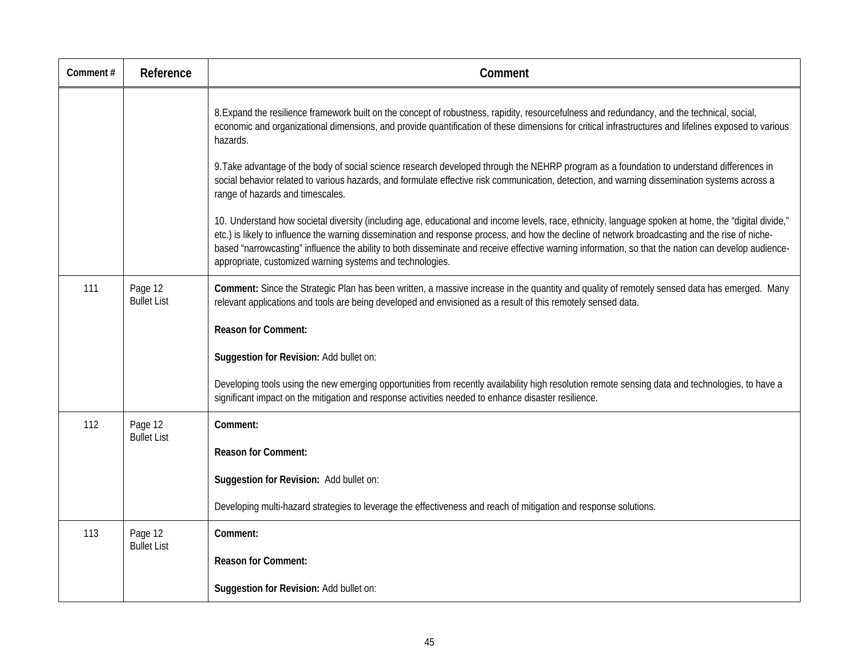| Comment# | Reference                     | Comment                                                                                                                                                                                                                                                                                                                                                                                                                                                                                                                     |
|----------|-------------------------------|-----------------------------------------------------------------------------------------------------------------------------------------------------------------------------------------------------------------------------------------------------------------------------------------------------------------------------------------------------------------------------------------------------------------------------------------------------------------------------------------------------------------------------|
|          |                               | 8. Expand the resilience framework built on the concept of robustness, rapidity, resourcefulness and redundancy, and the technical, social,<br>economic and organizational dimensions, and provide quantification of these dimensions for critical infrastructures and lifelines exposed to various<br>hazards.                                                                                                                                                                                                             |
|          |                               | 9. Take advantage of the body of social science research developed through the NEHRP program as a foundation to understand differences in<br>social behavior related to various hazards, and formulate effective risk communication, detection, and warning dissemination systems across a<br>range of hazards and timescales.                                                                                                                                                                                              |
|          |                               | 10. Understand how societal diversity (including age, educational and income levels, race, ethnicity, language spoken at home, the "digital divide,"<br>etc.) is likely to influence the warning dissemination and response process, and how the decline of network broadcasting and the rise of niche-<br>based "narrowcasting" influence the ability to both disseminate and receive effective warning information, so that the nation can develop audience-<br>appropriate, customized warning systems and technologies. |
| 111      | Page 12<br><b>Bullet List</b> | Comment: Since the Strategic Plan has been written, a massive increase in the quantity and quality of remotely sensed data has emerged. Many<br>relevant applications and tools are being developed and envisioned as a result of this remotely sensed data.                                                                                                                                                                                                                                                                |
|          |                               | <b>Reason for Comment:</b>                                                                                                                                                                                                                                                                                                                                                                                                                                                                                                  |
|          |                               | Suggestion for Revision: Add bullet on:                                                                                                                                                                                                                                                                                                                                                                                                                                                                                     |
|          |                               | Developing tools using the new emerging opportunities from recently availability high resolution remote sensing data and technologies, to have a<br>significant impact on the mitigation and response activities needed to enhance disaster resilience.                                                                                                                                                                                                                                                                     |
| 112      | Page 12<br><b>Bullet List</b> | Comment:                                                                                                                                                                                                                                                                                                                                                                                                                                                                                                                    |
|          |                               | <b>Reason for Comment:</b>                                                                                                                                                                                                                                                                                                                                                                                                                                                                                                  |
|          |                               | Suggestion for Revision: Add bullet on:                                                                                                                                                                                                                                                                                                                                                                                                                                                                                     |
|          |                               | Developing multi-hazard strategies to leverage the effectiveness and reach of mitigation and response solutions.                                                                                                                                                                                                                                                                                                                                                                                                            |
| 113      | Page 12<br><b>Bullet List</b> | Comment:                                                                                                                                                                                                                                                                                                                                                                                                                                                                                                                    |
|          |                               | <b>Reason for Comment:</b>                                                                                                                                                                                                                                                                                                                                                                                                                                                                                                  |
|          |                               | Suggestion for Revision: Add bullet on:                                                                                                                                                                                                                                                                                                                                                                                                                                                                                     |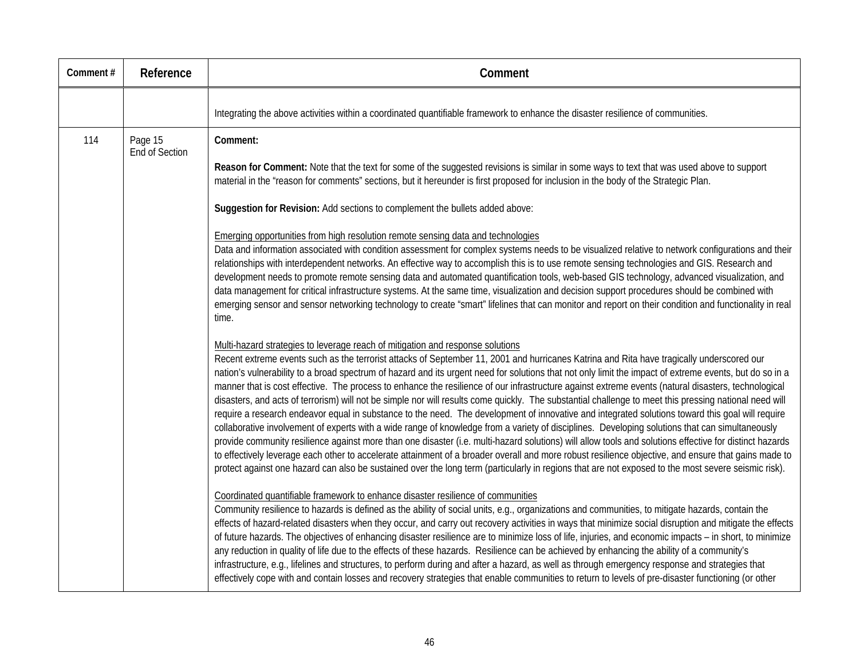| Comment# | Reference                        | Comment                                                                                                                                                                                                                                                                                                                                                                                                                                                                                                                                                                                                                                                                                                                                                                                                                                                                                                                                                                                                                                                                                                                                                                                                                                                                                                                                                                                                                                                                                                                                                                                                                                                                                                                                                                                                                                                                                                                                                                                                                                                                                                                                                                                                                                                                                                                                                                                                                                                                                                       |
|----------|----------------------------------|---------------------------------------------------------------------------------------------------------------------------------------------------------------------------------------------------------------------------------------------------------------------------------------------------------------------------------------------------------------------------------------------------------------------------------------------------------------------------------------------------------------------------------------------------------------------------------------------------------------------------------------------------------------------------------------------------------------------------------------------------------------------------------------------------------------------------------------------------------------------------------------------------------------------------------------------------------------------------------------------------------------------------------------------------------------------------------------------------------------------------------------------------------------------------------------------------------------------------------------------------------------------------------------------------------------------------------------------------------------------------------------------------------------------------------------------------------------------------------------------------------------------------------------------------------------------------------------------------------------------------------------------------------------------------------------------------------------------------------------------------------------------------------------------------------------------------------------------------------------------------------------------------------------------------------------------------------------------------------------------------------------------------------------------------------------------------------------------------------------------------------------------------------------------------------------------------------------------------------------------------------------------------------------------------------------------------------------------------------------------------------------------------------------------------------------------------------------------------------------------------------------|
|          |                                  | Integrating the above activities within a coordinated quantifiable framework to enhance the disaster resilience of communities.                                                                                                                                                                                                                                                                                                                                                                                                                                                                                                                                                                                                                                                                                                                                                                                                                                                                                                                                                                                                                                                                                                                                                                                                                                                                                                                                                                                                                                                                                                                                                                                                                                                                                                                                                                                                                                                                                                                                                                                                                                                                                                                                                                                                                                                                                                                                                                               |
| 114      | Page 15<br><b>End of Section</b> | Comment:<br>Reason for Comment: Note that the text for some of the suggested revisions is similar in some ways to text that was used above to support<br>material in the "reason for comments" sections, but it hereunder is first proposed for inclusion in the body of the Strategic Plan.<br>Suggestion for Revision: Add sections to complement the bullets added above:<br>Emerging opportunities from high resolution remote sensing data and technologies<br>Data and information associated with condition assessment for complex systems needs to be visualized relative to network configurations and their<br>relationships with interdependent networks. An effective way to accomplish this is to use remote sensing technologies and GIS. Research and<br>development needs to promote remote sensing data and automated quantification tools, web-based GIS technology, advanced visualization, and<br>data management for critical infrastructure systems. At the same time, visualization and decision support procedures should be combined with<br>emerging sensor and sensor networking technology to create "smart" lifelines that can monitor and report on their condition and functionality in real<br>time.                                                                                                                                                                                                                                                                                                                                                                                                                                                                                                                                                                                                                                                                                                                                                                                                                                                                                                                                                                                                                                                                                                                                                                                                                                                                          |
|          |                                  | Multi-hazard strategies to leverage reach of mitigation and response solutions<br>Recent extreme events such as the terrorist attacks of September 11, 2001 and hurricanes Katrina and Rita have tragically underscored our<br>nation's vulnerability to a broad spectrum of hazard and its urgent need for solutions that not only limit the impact of extreme events, but do so in a<br>manner that is cost effective. The process to enhance the resilience of our infrastructure against extreme events (natural disasters, technological<br>disasters, and acts of terrorism) will not be simple nor will results come quickly. The substantial challenge to meet this pressing national need will<br>require a research endeavor equal in substance to the need. The development of innovative and integrated solutions toward this goal will require<br>collaborative involvement of experts with a wide range of knowledge from a variety of disciplines. Developing solutions that can simultaneously<br>provide community resilience against more than one disaster (i.e. multi-hazard solutions) will allow tools and solutions effective for distinct hazards<br>to effectively leverage each other to accelerate attainment of a broader overall and more robust resilience objective, and ensure that gains made to<br>protect against one hazard can also be sustained over the long term (particularly in regions that are not exposed to the most severe seismic risk).<br>Coordinated quantifiable framework to enhance disaster resilience of communities<br>Community resilience to hazards is defined as the ability of social units, e.g., organizations and communities, to mitigate hazards, contain the<br>effects of hazard-related disasters when they occur, and carry out recovery activities in ways that minimize social disruption and mitigate the effects<br>of future hazards. The objectives of enhancing disaster resilience are to minimize loss of life, injuries, and economic impacts - in short, to minimize<br>any reduction in quality of life due to the effects of these hazards. Resilience can be achieved by enhancing the ability of a community's<br>infrastructure, e.g., lifelines and structures, to perform during and after a hazard, as well as through emergency response and strategies that<br>effectively cope with and contain losses and recovery strategies that enable communities to return to levels of pre-disaster functioning (or other |